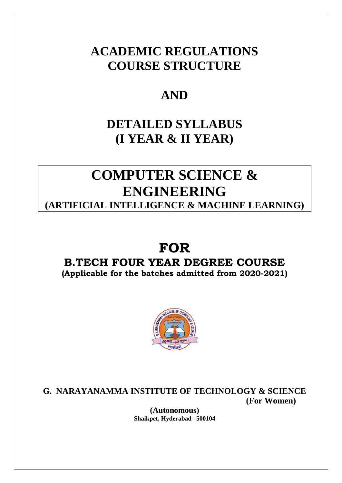# **ACADEMIC REGULATIONS COURSE STRUCTURE**

# **AND**

# **DETAILED SYLLABUS (I YEAR & II YEAR)**

# **COMPUTER SCIENCE & ENGINEERING**

**(ARTIFICIAL INTELLIGENCE & MACHINE LEARNING)**

# **FOR**

# **B.TECH FOUR YEAR DEGREE COURSE**

**(Applicable for the batches admitted from 2020-2021)**



**G. NARAYANAMMA INSTITUTE OF TECHNOLOGY & SCIENCE (For Women)**

> **(Autonomous) Shaikpet, Hyderabad– 500104**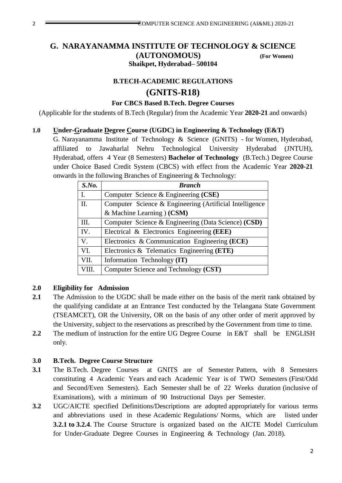# **G. NARAYANAMMA INSTITUTE OF TECHNOLOGY & SCIENCE (AUTONOMOUS) (For Women) Shaikpet, Hyderabad– 500104**

# **B.TECH-ACADEMIC REGULATIONS (GNITS-R18)**

### **For CBCS Based B.Tech. Degree Courses**

(Applicable for the students of B.Tech (Regular) from the Academic Year **2020-21** and onwards)

## **1.0 Under-Graduate Degree Course (UGDC) in Engineering & Technology (E&T)**

G. Narayanamma Institute of Technology & Science (GNITS) - for Women, Hyderabad, affiliated to Jawaharlal Nehru Technological University Hyderabad (JNTUH), Hyderabad, offers 4 Year (8 Semesters) **Bachelor of Technology** (B.Tech.) Degree Course under Choice Based Credit System (CBCS) with effect from the Academic Year **2020-21**  onwards in the following Branches of Engineering & Technology:

| S.No.          | <b>Branch</b>                                           |
|----------------|---------------------------------------------------------|
| $\mathbf{I}$ . | Computer Science & Engineering (CSE)                    |
| II.            | Computer Science & Engineering (Artificial Intelligence |
|                | & Machine Learning $(CSM)$                              |
| Ш.             | Computer Science & Engineering (Data Science) (CSD)     |
| IV.            | Electrical & Electronics Engineering (EEE)              |
| $V_{\cdot}$    | Electronics & Communication Engineering (ECE)           |
| VI.            | Electronics & Telematics Engineering (ETE)              |
| VII.           | Information Technology (IT)                             |
| VIII.          | Computer Science and Technology (CST)                   |

# **2.0 Eligibility for Admission**

- **2.1** The Admission to the UGDC shall be made either on the basis of the merit rank obtained by the qualifying candidate at an Entrance Test conducted by the Telangana State Government (TSEAMCET), OR the University, OR on the basis of any other order of merit approved by the University, subject to the reservations as prescribed by the Government from time to time.
- 2.2 The medium of instruction for the entire UG Degree Course in E&T shall be ENGLISH only.

### **3.0 B.Tech. Degree Course Structure**

- **3.1** The B.Tech. Degree Courses at GNITS are of Semester Pattern, with 8 Semesters constituting 4 Academic Years and each Academic Year is of TWO Semesters (First/Odd and Second/Even Semesters). Each Semester shall be of 22 Weeks duration (inclusive of Examinations), with a minimum of 90 Instructional Days per Semester.
- **3.2** UGC/AICTE specified Definitions/Descriptions are adopted appropriately for various terms and abbreviations used in these Academic Regulations/ Norms, which are listed under **3.2.1 to 3.2.4**. The Course Structure is organized based on the AICTE Model Curriculum for Under-Graduate Degree Courses in Engineering & Technology (Jan. 2018).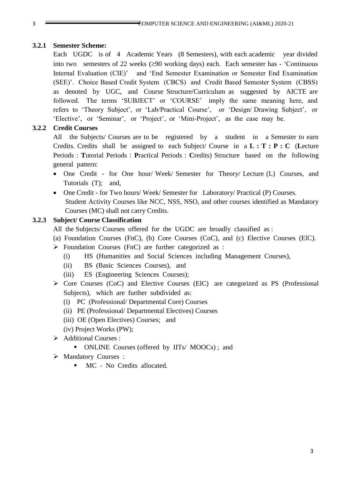#### **3.2.1 Semester Scheme:**

Each UGDC is of 4 Academic Years (8 Semesters), with each academic year divided into two semesters of 22 weeks  $(290 \text{ working days})$  each. Each semester has - 'Continuous Internal Evaluation (CIE)' and 'End Semester Examination or Semester End Examination (SEE)'. Choice Based Credit System (CBCS) and Credit Based Semester System (CBSS) as denoted by UGC, and Course Structure/Curriculum as suggested by AICTE are followed. The terms 'SUBJECT' or 'COURSE' imply the same meaning here, and refers to 'Theory Subject', or 'Lab/Practical Course', or 'Design/ Drawing Subject', or 'Elective', or 'Seminar', or 'Project', or 'Mini-Project', as the case may be.

### **3.2.2 Credit Courses**

All the Subjects/ Courses are to be registered by a student in a Semester to earn Credits. Credits shall be assigned to each Subject/ Course in a **L : T : P : C** (**L**ecture Periods : **T**utorial Periods : **P**ractical Periods : **C**redits) Structure based on the following general pattern:

- One Credit for One hour/ Week/ Semester for Theory/ Lecture (L) Courses, and Tutorials (T); and,
- One Credit for Two hours/ Week/ Semester for Laboratory/ Practical (P) Courses. Student Activity Courses like NCC, NSS, NSO, and other courses identified as Mandatory Courses (MC) shall not carry Credits.

### **3.2.3 Subject/ Course Classification**

- All the Subjects/ Courses offered for the UGDC are broadly classified as :
- (a) Foundation Courses (FnC), (b) Core Courses (CoC), and (c) Elective Courses (ElC).
- $\triangleright$  Foundation Courses (FnC) are further categorized as :
	- (i) HS (Humanities and Social Sciences including Management Courses),
	- (ii) BS (Basic Sciences Courses), and
	- (iii) ES (Engineering Sciences Courses);
- $\triangleright$  Core Courses (CoC) and Elective Courses (ElC) are categorized as PS (Professional Subjects), which are further subdivided as:
	- (i) PC (Professional/ Departmental Core) Courses
	- (ii) PE (Professional/ Departmental Electives) Courses
	- (iii) OE (Open Electives) Courses; and
	- (iv) Project Works (PW);
- Additional Courses :
	- ONLINE Courses (offered by IITs/ MOOCs); and
- > Mandatory Courses :
	- $MC$  No Credits allocated.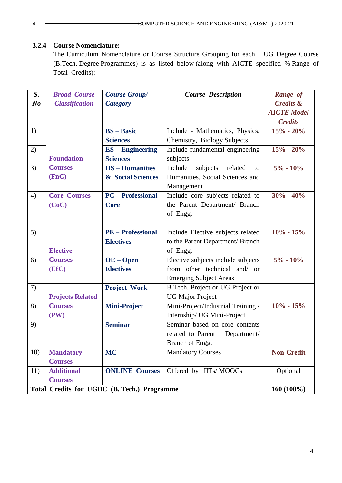## **3.2.4 Course Nomenclature:**

The Curriculum Nomenclature or Course Structure Grouping for each UG Degree Course (B.Tech. Degree Programmes) is as listed below (along with AICTE specified % Range of Total Credits):

| $S_{\cdot}$                                 | <b>Broad Course</b>     | <b>Course Group/</b>     | <b>Course Description</b>            | Range of             |
|---------------------------------------------|-------------------------|--------------------------|--------------------------------------|----------------------|
| N <sub>o</sub>                              | <b>Classification</b>   | <b>Category</b>          |                                      | <b>Credits &amp;</b> |
|                                             |                         |                          |                                      | <b>AICTE Model</b>   |
|                                             |                         |                          |                                      | <b>Credits</b>       |
| 1)                                          |                         | <b>BS</b> – <b>Basic</b> | Include - Mathematics, Physics,      | $15% - 20%$          |
|                                             |                         | <b>Sciences</b>          | Chemistry, Biology Subjects          |                      |
| 2)                                          |                         | <b>ES</b> - Engineering  | Include fundamental engineering      | $15% - 20%$          |
|                                             | <b>Foundation</b>       | <b>Sciences</b>          | subjects                             |                      |
| 3)                                          | <b>Courses</b>          | <b>HS-Humanities</b>     | subjects<br>Include<br>related<br>to | $5\% - 10\%$         |
|                                             | (FnC)                   | & Social Sciences        | Humanities, Social Sciences and      |                      |
|                                             |                         |                          | Management                           |                      |
| 4)                                          | <b>Core Courses</b>     | <b>PC</b> – Professional | Include core subjects related to     | $30\% - 40\%$        |
|                                             | (CoC)                   | <b>Core</b>              | the Parent Department/ Branch        |                      |
|                                             |                         |                          | of Engg.                             |                      |
|                                             |                         |                          |                                      |                      |
| 5)                                          |                         | <b>PE</b> – Professional | Include Elective subjects related    | $10\% - 15\%$        |
|                                             |                         | <b>Electives</b>         | to the Parent Department/ Branch     |                      |
|                                             | <b>Elective</b>         |                          | of Engg.                             |                      |
| 6)                                          | <b>Courses</b>          | $OE - Open$              | Elective subjects include subjects   | $5\% - 10\%$         |
|                                             | (EIC)                   | <b>Electives</b>         | from other technical and/ or         |                      |
|                                             |                         |                          | <b>Emerging Subject Areas</b>        |                      |
| 7)                                          |                         | <b>Project Work</b>      | B.Tech. Project or UG Project or     |                      |
|                                             | <b>Projects Related</b> |                          | <b>UG Major Project</b>              |                      |
| 8)                                          | <b>Courses</b>          | <b>Mini-Project</b>      | Mini-Project/Industrial Training /   | $10\% - 15\%$        |
|                                             | (PW)                    |                          | Internship/ UG Mini-Project          |                      |
| 9)                                          |                         | <b>Seminar</b>           | Seminar based on core contents       |                      |
|                                             |                         |                          | related to Parent<br>Department/     |                      |
|                                             |                         |                          | Branch of Engg.                      |                      |
| 10)                                         | <b>Mandatory</b>        | <b>MC</b>                | <b>Mandatory Courses</b>             | <b>Non-Credit</b>    |
|                                             | <b>Courses</b>          |                          |                                      |                      |
| 11)                                         | <b>Additional</b>       | <b>ONLINE Courses</b>    | Offered by IITs/MOOCs                | Optional             |
|                                             | <b>Courses</b>          |                          |                                      |                      |
| Total Credits for UGDC (B. Tech.) Programme | 160 (100%)              |                          |                                      |                      |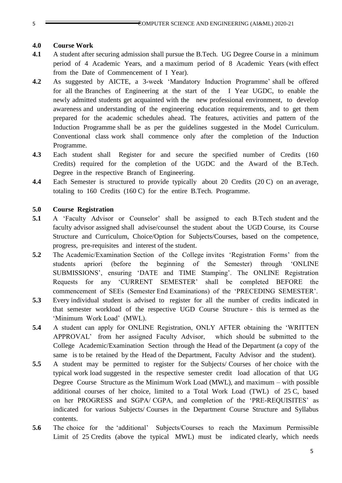#### **4.0 Course Work**

- **4.1** A student after securing admission shall pursue the B.Tech. UG Degree Course in a minimum period of 4 Academic Years, and a maximum period of 8 Academic Years (with effect from the Date of Commencement of I Year).
- **4.2** As suggested by AICTE, a 3-week 'Mandatory Induction Programme' shall be offered for all the Branches of Engineering at the start of the I Year UGDC, to enable the newly admitted students get acquainted with the new professional environment, to develop awareness and understanding of the engineering education requirements, and to get them prepared for the academic schedules ahead. The features, activities and pattern of the Induction Programme shall be as per the guidelines suggested in the Model Curriculum. Conventional class work shall commence only after the completion of the Induction Programme.
- **4.3** Each student shall Register for and secure the specified number of Credits (160 Credits) required for the completion of the UGDC and the Award of the B.Tech. Degree in the respective Branch of Engineering.
- **4.4** Each Semester is structured to provide typically about 20 Credits (20 C) on an average, totaling to 160 Credits (160 C) for the entire B.Tech. Programme.

#### **5.0 Course Registration**

- **5.1** A 'Faculty Advisor or Counselor' shall be assigned to each B.Tech student and the faculty advisor assigned shall advise/counsel the student about the UGD Course, its Course Structure and Curriculum, Choice/Option for Subjects/Courses, based on the competence, progress, pre-requisites and interest of the student.
- **5.2** The Academic/Examination Section of the College invites 'Registration Forms' from the students apriori (before the beginning of the Semester) through 'ONLINE SUBMISSIONS', ensuring 'DATE and TIME Stamping'. The ONLINE Registration Requests for any 'CURRENT SEMESTER' shall be completed BEFORE the commencement of SEEs (Semester End Examinations) of the 'PRECEDING SEMESTER'.
- **5.3** Every individual student is advised to register for all the number of credits indicated in that semester workload of the respective UGD Course Structure - this is termed as the 'Minimum Work Load' (MWL).
- **5.4** A student can apply for ONLINE Registration, ONLY AFTER obtaining the 'WRITTEN APPROVAL' from her assigned Faculty Advisor, which should be submitted to the College Academic/Examination Section through the Head of the Department (a copy of the same is to be retained by the Head of the Department, Faculty Advisor and the student).
- **5.5** A student may be permitted to register for the Subjects/ Courses of her choice with the typical work load suggested in the respective semester credit load allocation of that UG Degree Course Structure as the Minimum Work Load (MWL), and maximum – with possible additional courses of her choice, limited to a Total Work Load (TWL) of 25 C, based on her PROGRESS and SGPA/ CGPA, and completion of the 'PRE-REQUISITES' as indicated for various Subjects/ Courses in the Department Course Structure and Syllabus contents.
- **5.6** The choice for the 'additional' Subjects/Courses to reach the Maximum Permissible Limit of 25 Credits (above the typical MWL) must be indicated clearly, which needs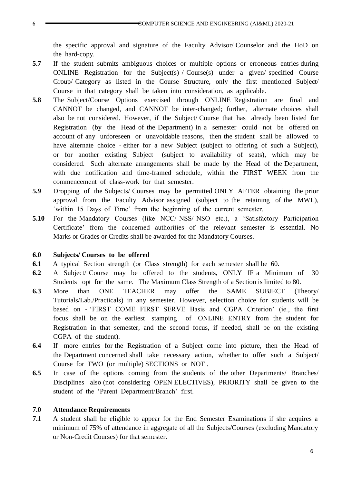the specific approval and signature of the Faculty Advisor/ Counselor and the HoD on the hard-copy.

- **5.7** If the student submits ambiguous choices or multiple options or erroneous entries during ONLINE Registration for the Subject(s) / Course(s) under a given/ specified Course Group/ Category as listed in the Course Structure, only the first mentioned Subject/ Course in that category shall be taken into consideration, as applicable.
- **5.8** The Subject/Course Options exercised through ONLINE Registration are final and CANNOT be changed, and CANNOT be inter-changed; further, alternate choices shall also be not considered. However, if the Subject/ Course that has already been listed for Registration (by the Head of the Department) in a semester could not be offered on account of any unforeseen or unavoidable reasons, then the student shall be allowed to have alternate choice - either for a new Subject (subject to offering of such a Subject), or for another existing Subject (subject to availability of seats), which may be considered. Such alternate arrangements shall be made by the Head of the Department, with due notification and time-framed schedule, within the FIRST WEEK from the commencement of class-work for that semester.
- **5.9** Dropping of the Subjects/ Courses may be permitted ONLY AFTER obtaining the prior approval from the Faculty Advisor assigned (subject to the retaining of the MWL), 'within 15 Days of Time' from the beginning of the current semester.
- **5.10** For the Mandatory Courses (like NCC/ NSS/ NSO etc.), a 'Satisfactory Participation Certificate' from the concerned authorities of the relevant semester is essential. No Marks or Grades or Credits shall be awarded for the Mandatory Courses.

#### **6.0 Subjects/ Courses to be offered**

- **6.1** A typical Section strength (or Class strength) for each semester shall be 60.
- **6.2** A Subject/ Course may be offered to the students, ONLY IF a Minimum of 30 Students opt for the same. The Maximum Class Strength of a Section is limited to 80.
- **6.3** More than ONE TEACHER may offer the SAME SUBJECT (Theory/ Tutorials/Lab./Practicals) in any semester. However, selection choice for students will be based on - 'FIRST COME FIRST SERVE Basis and CGPA Criterion' (ie., the first focus shall be on the earliest stamping of ONLINE ENTRY from the student for Registration in that semester, and the second focus, if needed, shall be on the existing CGPA of the student).
- **6.4** If more entries for the Registration of a Subject come into picture, then the Head of the Department concerned shall take necessary action, whether to offer such a Subject/ Course for TWO (or multiple) SECTIONS or NOT .
- **6.5** In case of the options coming from the students of the other Departments/ Branches/ Disciplines also (not considering OPEN ELECTIVES), PRIORITY shall be given to the student of the 'Parent Department/Branch' first.

#### **7.0 Attendance Requirements**

**7.1** A student shall be eligible to appear for the End Semester Examinations if she acquires a minimum of 75% of attendance in aggregate of all the Subjects/Courses (excluding Mandatory or Non-Credit Courses) for that semester.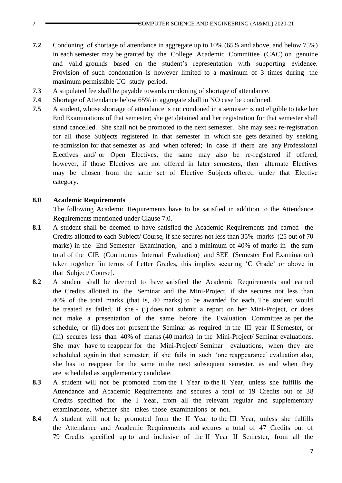- **7.2** Condoning of shortage of attendance in aggregate up to 10% (65% and above, and below 75%) in each semester may be granted by the College Academic Committee (CAC) on genuine and valid grounds based on the student's representation with supporting evidence. Provision of such condonation is however limited to a maximum of 3 times during the maximum permissible UG study period.
- **7.3** A stipulated fee shall be payable towards condoning of shortage of attendance.
- **7.4** Shortage of Attendance below 65% in aggregate shall in NO case be condoned.
- **7.5** A student, whose shortage of attendance is not condoned in a semester is not eligible to take her End Examinations of that semester; she get detained and her registration for that semester shall stand cancelled. She shall not be promoted to the next semester. She may seek re-registration for all those Subjects registered in that semester in which she gets detained by seeking re-admission for that semester as and when offered; in case if there are any Professional Electives and/ or Open Electives, the same may also be re-registered if offered, however, if those Electives are not offered in later semesters, then alternate Electives may be chosen from the same set of Elective Subjects offered under that Elective category.

#### **8.0 Academic Requirements**

The following Academic Requirements have to be satisfied in addition to the Attendance Requirements mentioned under Clause 7.0.

- **8.1** A student shall be deemed to have satisfied the Academic Requirements and earned the Credits allotted to each Subject/ Course, if she secures not less than 35% marks (25 out of 70 marks) in the End Semester Examination, and a minimum of 40% of marks in the sum total of the CIE (Continuous Internal Evaluation) and SEE (Semester End Examination) taken together [in terms of Letter Grades, this implies securing '**C** Grade' or above in that Subject/ Course].
- **8.2** A student shall be deemed to have satisfied the Academic Requirements and earned the Credits allotted to the Seminar and the Mini-Project, if she secures not less than 40% of the total marks (that is, 40 marks) to be awarded for each. The student would be treated as failed, if she - (i) does not submit a report on her Mini-Project, or does not make a presentation of the same before the Evaluation Committee as per the schedule, or (ii) does not present the Seminar as required in the III year II Semester, or (iii) secures less than 40% of marks (40 marks) in the Mini-Project/ Seminar evaluations. She may have to reappear for the Mini-Project/ Seminar evaluations, when they are scheduled again in that semester; if she fails in such 'one reappearance' evaluation also, she has to reappear for the same in the next subsequent semester, as and when they are scheduled as supplementary candidate.
- **8.3** A student will not be promoted from the I Year to the II Year, unless she fulfills the Attendance and Academic Requirements and secures a total of 19 Credits out of 38 Credits specified for the I Year, from all the relevant regular and supplementary examinations, whether she takes those examinations or not.
- **8.4** A student will not be promoted from the II Year to the III Year, unless she fulfills the Attendance and Academic Requirements and secures a total of 47 Credits out of 79 Credits specified up to and inclusive of the II Year II Semester, from all the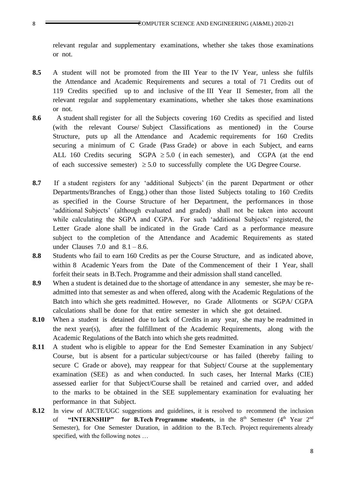relevant regular and supplementary examinations, whether she takes those examinations or not.

- **8.5** A student will not be promoted from the III Year to the IV Year, unless she fulfils the Attendance and Academic Requirements and secures a total of 71 Credits out of 119 Credits specified up to and inclusive of the III Year II Semester, from all the relevant regular and supplementary examinations, whether she takes those examinations or not.
- **8.6** A student shall register for all the Subjects covering 160 Credits as specified and listed (with the relevant Course/ Subject Classifications as mentioned) in the Course Structure, puts up all the Attendance and Academic requirements for 160 Credits securing a minimum of C Grade (Pass Grade) or above in each Subject, and earns ALL 160 Credits securing SGPA  $\geq$  5.0 (in each semester), and CGPA (at the end of each successive semester)  $\geq 5.0$  to successfully complete the UG Degree Course.
- **8.7** If a student registers for any 'additional Subjects' (in the parent Department or other Departments/Branches of Engg.) other than those listed Subjects totaling to 160 Credits as specified in the Course Structure of her Department, the performances in those 'additional Subjects' (although evaluated and graded) shall not be taken into account while calculating the SGPA and CGPA. For such 'additional Subjects' registered, the Letter Grade alone shall be indicated in the Grade Card as a performance measure subject to the completion of the Attendance and Academic Requirements as stated under Clauses 7.0 and  $8.1 - 8.6$ .
- **8.8** Students who fail to earn 160 Credits as per the Course Structure, and as indicated above, within 8 Academic Years from the Date of the Commencement of their I Year, shall forfeit their seats in B.Tech. Programme and their admission shall stand cancelled.
- **8.9** When a student is detained due to the shortage of attendance in any semester, she may be readmitted into that semester as and when offered, along with the Academic Regulations of the Batch into which she gets readmitted. However, no Grade Allotments or SGPA/ CGPA calculations shall be done for that entire semester in which she got detained.
- **8.10** When a student is detained due to lack of Credits in any year, she may be readmitted in the next year(s), after the fulfillment of the Academic Requirements, along with the Academic Regulations of the Batch into which she gets readmitted.
- **8.11** A student who is eligible to appear for the End Semester Examination in any Subject/ Course, but is absent for a particular subject/course or has failed (thereby failing to secure C Grade or above), may reappear for that Subject/ Course at the supplementary examination (SEE) as and when conducted. In such cases, her Internal Marks (CIE) assessed earlier for that Subject/Course shall be retained and carried over, and added to the marks to be obtained in the SEE supplementary examination for evaluating her performance in that Subject.
- 8.12 In view of AICTE/UGC suggestions and guidelines, it is resolved to recommend the inclusion of "INTERNSHIP" for B.Tech Programme students, in the 8<sup>th</sup> Semester (4<sup>th</sup> Year 2<sup>nd</sup> Semester), for One Semester Duration, in addition to the B.Tech. Project requirements already specified, with the following notes …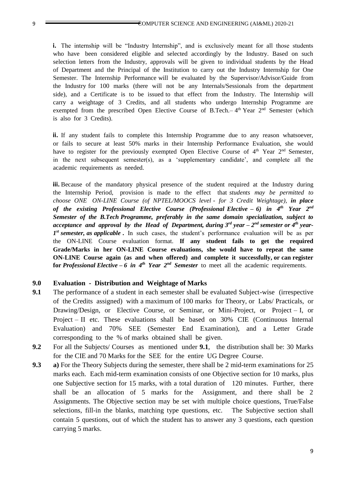**i.** The internship will be "Industry Internship", and is exclusively meant for all those students who have been considered eligible and selected accordingly by the Industry. Based on such selection letters from the Industry, approvals will be given to individual students by the Head of Department and the Principal of the Institution to carry out the Industry Internship for One Semester. The Internship Performance will be evaluated by the Supervisor/Advisor/Guide from the Industry for 100 marks (there will not be any Internals/Sessionals from the department side), and a Certificate is to be issued to that effect from the Industry. The Internship will carry a weightage of 3 Credits, and all students who undergo Internship Programme are exempted from the prescribed Open Elective Course of B.Tech.–4<sup>th</sup> Year 2<sup>nd</sup> Semester (which is also for 3 Credits).

**ii.** If any student fails to complete this Internship Programme due to any reason whatsoever, or fails to secure at least 50% marks in their Internship Performance Evaluation, she would have to register for the previously exempted Open Elective Course of  $4<sup>th</sup>$  Year  $2<sup>nd</sup>$  Semester, in the next subsequent semester(s), as a 'supplementary candidate', and complete all the academic requirements as needed.

**iii.** Because of the mandatory physical presence of the student required at the Industry during the Internship Period, provision is made to the effect that *students may be permitted to choose ONE ON-LINE Course (of NPTEL/MOOCS level - for 3 Credit Weightage), in place of the existing Professional Elective Course (Professional Elective – 6) in 4th Year 2nd Semester of the B.Tech Programme, preferably in the same domain specialization, subject to acceptance and approval by the Head of Department, during 3 rd year – 2 nd semester or 4th year-1 st semester, as applicable* **.** In such cases, the student's performance evaluation will be as per the ON-LINE Course evaluation format. **If any student fails to get the required Grade/Marks in her ON-LINE Course evaluations, she would have to repeat the same ON-LINE Course again (as and when offered) and complete it successfully, or can register for** *Professional Elective – 6 in 4th Year 2nd Semester* to meet all the academic requirements.

#### **9.0 Evaluation - Distribution and Weightage of Marks**

- **9.1** The performance of a student in each semester shall be evaluated Subject-wise (irrespective of the Credits assigned) with a maximum of 100 marks for Theory, or Labs/ Practicals, or Drawing/Design, or Elective Course, or Seminar, or Mini-Project, or Project – I, or Project – II etc. These evaluations shall be based on 30% CIE (Continuous Internal Evaluation) and 70% SEE (Semester End Examination), and a Letter Grade corresponding to the % of marks obtained shall be given.
- **9.2** For all the Subjects/ Courses as mentioned under **9.1**, the distribution shall be: 30 Marks for the CIE and 70 Marks for the SEE for the entire UG Degree Course.
- **9.3 a)** For the Theory Subjects during the semester, there shall be 2 mid-term examinations for 25 marks each. Each mid-term examination consists of one Objective section for 10 marks, plus one Subjective section for 15 marks, with a total duration of 120 minutes. Further, there shall be an allocation of 5 marks for the Assignment, and there shall be 2 Assignments. The Objective section may be set with multiple choice questions, True/False selections, fill-in the blanks, matching type questions, etc. The Subjective section shall contain 5 questions, out of which the student has to answer any 3 questions, each question carrying 5 marks.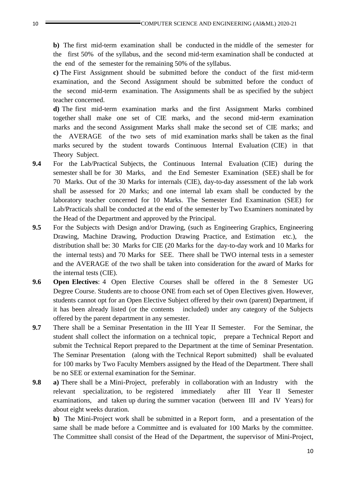**b)** The first mid-term examination shall be conducted in the middle of the semester for the first 50% of the syllabus, and the second mid-term examination shall be conducted at the end of the semester for the remaining 50% of the syllabus.

**c)** The First Assignment should be submitted before the conduct of the first mid-term examination, and the Second Assignment should be submitted before the conduct of the second mid-term examination. The Assignments shall be as specified by the subject teacher concerned.

**d)** The first mid-term examination marks and the first Assignment Marks combined together shall make one set of CIE marks, and the second mid-term examination marks and the second Assignment Marks shall make the second set of CIE marks; and the AVERAGE of the two sets of mid examination marks shall be taken as the final marks secured by the student towards Continuous Internal Evaluation (CIE) in that Theory Subject.

- **9.4** For the Lab/Practical Subjects, the Continuous Internal Evaluation (CIE) during the semester shall be for 30 Marks, and the End Semester Examination (SEE) shall be for 70 Marks. Out of the 30 Marks for internals (CIE), day-to-day assessment of the lab work shall be assessed for 20 Marks; and one internal lab exam shall be conducted by the laboratory teacher concerned for 10 Marks. The Semester End Examination (SEE) for Lab/Practicals shall be conducted at the end of the semester by Two Examiners nominated by the Head of the Department and approved by the Principal.
- **9.5** For the Subjects with Design and/or Drawing, (such as Engineering Graphics, Engineering Drawing, Machine Drawing, Production Drawing Practice, and Estimation etc.), the distribution shall be: 30 Marks for CIE (20 Marks for the day-to-day work and 10 Marks for the internal tests) and 70 Marks for SEE. There shall be TWO internal tests in a semester and the AVERAGE of the two shall be taken into consideration for the award of Marks for the internal tests (CIE).
- **9.6 Open Electives**: 4 Open Elective Courses shall be offered in the 8 Semester UG Degree Course. Students are to choose ONE from each set of Open Electives given. However, students cannot opt for an Open Elective Subject offered by their own (parent) Department, if it has been already listed (or the contents included) under any category of the Subjects offered by the parent department in any semester.
- **9.7** There shall be a Seminar Presentation in the III Year II Semester. For the Seminar, the student shall collect the information on a technical topic, prepare a Technical Report and submit the Technical Report prepared to the Department at the time of Seminar Presentation. The Seminar Presentation (along with the Technical Report submitted) shall be evaluated for 100 marks by Two Faculty Members assigned by the Head of the Department. There shall be no SEE or external examination for the Seminar.
- **9.8 a**) There shall be a Mini-Project, preferably in collaboration with an Industry with the relevant specialization, to be registered immediately after III Year II Semester examinations, and taken up during the summer vacation (between III and IV Years) for about eight weeks duration.

**b)** The Mini-Project work shall be submitted in a Report form, and a presentation of the same shall be made before a Committee and is evaluated for 100 Marks by the committee. The Committee shall consist of the Head of the Department, the supervisor of Mini-Project,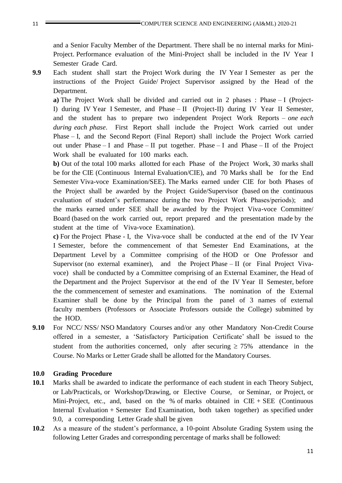and a Senior Faculty Member of the Department. There shall be no internal marks for Mini-Project. Performance evaluation of the Mini-Project shall be included in the IV Year I Semester Grade Card.

**9.9** Each student shall start the Project Work during the IV Year I Semester as per the instructions of the Project Guide/ Project Supervisor assigned by the Head of the Department.

**a)** The Project Work shall be divided and carried out in 2 phases : Phase – I (Project-I) during IV Year I Semester, and Phase – II (Project-II) during IV Year II Semester, and the student has to prepare two independent Project Work Reports – *one each during each phase*. First Report shall include the Project Work carried out under Phase – I, and the Second Report (Final Report) shall include the Project Work carried out under Phase – I and Phase – II put together. Phase – I and Phase – II of the Project Work shall be evaluated for 100 marks each.

**b)** Out of the total 100 marks allotted for each Phase of the Project Work, 30 marks shall be for the CIE (Continuous Internal Evaluation/CIE), and 70 Marks shall be for the End Semester Viva-voce Examination/SEE). The Marks earned under CIE for both Phases of the Project shall be awarded by the Project Guide/Supervisor (based on the continuous evaluation of student's performance during the two Project Work Phases/periods); and the marks earned under SEE shall be awarded by the Project Viva-voce Committee/ Board (based on the work carried out, report prepared and the presentation made by the student at the time of Viva-voce Examination).

**c)** For the Project Phase - I, the Viva-voce shall be conducted at the end of the IV Year I Semester, before the commencement of that Semester End Examinations, at the Department Level by a Committee comprising of the HOD or One Professor and Supervisor (no external examiner), and the Project Phase – II (or Final Project Vivavoce) shall be conducted by a Committee comprising of an External Examiner, the Head of the Department and the Project Supervisor at the end of the IV Year II Semester, before the the commencement of semester and examinations. The nomination of the External Examiner shall be done by the Principal from the panel of 3 names of external faculty members (Professors or Associate Professors outside the College) submitted by the HOD.

**9.10** For NCC/ NSS/ NSO Mandatory Courses and/or any other Mandatory Non-Credit Course offered in a semester, a 'Satisfactory Participation Certificate' shall be issued to the student from the authorities concerned, only after securing  $\geq 75\%$  attendance in the Course. No Marks or Letter Grade shall be allotted for the Mandatory Courses.

#### **10.0 Grading Procedure**

- **10.1** Marks shall be awarded to indicate the performance of each student in each Theory Subject, or Lab/Practicals, or Workshop/Drawing, or Elective Course, or Seminar, or Project, or Mini-Project, etc., and, based on the % of marks obtained in  $CIE + SEE$  (Continuous Internal Evaluation + Semester End Examination, both taken together) as specified under 9.0, a corresponding Letter Grade shall be given
- **10.2** As a measure of the student's performance, a 10-point Absolute Grading System using the following Letter Grades and corresponding percentage of marks shall be followed: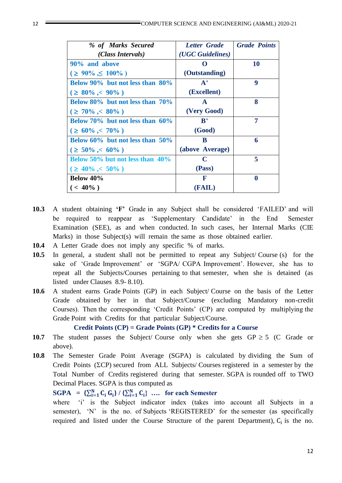| % of Marks Secured                    | <b>Letter</b> Grade | <b>Grade Points</b> |
|---------------------------------------|---------------------|---------------------|
| (Class Intervals)                     | (UGC Guidelines)    |                     |
| 90% and above                         |                     | 10                  |
| $( \geq 90\% \leq 100\%)$             | (Outstanding)       |                     |
| Below 90% but not less than 80%       | $A^+$               | 9                   |
| $( \geq 80\% , < 90\% )$              | (Excellent)         |                     |
| Below 80% but not less than 70%       | $\mathbf{A}$        | 8                   |
| $( \geq 70\% < 80\%)$                 | (Very Good)         |                     |
| Below $70\%$ but not less than $60\%$ | $R^+$               | 7                   |
| $( \geq 60\% < 70\%)$                 | (Good)              |                     |
| Below $60\%$ but not less than $50\%$ | B                   | 6                   |
| $( \geq 50\% < 60\%)$                 | (above Average)     |                     |
| Below $50\%$ but not less than $40\%$ | C                   | 5                   |
| $( \geq 40\% < 50\% )$                | (Pass)              |                     |
| Below 40%                             | F                   | $\mathbf 0$         |
| $($ < 40%)                            | (FAIL)              |                     |

- **10.3** A student obtaining **'F'** Grade in any Subject shall be considered 'FAILED' and will be required to reappear as 'Supplementary Candidate' in the End Semester Examination (SEE), as and when conducted. In such cases, her Internal Marks (CIE Marks) in those Subject(s) will remain the same as those obtained earlier.
- **10.4** A Letter Grade does not imply any specific % of marks.
- **10.5** In general, a student shall not be permitted to repeat any Subject/ Course (s) for the sake of 'Grade Improvement' or 'SGPA/ CGPA Improvement'. However, she has to repeat all the Subjects/Courses pertaining to that semester, when she is detained (as listed under Clauses 8.9- 8.10).
- **10.6** A student earns Grade Points (GP) in each Subject/ Course on the basis of the Letter Grade obtained by her in that Subject/Course (excluding Mandatory non-credit Courses). Then the corresponding 'Credit Points' (CP) are computed by multiplying the Grade Point with Credits for that particular Subject/Course.

#### **Credit Points (CP) = Grade Points (GP) \* Credits for a Course**

- **10.7** The student passes the Subject/ Course only when she gets  $GP \ge 5$  (C Grade or above).
- **10.8** The Semester Grade Point Average (SGPA) is calculated by dividing the Sum of Credit Points ( $\Sigma$ CP) secured from ALL Subjects/ Courses registered in a semester by the Total Number of Credits registered during that semester. SGPA is rounded off to TWO Decimal Places. SGPA is thus computed as

# **SGPA** =  $\{\sum_{i=1}^{N} C_i G_i\} / {\{\sum_{i=1}^{N} C_i\}}$  ... for each Semester

where 'i' is the Subject indicator index (takes into account all Subjects in a semester), 'N' is the no. of Subjects 'REGISTERED' for the semester (as specifically required and listed under the Course Structure of the parent Department),  $C_i$  is the no.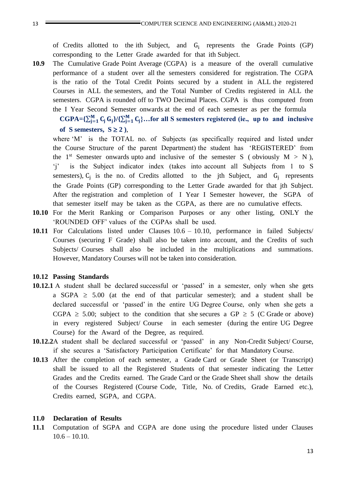of Credits allotted to the ith Subject, and G<sub>i</sub> represents the Grade Points (GP) corresponding to the Letter Grade awarded for that ith Subject.

**10.9** The Cumulative Grade Point Average (CGPA) is a measure of the overall cumulative performance of a student over all the semesters considered for registration. The CGPA is the ratio of the Total Credit Points secured by a student in ALL the registered Courses in ALL the semesters, and the Total Number of Credits registered in ALL the semesters. CGPA is rounded off to TWO Decimal Places. CGPA is thus computed from the I Year Second Semester onwards at the end of each semester as per the formula

 $CGPA = \{\sum_{j=1}^{M} C_j G_j\} / \{\sum_{j=1}^{M} C_j\} ...$  for all S semesters registered (ie., up to and inclusive of S semesters,  $S \ge 2$ ).

where 'M' is the TOTAL no. of Subjects (as specifically required and listed under the Course Structure of the parent Department) the student has 'REGISTERED' from the 1<sup>st</sup> Semester onwards upto and inclusive of the semester S (obviously  $M > N$ ), 'j' is the Subject indicator index (takes into account all Subjects from 1 to S semesters),  $C_j$  is the no. of Credits allotted to the jth Subject, and  $G_j$  represents the Grade Points (GP) corresponding to the Letter Grade awarded for that jth Subject. After the registration and completion of I Year I Semester however, the SGPA of that semester itself may be taken as the CGPA, as there are no cumulative effects.

- **10.10** For the Merit Ranking or Comparison Purposes or any other listing, ONLY the 'ROUNDED OFF' values of the CGPAs shall be used.
- **10.11** For Calculations listed under Clauses 10.6 10.10, performance in failed Subjects/ Courses (securing F Grade) shall also be taken into account, and the Credits of such Subjects/ Courses shall also be included in the multiplications and summations. However, Mandatory Courses will not be taken into consideration.

#### **10.12 Passing Standards**

- **10.12.1** A student shall be declared successful or 'passed' in a semester, only when she gets a SGPA  $\geq$  5.00 (at the end of that particular semester); and a student shall be declared successful or 'passed' in the entire UG Degree Course, only when she gets a CGPA  $\geq$  5.00; subject to the condition that she secures a GP  $\geq$  5 (C Grade or above) in every registered Subject/ Course in each semester (during the entire UG Degree Course) for the Award of the Degree, as required.
- **10.12.2**A student shall be declared successful or 'passed' in any Non-Credit Subject/ Course, if she secures a 'Satisfactory Participation Certificate' for that Mandatory Course.
- **10.13** After the completion of each semester, a Grade Card or Grade Sheet (or Transcript) shall be issued to all the Registered Students of that semester indicating the Letter Grades and the Credits earned. The Grade Card or the Grade Sheet shall show the details of the Courses Registered (Course Code, Title, No. of Credits, Grade Earned etc.), Credits earned, SGPA, and CGPA.

#### **11.0 Declaration of Results**

**11.1** Computation of SGPA and CGPA are done using the procedure listed under Clauses  $10.6 - 10.10$ .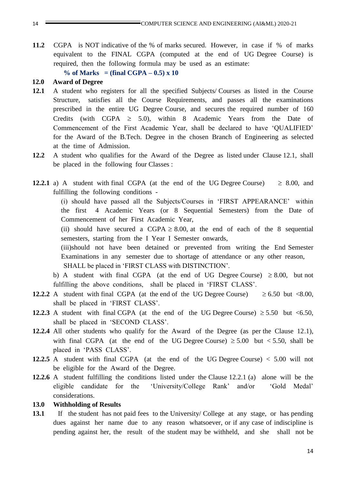**11.2** CGPA is NOT indicative of the % of marks secured. However, in case if % of marks equivalent to the FINAL CGPA (computed at the end of UG Degree Course) is required, then the following formula may be used as an estimate:

 $\%$  of Marks = (final CGPA  $-0.5$ ) x 10

#### **12.0 Award of Degree**

- **12.1** A student who registers for all the specified Subjects/ Courses as listed in the Course Structure, satisfies all the Course Requirements, and passes all the examinations prescribed in the entire UG Degree Course, and secures the required number of 160 Credits (with CGPA  $\geq$  5.0), within 8 Academic Years from the Date of Commencement of the First Academic Year, shall be declared to have 'QUALIFIED' for the Award of the B.Tech. Degree in the chosen Branch of Engineering as selected at the time of Admission.
- **12.2** A student who qualifies for the Award of the Degree as listed under Clause 12.1, shall be placed in the following four Classes :
- **12.2.1** a) A student with final CGPA (at the end of the UG Degree Course)  $\geq 8.00$ , and fulfilling the following conditions -

(i) should have passed all the Subjects/Courses in 'FIRST APPEARANCE' within the first 4 Academic Years (or 8 Sequential Semesters) from the Date of Commencement of her First Academic Year,

(ii) should have secured a CGPA  $\geq$  8.00, at the end of each of the 8 sequential semesters, starting from the I Year I Semester onwards,

(iii)should not have been detained or prevented from writing the End Semester Examinations in any semester due to shortage of attendance or any other reason, SHALL be placed in 'FIRST CLASS with DISTINCTION'.

b) A student with final CGPA (at the end of UG Degree Course)  $\geq 8.00$ , but not fulfilling the above conditions, shall be placed in 'FIRST CLASS'.

- **12.2.2** A student with final CGPA (at the end of the UG Degree Course)  $\geq 6.50$  but <8.00, shall be placed in 'FIRST CLASS'.
- **12.2.3** A student with final CGPA (at the end of the UG Degree Course)  $\geq 5.50$  but <6.50, shall be placed in 'SECOND CLASS'.
- **12.2.4** All other students who qualify for the Award of the Degree (as per the Clause 12.1), with final CGPA (at the end of the UG Degree Course)  $\geq 5.00$  but < 5.50, shall be placed in 'PASS CLASS'.
- **12.2.5** A student with final CGPA (at the end of the UG Degree Course) < 5.00 will not be eligible for the Award of the Degree.
- **12.2.6** A student fulfilling the conditions listed under the Clause 12.2.1 (a) alone will be the eligible candidate for the 'University/College Rank' and/or 'Gold Medal' considerations.

#### **13.0 Withholding of Results**

**13.1** If the student has not paid fees to the University/ College at any stage, or has pending dues against her name due to any reason whatsoever, or if any case of indiscipline is pending against her, the result of the student may be withheld, and she shall not be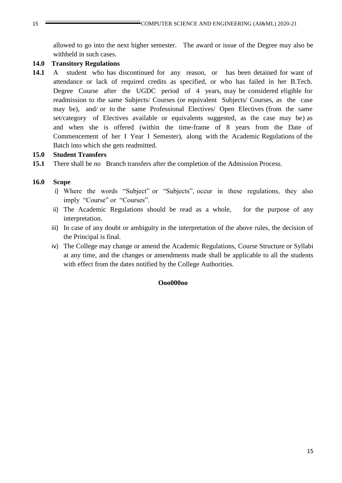allowed to go into the next higher semester. The award or issue of the Degree may also be withheld in such cases.

### **14.0 Transitory Regulations**

**14.1** A student who has discontinued for any reason, or has been detained for want of attendance or lack of required credits as specified, or who has failed in her B.Tech. Degree Course after the UGDC period of 4 years, may be considered eligible for readmission to the same Subjects/ Courses (or equivalent Subjects/ Courses, as the case may be), and/ or to the same Professional Electives/ Open Electives (from the same set/category of Electives available or equivalents suggested, as the case may be) as and when she is offered (within the time-frame of 8 years from the Date of Commencement of her I Year I Semester), along with the Academic Regulations of the Batch into which she gets readmitted.

## **15.0 Student Transfers**

**15.1** There shall be no Branch transfers after the completion of the Admission Process.

## **16.0 Scope**

- i) Where the words "Subject" or "Subjects", occur in these regulations, they also imply "Course" or "Courses".
- ii) The Academic Regulations should be read as a whole, for the purpose of any interpretation.
- iii) In case of any doubt or ambiguity in the interpretation of the above rules, the decision of the Principal is final.
- iv) The College may change or amend the Academic Regulations, Course Structure or Syllabi at any time, and the changes or amendments made shall be applicable to all the students with effect from the dates notified by the College Authorities.

### **Ooo000oo**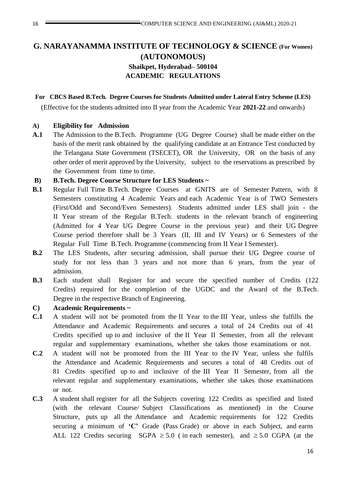# **G. NARAYANAMMA INSTITUTE OF TECHNOLOGY & SCIENCE (For Women) (AUTONOMOUS) Shaikpet, Hyderabad– 500104 ACADEMIC REGULATIONS**

#### **For CBCS Based B.Tech. Degree Courses for Students Admitted under Lateral Entry Scheme (LES)**

(Effective for the students admitted into II year from the Academic Year **2021-22** and onwards)

#### **A) Eligibility for Admission**

**A.1** The Admission to the B.Tech. Programme (UG Degree Course) shall be made either on the basis of the merit rank obtained by the qualifying candidate at an Entrance Test conducted by the Telangana State Government (TSECET), OR the University, OR on the basis of any other order of merit approved by the University, subject to the reservations as prescribed by the Government from time to time.

#### **B) B.Tech. Degree Course Structure for LES Students ~**

- **B.1** Regular Full Time B.Tech. Degree Courses at GNITS are of Semester Pattern, with 8 Semesters constituting 4 Academic Years and each Academic Year is of TWO Semesters (First/Odd and Second/Even Semesters). Students admitted under LES shall join - the II Year stream of the Regular B.Tech. students in the relevant branch of engineering (Admitted for 4 Year UG Degree Course in the previous year) and their UG Degree Course period therefore shall be 3 Years (II, III and IV Years) or 6 Semesters of the Regular Full Time B.Tech. Programme (commencing from II Year I Semester).
- **B.2** The LES Students, after securing admission, shall pursue their UG Degree course of study for not less than 3 years and not more than 6 years, from the year of admission.
- **B.3** Each student shall Register for and secure the specified number of Credits (122 Credits) required for the completion of the UGDC and the Award of the B.Tech. Degree in the respective Branch of Engineering.

#### **C) Academic Requirements ~**

- **C.1** A student will not be promoted from the II Year to the III Year, unless she fulfills the Attendance and Academic Requirements and secures a total of 24 Credits out of 41 Credits specified up to and inclusive of the II Year II Semester, from all the relevant regular and supplementary examinations, whether she takes those examinations or not.
- **C.2** A student will not be promoted from the III Year to the IV Year, unless she fulfils the Attendance and Academic Requirements and secures a total of 48 Credits out of 81 Credits specified up to and inclusive of the III Year II Semester, from all the relevant regular and supplementary examinations, whether she takes those examinations or not.
- **C.3** A student shall register for all the Subjects covering 122 Credits as specified and listed (with the relevant Course/ Subject Classifications as mentioned) in the Course Structure, puts up all the Attendance and Academic requirements for 122 Credits securing a minimum of **'C'** Grade (Pass Grade) or above in each Subject, and earns ALL 122 Credits securing SGPA  $\geq 5.0$  (in each semester), and  $\geq 5.0$  CGPA (at the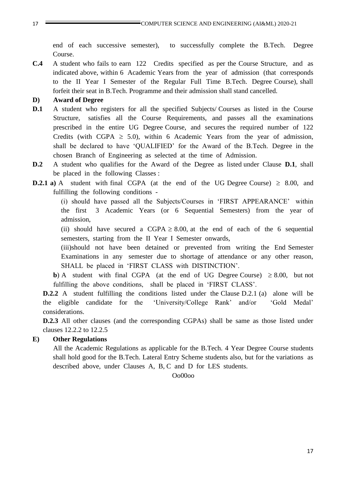end of each successive semester), to successfully complete the B.Tech. Degree Course.

**C.4** A student who fails to earn 122 Credits specified as per the Course Structure, and as indicated above, within 6 Academic Years from the year of admission (that corresponds to the II Year I Semester of the Regular Full Time B.Tech. Degree Course), shall forfeit their seat in B.Tech. Programme and their admission shall stand cancelled.

#### **D) Award of Degree**

- **D.1** A student who registers for all the specified Subjects/ Courses as listed in the Course Structure, satisfies all the Course Requirements, and passes all the examinations prescribed in the entire UG Degree Course, and secures the required number of 122 Credits (with CGPA  $\geq$  5.0), within 6 Academic Years from the year of admission, shall be declared to have 'QUALIFIED' for the Award of the B.Tech. Degree in the chosen Branch of Engineering as selected at the time of Admission.
- **D.2** A student who qualifies for the Award of the Degree as listed under Clause **D.1**, shall be placed in the following Classes :
- **D.2.1** a) A student with final CGPA (at the end of the UG Degree Course)  $\geq 8.00$ , and fulfilling the following conditions -

(i) should have passed all the Subjects/Courses in 'FIRST APPEARANCE' within the first 3 Academic Years (or 6 Sequential Semesters) from the year of admission,

(ii) should have secured a CGPA  $\geq$  8.00, at the end of each of the 6 sequential semesters, starting from the II Year I Semester onwards,

(iii)should not have been detained or prevented from writing the End Semester Examinations in any semester due to shortage of attendance or any other reason, SHALL be placed in 'FIRST CLASS with DISTINCTION'.

**b**) A student with final CGPA (at the end of UG Degree Course)  $\geq 8.00$ , but not fulfilling the above conditions, shall be placed in 'FIRST CLASS'.

**D.2.2** A student fulfilling the conditions listed under the Clause D.2.1 (a) alone will be the eligible candidate for the 'University/College Rank' and/or 'Gold Medal' considerations.

**D.2.3** All other clauses (and the corresponding CGPAs) shall be same as those listed under clauses 12.2.2 to 12.2.5

#### **E) Other Regulations**

All the Academic Regulations as applicable for the B.Tech. 4 Year Degree Course students shall hold good for the B.Tech. Lateral Entry Scheme students also, but for the variations as described above, under Clauses A, B, C and D for LES students.

Oo00oo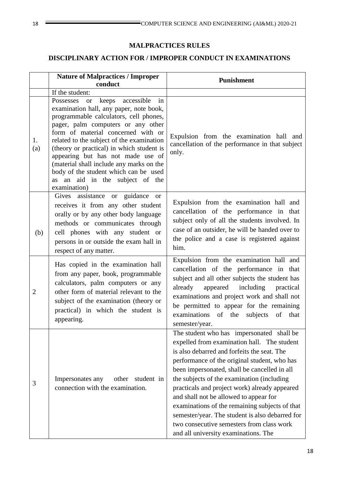# **MALPRACTICES RULES**

# **DISCIPLINARY ACTION FOR / IMPROPER CONDUCT IN EXAMINATIONS**

|                | <b>Nature of Malpractices / Improper</b><br>conduct                                                                                                                                                                                                                                                                                                                                                                                                                         | Punishment                                                                                                                                                                                                                                                                                                                                                                                                                                                                                                                                                                 |  |  |  |
|----------------|-----------------------------------------------------------------------------------------------------------------------------------------------------------------------------------------------------------------------------------------------------------------------------------------------------------------------------------------------------------------------------------------------------------------------------------------------------------------------------|----------------------------------------------------------------------------------------------------------------------------------------------------------------------------------------------------------------------------------------------------------------------------------------------------------------------------------------------------------------------------------------------------------------------------------------------------------------------------------------------------------------------------------------------------------------------------|--|--|--|
|                | If the student:                                                                                                                                                                                                                                                                                                                                                                                                                                                             |                                                                                                                                                                                                                                                                                                                                                                                                                                                                                                                                                                            |  |  |  |
| 1.<br>(a)      | Possesses or keeps accessible<br>in<br>examination hall, any paper, note book,<br>programmable calculators, cell phones,<br>pager, palm computers or any other<br>form of material concerned with or<br>related to the subject of the examination<br>(theory or practical) in which student is<br>appearing but has not made use of<br>(material shall include any marks on the<br>body of the student which can be used<br>as an aid in the subject of the<br>examination) | Expulsion from the examination hall and<br>cancellation of the performance in that subject<br>only.                                                                                                                                                                                                                                                                                                                                                                                                                                                                        |  |  |  |
| (b)            | Gives assistance or guidance or<br>receives it from any other student<br>orally or by any other body language<br>methods or communicates through<br>cell phones with any student or<br>persons in or outside the exam hall in<br>respect of any matter.                                                                                                                                                                                                                     | Expulsion from the examination hall and<br>cancellation of the performance in that<br>subject only of all the students involved. In<br>case of an outsider, he will be handed over to<br>the police and a case is registered against<br>him.                                                                                                                                                                                                                                                                                                                               |  |  |  |
| $\overline{2}$ | Has copied in the examination hall<br>from any paper, book, programmable<br>calculators, palm computers or any<br>other form of material relevant to the<br>subject of the examination (theory or<br>practical) in which the student is<br>appearing.                                                                                                                                                                                                                       | Expulsion from the examination hall and<br>cancellation of the performance in that<br>subject and all other subjects the student has<br>already appeared including practical<br>examinations and project work and shall not<br>be permitted to appear for the remaining<br>examinations<br>of the<br>subjects<br>of<br>that<br>semester/year.                                                                                                                                                                                                                              |  |  |  |
| 3              | Impersonates any<br>other<br>student in<br>connection with the examination.                                                                                                                                                                                                                                                                                                                                                                                                 | The student who has impersonated shall be<br>expelled from examination hall. The student<br>is also debarred and forfeits the seat. The<br>performance of the original student, who has<br>been impersonated, shall be cancelled in all<br>the subjects of the examination (including<br>practicals and project work) already appeared<br>and shall not be allowed to appear for<br>examinations of the remaining subjects of that<br>semester/year. The student is also debarred for<br>two consecutive semesters from class work<br>and all university examinations. The |  |  |  |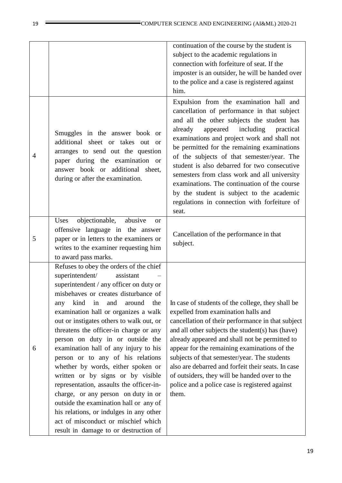|   |                                                                                                                                                                                                                                                                                                                                                                                                                                                                                                                                                                                                                                                                                                                                                                                            | continuation of the course by the student is<br>subject to the academic regulations in<br>connection with forfeiture of seat. If the<br>imposter is an outsider, he will be handed over<br>to the police and a case is registered against<br>him.                                                                                                                                                                                                                                                                                                                                       |
|---|--------------------------------------------------------------------------------------------------------------------------------------------------------------------------------------------------------------------------------------------------------------------------------------------------------------------------------------------------------------------------------------------------------------------------------------------------------------------------------------------------------------------------------------------------------------------------------------------------------------------------------------------------------------------------------------------------------------------------------------------------------------------------------------------|-----------------------------------------------------------------------------------------------------------------------------------------------------------------------------------------------------------------------------------------------------------------------------------------------------------------------------------------------------------------------------------------------------------------------------------------------------------------------------------------------------------------------------------------------------------------------------------------|
| 4 | Smuggles in the answer book or<br>additional sheet or takes out or<br>arranges to send out the question<br>paper during the examination or<br>answer book or additional sheet,<br>during or after the examination.                                                                                                                                                                                                                                                                                                                                                                                                                                                                                                                                                                         | Expulsion from the examination hall and<br>cancellation of performance in that subject<br>and all the other subjects the student has<br>appeared<br>including<br>already<br>practical<br>examinations and project work and shall not<br>be permitted for the remaining examinations<br>of the subjects of that semester/year. The<br>student is also debarred for two consecutive<br>semesters from class work and all university<br>examinations. The continuation of the course<br>by the student is subject to the academic<br>regulations in connection with forfeiture of<br>seat. |
| 5 | objectionable,<br>Uses<br>abusive<br><sub>or</sub><br>offensive language in the answer<br>paper or in letters to the examiners or<br>writes to the examiner requesting him<br>to award pass marks.                                                                                                                                                                                                                                                                                                                                                                                                                                                                                                                                                                                         | Cancellation of the performance in that<br>subject.                                                                                                                                                                                                                                                                                                                                                                                                                                                                                                                                     |
| 6 | Refuses to obey the orders of the chief<br>superintendent/<br>assistant<br>superintendent / any officer on duty or<br>misbehaves or creates disturbance of<br>the<br>kind<br>in<br>and<br>around<br>any<br>examination hall or organizes a walk<br>out or instigates others to walk out, or<br>threatens the officer-in charge or any<br>person on duty in or outside the<br>examination hall of any injury to his<br>person or to any of his relations<br>whether by words, either spoken or<br>written or by signs or by visible<br>representation, assaults the officer-in-<br>charge, or any person on duty in or<br>outside the examination hall or any of<br>his relations, or indulges in any other<br>act of misconduct or mischief which<br>result in damage to or destruction of | In case of students of the college, they shall be<br>expelled from examination halls and<br>cancellation of their performance in that subject<br>and all other subjects the student(s) has (have)<br>already appeared and shall not be permitted to<br>appear for the remaining examinations of the<br>subjects of that semester/year. The students<br>also are debarred and forfeit their seats. In case<br>of outsiders, they will be handed over to the<br>police and a police case is registered against<br>them.                                                                   |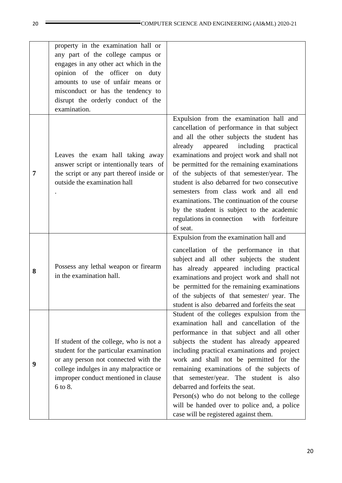|   | property in the examination hall or<br>any part of the college campus or<br>engages in any other act which in the<br>opinion of the officer on duty<br>amounts to use of unfair means or                               |                                                                                                                                                                                                                                                                                                                                                                                                                                                                                                                                                                               |
|---|------------------------------------------------------------------------------------------------------------------------------------------------------------------------------------------------------------------------|-------------------------------------------------------------------------------------------------------------------------------------------------------------------------------------------------------------------------------------------------------------------------------------------------------------------------------------------------------------------------------------------------------------------------------------------------------------------------------------------------------------------------------------------------------------------------------|
|   | misconduct or has the tendency to<br>disrupt the orderly conduct of the<br>examination.                                                                                                                                |                                                                                                                                                                                                                                                                                                                                                                                                                                                                                                                                                                               |
| 7 | Leaves the exam hall taking away<br>answer script or intentionally tears of<br>the script or any part thereof inside or<br>outside the examination hall                                                                | Expulsion from the examination hall and<br>cancellation of performance in that subject<br>and all the other subjects the student has<br>appeared including<br>already<br>practical<br>examinations and project work and shall not<br>be permitted for the remaining examinations<br>of the subjects of that semester/year. The<br>student is also debarred for two consecutive<br>semesters from class work and all end<br>examinations. The continuation of the course<br>by the student is subject to the academic<br>regulations in connection with forfeiture<br>of seat. |
| 8 | Possess any lethal weapon or firearm<br>in the examination hall.                                                                                                                                                       | Expulsion from the examination hall and<br>cancellation of the performance in that<br>subject and all other subjects the student<br>has already appeared including practical<br>examinations and project work and shall not<br>be permitted for the remaining examinations<br>of the subjects of that semester/ year. The<br>student is also debarred and forfeits the seat                                                                                                                                                                                                   |
| 9 | If student of the college, who is not a<br>student for the particular examination<br>or any person not connected with the<br>college indulges in any malpractice or<br>improper conduct mentioned in clause<br>6 to 8. | Student of the colleges expulsion from the<br>examination hall and cancellation of the<br>performance in that subject and all other<br>subjects the student has already appeared<br>including practical examinations and project<br>work and shall not be permitted for the<br>remaining examinations of the subjects of<br>that semester/year. The student is also<br>debarred and forfeits the seat.<br>Person(s) who do not belong to the college<br>will be handed over to police and, a police<br>case will be registered against them.                                  |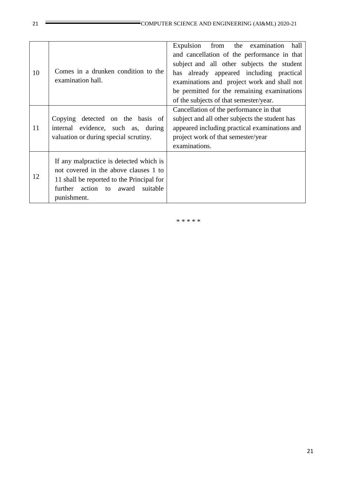| 10 | Comes in a drunken condition to the<br>examination hall.                                                                                                                               | Expulsion<br>from the examination<br>hall<br>and cancellation of the performance in that<br>subject and all other subjects the student<br>has already appeared including practical<br>examinations and project work and shall not<br>be permitted for the remaining examinations<br>of the subjects of that semester/year. |
|----|----------------------------------------------------------------------------------------------------------------------------------------------------------------------------------------|----------------------------------------------------------------------------------------------------------------------------------------------------------------------------------------------------------------------------------------------------------------------------------------------------------------------------|
| 11 | Copying detected on the basis of<br>evidence, such as, during<br>internal<br>valuation or during special scrutiny.                                                                     | Cancellation of the performance in that<br>subject and all other subjects the student has<br>appeared including practical examinations and<br>project work of that semester/year<br>examinations.                                                                                                                          |
| 12 | If any malpractice is detected which is<br>not covered in the above clauses 1 to<br>11 shall be reported to the Principal for<br>further action to<br>award<br>suitable<br>punishment. |                                                                                                                                                                                                                                                                                                                            |

\* \* \* \* \*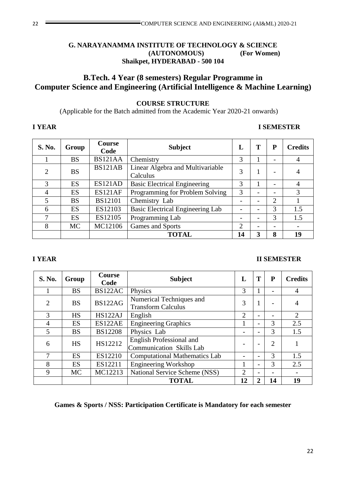# **G. NARAYANAMMA INSTITUTE OF TECHNOLOGY & SCIENCE (AUTONOMOUS) (For Women) Shaikpet, HYDERABAD - 500 104**

# **B.Tech. 4 Year (8 semesters) Regular Programme in Computer Science and Engineering (Artificial Intelligence & Machine Learning)**

# **COURSE STRUCTURE**

(Applicable for the Batch admitted from the Academic Year 2020-21 onwards)

# **I YEAR I SEMESTER**

| S. No.         | Group     | <b>Course</b><br>Code | <b>Subject</b>                               | L  | T | P                        | <b>Credits</b>           |
|----------------|-----------|-----------------------|----------------------------------------------|----|---|--------------------------|--------------------------|
|                | <b>BS</b> | BS121AA               | Chemistry                                    | 3  |   |                          | 4                        |
|                | <b>BS</b> | <b>BS121AB</b>        | Linear Algebra and Multivariable<br>Calculus | 3  |   |                          | 4                        |
| 3              | ES        | ES121AD               | <b>Basic Electrical Engineering</b>          | 3  |   | $\overline{\phantom{0}}$ | 4                        |
| $\overline{4}$ | ES        | ES121AF               | Programming for Problem Solving              | 3  |   | $\overline{\phantom{0}}$ | 3                        |
| $\overline{5}$ | <b>BS</b> | <b>BS12101</b>        | Chemistry Lab                                |    |   | 2                        |                          |
| 6              | <b>ES</b> | ES12103               | Basic Electrical Engineering Lab             |    |   | 3                        | 1.5                      |
|                | ES        | ES12105               | Programming Lab                              |    |   | 3                        | 1.5                      |
| 8              | MC        | MC12106               | Games and Sports                             | 2  |   | $\overline{\phantom{0}}$ | $\overline{\phantom{a}}$ |
|                |           |                       | <b>TOTAL</b>                                 | 14 | 3 | 8                        | 19                       |

### **I YEAR II SEMESTER**

| S. No.                      | Group     | <b>Course</b><br>Code | <b>Subject</b>                                                     | L              | T                        | ${\bf P}$      | <b>Credits</b> |
|-----------------------------|-----------|-----------------------|--------------------------------------------------------------------|----------------|--------------------------|----------------|----------------|
|                             | <b>BS</b> | BS122AC               | Physics                                                            | 3              |                          |                | 4              |
| $\mathcal{D}_{\mathcal{L}}$ | <b>BS</b> | <b>BS122AG</b>        | Numerical Techniques and<br><b>Transform Calculus</b>              | 3              | 1                        |                | $\overline{4}$ |
| 3                           | <b>HS</b> | HS122AJ               | English                                                            | $\overline{2}$ | $\overline{\phantom{a}}$ |                | $\overline{2}$ |
| $\overline{4}$              | ES        | ES122AE               | <b>Engineering Graphics</b>                                        |                | $\overline{\phantom{0}}$ | 3              | 2.5            |
| 5                           | <b>BS</b> | <b>BS12208</b>        | Physics Lab                                                        |                | $\overline{\phantom{0}}$ | 3              | 1.5            |
| 6                           | <b>HS</b> | HS12212               | <b>English Professional and</b><br><b>Communication Skills Lab</b> |                |                          | $\overline{2}$ |                |
|                             | <b>ES</b> | ES12210               | <b>Computational Mathematics Lab</b>                               |                | $\overline{\phantom{0}}$ | 3              | 1.5            |
| 8                           | <b>ES</b> | ES12211               | <b>Engineering Workshop</b>                                        | 1              | $\qquad \qquad$          | 3              | 2.5            |
| 9                           | <b>MC</b> | MC12213               | National Service Scheme (NSS)                                      | $\overline{2}$ | $\overline{\phantom{a}}$ |                |                |
|                             |           |                       | <b>TOTAL</b>                                                       | 12             | $\overline{2}$           | 14             | 19             |

**Games & Sports / NSS: Participation Certificate is Mandatory for each semester**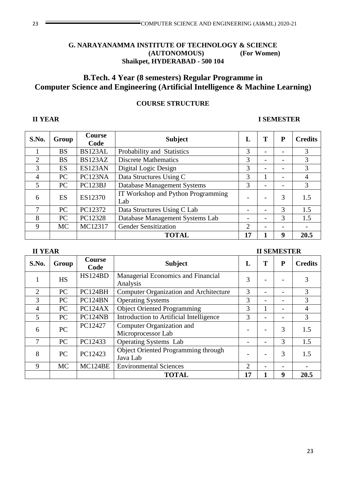# 23 COMPUTER SCIENCE AND ENGINEERING (AI&ML) 2020-21

#### **G. NARAYANAMMA INSTITUTE OF TECHNOLOGY & SCIENCE (AUTONOMOUS) (For Women) Shaikpet, HYDERABAD - 500 104**

# **B.Tech. 4 Year (8 semesters) Regular Programme in Computer Science and Engineering (Artificial Intelligence & Machine Learning)**

#### **COURSE STRUCTURE**

**II YEAR** 

# **II YEAR I SEMESTER**

| S.No.          | Group     | <b>Course</b><br>Code | <b>Subject</b>                            | L              | T                        | P | <b>Credits</b> |
|----------------|-----------|-----------------------|-------------------------------------------|----------------|--------------------------|---|----------------|
|                | <b>BS</b> | BS123AL               | Probability and Statistics                | 3              | $\overline{\phantom{0}}$ |   | 3              |
| $\overline{2}$ | <b>BS</b> | BS123AZ               | <b>Discrete Mathematics</b>               | 3              | $\overline{a}$           |   | 3              |
| 3              | ES        | ES123AN               | Digital Logic Design                      | 3              | $\overline{\phantom{a}}$ | - | 3              |
| $\overline{4}$ | PC        | PC123NA               | Data Structures Using C                   | 3              |                          |   | $\overline{4}$ |
| 5              | PC        | PC123BJ               | Database Management Systems               | 3              | $\overline{a}$           | - | 3              |
| 6              | ES        | ES12370               | IT Workshop and Python Programming<br>Lab |                |                          | 3 | 1.5            |
|                | PC        | PC12372               | Data Structures Using C Lab               |                | $\overline{\phantom{a}}$ | 3 | 1.5            |
| 8              | PC        | PC12328               | Database Management Systems Lab           |                | $\overline{\phantom{0}}$ | 3 | 1.5            |
| 9              | <b>MC</b> | MC12317               | <b>Gender Sensitization</b>               | $\overline{2}$ |                          |   |                |
|                |           |                       | <b>TOTAL</b>                              | 17             |                          | 9 | 20.5           |

|  | <b>II SEMESTER</b> |
|--|--------------------|
|  |                    |

| S.No.          | Group     | <b>Course</b><br>Code | <b>Subject</b>                                         | L              | Т | P | <b>Credits</b> |
|----------------|-----------|-----------------------|--------------------------------------------------------|----------------|---|---|----------------|
|                | <b>HS</b> | HS124BD               | Managerial Economics and Financial<br>Analysis         | 3              |   |   |                |
| $\overline{2}$ | PC        | PC124BH               | <b>Computer Organization and Architecture</b>          | 3              |   |   | 3              |
| 3              | PC        | PC124BN               | <b>Operating Systems</b>                               | 3              |   |   | 3              |
| 4              | <b>PC</b> | PC124AX               | <b>Object Oriented Programming</b>                     | 3              |   |   | 4              |
| 5              | PC        | PC124NB               | Introduction to Artificial Intelligence                | 3              |   |   | 3              |
| 6              | PC        | PC12427               | Computer Organization and<br>Microprocessor Lab        |                |   | 3 | 1.5            |
| 7              | <b>PC</b> | PC12433               | <b>Operating Systems</b> Lab                           |                |   | 3 | 1.5            |
| 8              | <b>PC</b> | PC12423               | <b>Object Oriented Programming through</b><br>Java Lab |                |   | 3 | 1.5            |
| 9              | <b>MC</b> | MC124BE               | <b>Environmental Sciences</b>                          | $\overline{2}$ |   |   |                |
|                |           |                       | <b>TOTAL</b>                                           | 17             |   | 9 | 20.5           |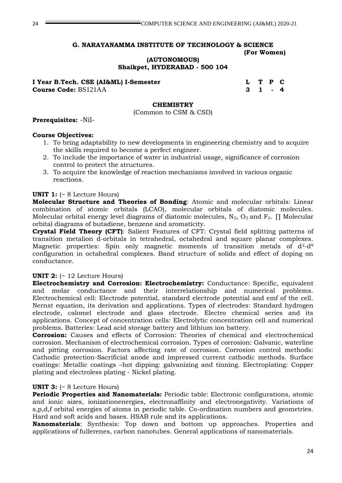#### **G. NARAYANAMMA INSTITUTE OF TECHNOLOGY & SCIENCE (For Women)**

**(AUTONOMOUS)**

**Shaikpet, HYDERABAD - 500 104**

**I Year B.Tech. CSE (AI&ML) I-Semester L T P C Course Code:** BS121AA **3 1 - 4** 

#### **CHEMISTRY**

(Common to CSM & CSD)

#### **Prerequisites:** -Nil-

#### **Course Objectives:**

- 1. To bring adaptability to new developments in engineering chemistry and to acquire the skills required to become a perfect engineer.
- 2. To include the importance of water in industrial usage, significance of corrosion control to protect the structures.
- 3. To acquire the knowledge of reaction mechanisms involved in various organic reactions.

#### **UNIT 1:** (~ 8 Lecture Hours)

**Molecular Structure and Theories of Bonding**: Atomic and molecular orbitals: Linear combination of atomic orbitals (LCAO), molecular orbitals of diatomic molecules. Molecular orbital energy level diagrams of diatomic molecules,  $N_2$ ,  $O_2$  and  $F_2$ .  $\Pi$  Molecular orbital diagrams of butadiene, benzene and aromaticity.

**Crystal Field Theory (CFT)**: Salient Features of CFT: Crystal field splitting patterns of transition metalion d-orbitals in tetrahedral, octahedral and square planar complexes. Magnetic properties: Spin only magnetic moments of transition metals of  $d^2-d^9$ configuration in octahedral complexes. Band structure of solids and effect of doping on conductance.

#### **UNIT 2:** (~ 12 Lecture Hours)

**Electrochemistry and Corrosion: Electrochemistry:** Conductance: Specific, equivalent and molar conductance and their interrelationship and numerical problems. Electrochemical cell: Electrode potential, standard electrode potential and emf of the cell. Nernst equation, its derivation and applications. Types of electrodes: Standard hydrogen electrode, calomel electrode and glass electrode. Electro chemical series and its applications. Concept of concentration cells: Electrolytic concentration cell and numerical problems. Batteries: Lead acid storage battery and lithium ion battery.

**Corrosion:** Causes and effects of Corrosion: Theories of chemical and electrochemical corrosion. Mechanism of electrochemical corrosion. Types of corrosion: Galvanic, waterline and pitting corrosion. Factors affecting rate of corrosion. Corrosion control methods: Cathodic protection-Sacrificial anode and impressed current cathodic methods. Surface coatings: Metallic coatings –hot dipping: galvanizing and tinning. Electroplating: Copper plating and electroless plating - Nickel plating.

#### **UNIT 3:** (~ 8 Lecture Hours)

**Periodic Properties and Nanomaterials:** Periodic table: Electronic configurations, atomic and ionic sizes, ionizationenergies, electronaffinity and electronegativity. Variations of s,p,d,f orbital energies of atoms in periodic table. Co-ordination numbers and geometries. Hard and soft acids and bases. HSAB rule and its applications.

**Nanomaterials**: Synthesis: Top down and bottom up approaches. Properties and applications of fullerenes, carbon nanotubes. General applications of nanomaterials.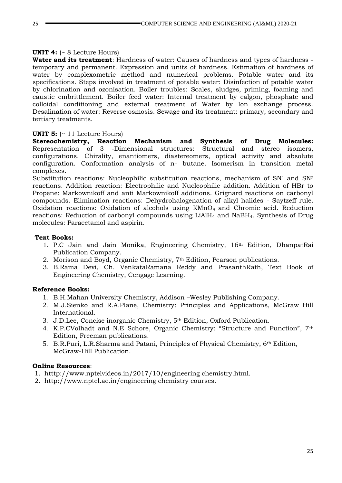#### **UNIT 4:** (~ 8 Lecture Hours)

**Water and its treatment**: Hardness of water: Causes of hardness and types of hardness temporary and permanent. Expression and units of hardness. Estimation of hardness of water by complexometric method and numerical problems. Potable water and its specifications. Steps involved in treatment of potable water: Disinfection of potable water by chlorination and ozonisation. Boiler troubles: Scales, sludges, priming, foaming and caustic embrittlement. Boiler feed water: Internal treatment by calgon, phosphate and colloidal conditioning and external treatment of Water by Ion exchange process. Desalination of water: Reverse osmosis. Sewage and its treatment: primary, secondary and tertiary treatments.

#### **UNIT 5:** (~ 11 Lecture Hours)

**Stereochemistry, Reaction Mechanism and Synthesis of Drug Molecules:**  Representation of 3 -Dimensional structures: Structural and stereo isomers, configurations. Chirality, enantiomers, diastereomers, optical activity and absolute configuration. Conformation analysis of n- butane. Isomerism in transition metal complexes.

Substitution reactions: Nucleophilic substitution reactions, mechanism of  $SN<sup>1</sup>$  and  $SN<sup>2</sup>$ reactions. Addition reaction: Electrophilic and Nucleophilic addition. Addition of HBr to Propene: Markownikoff and anti Markownikoff additions. Grignard reactions on carbonyl compounds. Elimination reactions: Dehydrohalogenation of alkyl halides - Saytzeff rule. Oxidation reactions: Oxidation of alcohols using  $KMD<sub>4</sub>$  and Chromic acid. Reduction reactions: Reduction of carbonyl compounds using LiAlH<sup>4</sup> and NaBH4. Synthesis of Drug molecules: Paracetamol and aspirin.

#### **Text Books:**

- 1. P.C Jain and Jain Monika, Engineering Chemistry, 16th Edition, DhanpatRai Publication Company.
- 2. Morison and Boyd, Organic Chemistry, 7th Edition, Pearson publications.
- 3. B.Rama Devi, Ch. VenkataRamana Reddy and PrasanthRath, Text Book of Engineering Chemistry, Cengage Learning.

#### **Reference Books:**

- 1. B.H.Mahan University Chemistry, Addison –Wesley Publishing Company.
- 2. M.J.Sienko and R.A.Plane, Chemistry: Principles and Applications, McGraw Hill International.
- 3. J.D.Lee, Concise inorganic Chemistry, 5th Edition, Oxford Publication.
- 4. K.P.CVolhadt and N.E Schore, Organic Chemistry: "Structure and Function", 7th Edition, Freeman publications.
- 5. B.R.Puri, L.R.Sharma and Patani, Principles of Physical Chemistry, 6th Edition, McGraw-Hill Publication.

#### **Online Resources**:

- 1. htttp://www.nptelvideos.in/2017/10/engineering chemistry.html.
- 2. http://www.nptel.ac.in/engineering chemistry courses.

25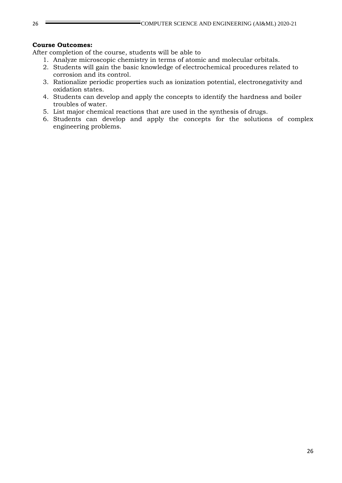#### **Course Outcomes:**

After completion of the course, students will be able to

- 1. Analyze microscopic chemistry in terms of atomic and molecular orbitals.
- 2. Students will gain the basic knowledge of electrochemical procedures related to corrosion and its control.
- 3. Rationalize periodic properties such as ionization potential, electronegativity and oxidation states.
- 4. Students can develop and apply the concepts to identify the hardness and boiler troubles of water.
- 5. List major chemical reactions that are used in the synthesis of drugs.
- 6. Students can develop and apply the concepts for the solutions of complex engineering problems.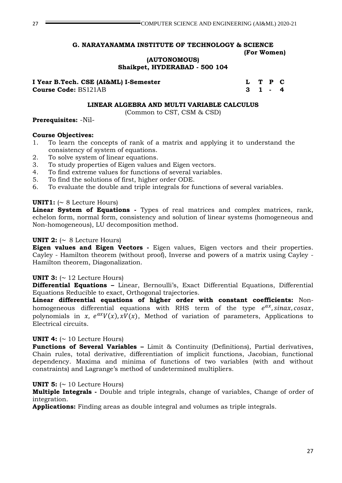#### **G. NARAYANAMMA INSTITUTE OF TECHNOLOGY & SCIENCE (For Women)**

**(AUTONOMOUS)**

**Shaikpet, HYDERABAD - 500 104**

**I Year B.Tech. CSE (AI&ML) I-Semester L T P C** 

**Course Code:** BS121AB 3 1 - 4

#### **LINEAR ALGEBRA AND MULTI VARIABLE CALCULUS**

(Common to CST, CSM & CSD)

#### **Prerequisites:** -Nil-

#### **Course Objectives:**

- 1. To learn the concepts of rank of a matrix and applying it to understand the consistency of system of equations.
- 2. To solve system of linear equations.
- 3. To study properties of Eigen values and Eigen vectors.
- 4. To find extreme values for functions of several variables.
- 5. To find the solutions of first, higher order ODE.
- 6. To evaluate the double and triple integrals for functions of several variables.

#### **UNIT1:**  $( \sim 8$  Lecture Hours)

**Linear System of Equations -** Types of real matrices and complex matrices, rank, echelon form, normal form, consistency and solution of linear systems (homogeneous and Non-homogeneous), LU decomposition method.

#### **UNIT 2:**  $\sim$  8 Lecture Hours)

**Eigen values and Eigen Vectors -** Eigen values, Eigen vectors and their properties. Cayley - Hamilton theorem (without proof), Inverse and powers of a matrix using Cayley - Hamilton theorem, Diagonalization.

#### **UNIT 3:**  $\sim$  12 Lecture Hours)

**Differential Equations –** Linear, Bernoulli's, Exact Differential Equations, Differential Equations Reducible to exact, Orthogonal trajectories.

**Linear differential equations of higher order with constant coefficients:** Nonhomogeneous differential equations with RHS term of the type  $e^{ax}$ , sinax, cosax, polynomials in x,  $e^{ax}V(x)$ ,  $xV(x)$ , Method of variation of parameters, Applications to Electrical circuits.

#### **UNIT 4:**  $( \sim 10$  Lecture Hours)

**Functions of Several Variables –** Limit & Continuity (Definitions), Partial derivatives, Chain rules, total derivative, differentiation of implicit functions, Jacobian, functional dependency. Maxima and minima of functions of two variables (with and without constraints) and Lagrange's method of undetermined multipliers.

#### **UNIT 5:**  $\sim$  10 Lecture Hours)

**Multiple Integrals -** Double and triple integrals, change of variables, Change of order of integration.

**Applications:** Finding areas as double integral and volumes as triple integrals.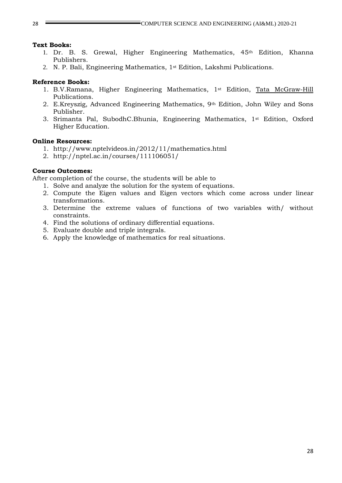#### **Text Books:**

- 1. Dr. B. S. Grewal, Higher Engineering Mathematics, 45th Edition, Khanna Publishers.
- 2. N. P. Bali, Engineering Mathematics, 1st Edition, Lakshmi Publications.

#### **Reference Books:**

- 1. B.V.Ramana, Higher Engineering Mathematics, 1st Edition, [Tata McGraw-Hill](http://www.tatamcgrawhill.com/) Publications.
- 2. E.Kreyszig, Advanced Engineering Mathematics, 9th Edition, John Wiley and Sons Publisher.
- 3. Srimanta Pal, SubodhC.Bhunia, Engineering Mathematics, 1st Edition, Oxford Higher Education.

#### **Online Resources:**

- 1. http://www.nptelvideos.in/2012/11/mathematics.html
- 2. http://nptel.ac.in/courses/111106051/

#### **Course Outcomes:**

After completion of the course, the students will be able to

- 1. Solve and analyze the solution for the system of equations.
- 2. Compute the Eigen values and Eigen vectors which come across under linear transformations.
- 3. Determine the extreme values of functions of two variables with/ without constraints.
- 4. Find the solutions of ordinary differential equations.
- 5. Evaluate double and triple integrals.
- 6. Apply the knowledge of mathematics for real situations.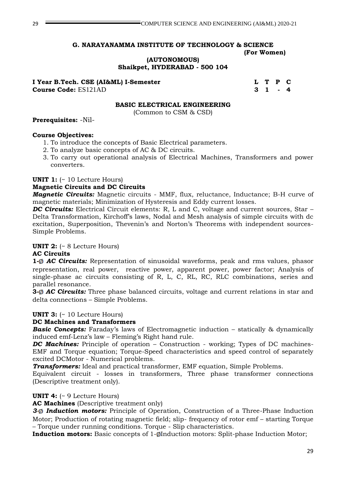#### **G. NARAYANAMMA INSTITUTE OF TECHNOLOGY & SCIENCE (For Women)**

**(AUTONOMOUS) Shaikpet, HYDERABAD - 500 104**

**I Year B.Tech. CSE (AI&ML) I-Semester L T P C** 

**Course Code:** ES121AD 3 1 - 4

#### **BASIC ELECTRICAL ENGINEERING**

(Common to CSM & CSD)

#### **Prerequisites:** -Nil-

#### **Course Objectives:**

- 1. To introduce the concepts of Basic Electrical parameters.
- 2. To analyze basic concepts of AC & DC circuits.
- 3. To carry out operational analysis of Electrical Machines, Transformers and power converters.

#### **UNIT 1:** (~ 10 Lecture Hours)

#### **Magnetic Circuits and DC Circuits**

*Magnetic Circuits:* Magnetic circuits - MMF, flux, reluctance, Inductance; B-H curve of magnetic materials; Minimization of Hysteresis and Eddy current losses.

*DC Circuits:* Electrical Circuit elements: R, L and C, voltage and current sources, Star – Delta Transformation, Kirchoff's laws, Nodal and Mesh analysis of simple circuits with dc excitation, Superposition, Thevenin's and Norton's Theorems with independent sources-Simple Problems.

#### **UNIT 2:** (~ 8 Lecture Hours)

#### **AC Circuits**

**1-**<sup> $\phi$ </sup> *AC Circuits:* Representation of sinusoidal waveforms, peak and rms values, phasor representation, real power, reactive power, apparent power, power factor; Analysis of single-phase ac circuits consisting of R, L, C, RL, RC, RLC combinations, series and parallel resonance.

**3-**<sup> $\phi$ </sup> **AC Circuits:** Three phase balanced circuits, voltage and current relations in star and delta connections – Simple Problems.

#### **UNIT 3:** (~ 10 Lecture Hours)

#### **DC Machines and Transformers**

**Basic Concepts:** Faraday's laws of Electromagnetic induction – statically & dynamically induced emf-Lenz's law – Fleming's Right hand rule.

*DC Machines:* Principle of operation – Construction - working; Types of DC machines-EMF and Torque equation; Torque-Speed characteristics and speed control of separately excited DCMotor - Numerical problems.

*Transformers:* Ideal and practical transformer, EMF equation, Simple Problems.

Equivalent circuit - losses in transformers, Three phase transformer connections (Descriptive treatment only).

#### **UNIT 4:** (~ 9 Lecture Hours)

**AC Machines** (Descriptive treatment only)

3-**0 Induction motors:** Principle of Operation, Construction of a Three-Phase Induction Motor; Production of rotating magnetic field; slip- frequency of rotor emf – starting Torque – Torque under running conditions. Torque - Slip characteristics.

**Induction motors:** Basic concepts of 1-ØInduction motors: Split-phase Induction Motor;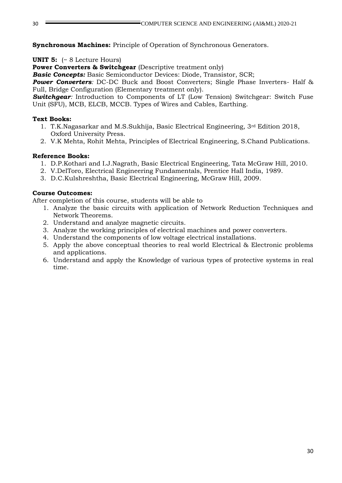**Synchronous Machines:** Principle of Operation of Synchronous Generators.

**UNIT 5:** (~ 8 Lecture Hours)

**Power Converters & Switchgear** (Descriptive treatment only)

*Basic Concepts:* Basic Semiconductor Devices: Diode, Transistor, SCR;

**Power Converters**: DC-DC Buck and Boost Converters; Single Phase Inverters- Half & Full, Bridge Configuration (Elementary treatment only).

**Switchgear**: Introduction to Components of LT (Low Tension) Switchgear: Switch Fuse Unit (SFU), MCB, ELCB, MCCB. Types of Wires and Cables, Earthing.

### **Text Books:**

- 1. T.K.Nagasarkar and M.S.Sukhija, Basic Electrical Engineering, 3rd Edition 2018, Oxford University Press.
- 2. V.K Mehta, Rohit Mehta, Principles of Electrical Engineering, S.Chand Publications.

### **Reference Books:**

- 1. D.P.Kothari and I.J.Nagrath, Basic Electrical Engineering, Tata McGraw Hill, 2010.
- 2. V.DelToro, Electrical Engineering Fundamentals, Prentice Hall India, 1989.
- 3. D.C.Kulshreshtha, Basic Electrical Engineering, McGraw Hill, 2009.

### **Course Outcomes:**

After completion of this course, students will be able to

- 1. Analyze the basic circuits with application of Network Reduction Techniques and Network Theorems.
- 2. Understand and analyze magnetic circuits.
- 3. Analyze the working principles of electrical machines and power converters.
- 4. Understand the components of low voltage electrical installations.
- 5. Apply the above conceptual theories to real world Electrical & Electronic problems and applications.
- 6. Understand and apply the Knowledge of various types of protective systems in real time.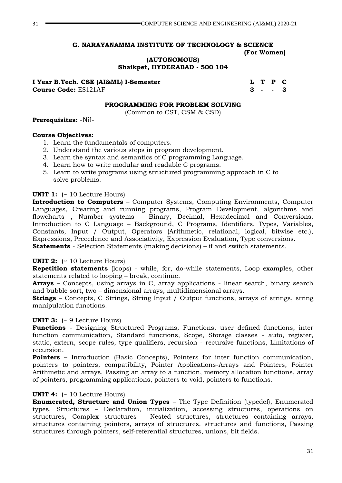## **G. NARAYANAMMA INSTITUTE OF TECHNOLOGY & SCIENCE (For Women)**

**(AUTONOMOUS)**

**Shaikpet, HYDERABAD - 500 104**

**I Year B.Tech. CSE (AI&ML) I-Semester LET P C Course Code:** ES121AF **3 - - 3** 

#### **PROGRAMMING FOR PROBLEM SOLVING**

(Common to CST, CSM & CSD)

#### **Prerequisites:** -Nil-

#### **Course Objectives:**

- 1. Learn the fundamentals of computers.
- 2. Understand the various steps in program development.
- 3. Learn the syntax and semantics of C programming Language.
- 4. Learn how to write modular and readable C programs.
- 5. Learn to write programs using structured programming approach in C to solve problems.

#### **UNIT 1:** (~ 10 Lecture Hours)

**Introduction to Computers** – Computer Systems, Computing Environments, Computer Languages, Creating and running programs, Program Development, algorithms and flowcharts , Number systems - Binary, Decimal, Hexadecimal and Conversions. Introduction to C Language – Background, C Programs, Identifiers, Types, Variables, Constants, Input / Output, Operators (Arithmetic, relational, logical, bitwise etc.), Expressions, Precedence and Associativity, Expression Evaluation, Type conversions. **Statements** - Selection Statements (making decisions) – if and switch statements.

### **UNIT 2:** (~ 10 Lecture Hours)

**Repetition statements** (loops) - while, for, do-while statements, Loop examples, other statements related to looping – break, continue.

**Arrays** – Concepts, using arrays in C, array applications - linear search, binary search and bubble sort, two – dimensional arrays, multidimensional arrays.

**Strings** – Concepts, C Strings, String Input / Output functions, arrays of strings, string manipulation functions.

#### **UNIT 3:** (~ 9 Lecture Hours)

**Functions** - Designing Structured Programs, Functions, user defined functions, inter function communication, Standard functions, Scope, Storage classes - auto, register, static, extern, scope rules, type qualifiers, recursion - recursive functions, Limitations of recursion.

**Pointers** – Introduction (Basic Concepts), Pointers for inter function communication, pointers to pointers, compatibility, Pointer Applications-Arrays and Pointers, Pointer Arithmetic and arrays, Passing an array to a function, memory allocation functions, array of pointers, programming applications, pointers to void, pointers to functions.

### **UNIT 4:** (~ 10 Lecture Hours)

**Enumerated, Structure and Union Types** – The Type Definition (typedef), Enumerated types, Structures – Declaration, initialization, accessing structures, operations on structures, Complex structures - Nested structures, structures containing arrays, structures containing pointers, arrays of structures, structures and functions, Passing structures through pointers, self-referential structures, unions, bit fields.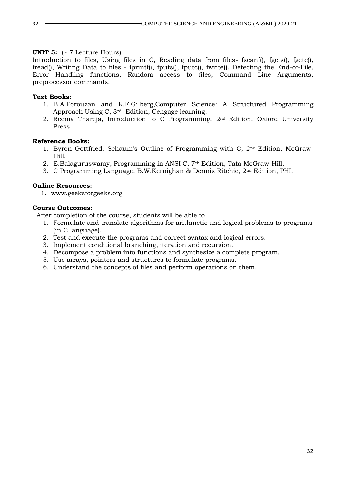#### **UNIT 5:** (~ 7 Lecture Hours)

Introduction to files, Using files in C, Reading data from files- fscanf(), fgets(), fgetc(), fread(), Writing Data to files - fprintf(), fputs(), fputc(), fwrite(), Detecting the End-of-File, Error Handling functions, Random access to files, Command Line Arguments, preprocessor commands.

#### **Text Books:**

- 1. B.A.Forouzan and R.F.Gilberg,Computer Science: A Structured Programming Approach Using C, 3rd Edition, Cengage learning.
- 2. Reema Thareja, Introduction to C Programming, 2nd Edition, Oxford University Press.

#### **Reference Books:**

- 1. Byron Gottfried, Schaum's Outline of Programming with C, 2nd Edition, McGraw-Hill.
- 2. E.Balaguruswamy, Programming in ANSI C, 7th Edition, Tata McGraw-Hill.
- 3. C Programming Language, B.W.Kernighan & Dennis Ritchie, 2nd Edition, PHI.

#### **Online Resources:**

1. www.geeksforgeeks.org

#### **Course Outcomes:**

After completion of the course, students will be able to

- 1. Formulate and translate algorithms for arithmetic and logical problems to programs (in C language).
- 2. Test and execute the programs and correct syntax and logical errors.
- 3. Implement conditional branching, iteration and recursion.
- 4. Decompose a problem into functions and synthesize a complete program.
- 5. Use arrays, pointers and structures to formulate programs.
- 6. Understand the concepts of files and perform operations on them.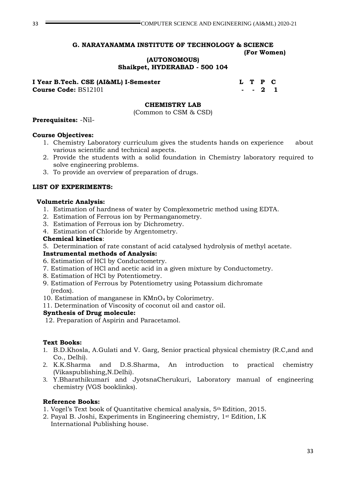#### **G. NARAYANAMMA INSTITUTE OF TECHNOLOGY & SCIENCE (For Women)**

#### **(AUTONOMOUS) Shaikpet, HYDERABAD - 500 104**

| I Year B.Tech. CSE (AI&ML) I-Semester |  | L T P C |  |
|---------------------------------------|--|---------|--|
| <b>Course Code: BS12101</b>           |  | $-21$   |  |

#### **CHEMISTRY LAB**

(Common to CSM & CSD)

#### **Prerequisites:** -Nil-

#### **Course Objectives:**

- 1. Chemistry Laboratory curriculum gives the students hands on experience about various scientific and technical aspects.
- 2. Provide the students with a solid foundation in Chemistry laboratory required to solve engineering problems.
- 3. To provide an overview of preparation of drugs.

#### **LIST OF EXPERIMENTS:**

#### **Volumetric Analysis:**

- 1. Estimation of hardness of water by Complexometric method using EDTA.
- 2. Estimation of Ferrous ion by Permanganometry.
- 3. Estimation of Ferrous ion by Dichrometry.
- 4. Estimation of Chloride by Argentometry.

#### **Chemical kinetics**:

5. Determination of rate constant of acid catalysed hydrolysis of methyl acetate.

#### **Instrumental methods of Analysis:**

- 6. Estimation of HCl by Conductometry.
- 7. Estimation of HCl and acetic acid in a given mixture by Conductometry.
- 8. Estimation of HCl by Potentiometry.
- 9. Estimation of Ferrous by Potentiometry using Potassium dichromate (redox).
- 10. Estimation of manganese in KMnO4 by Colorimetry.
- 11. Determination of Viscosity of coconut oil and castor oil.

#### **Synthesis of Drug molecule:**

12. Preparation of Aspirin and Paracetamol.

#### **Text Books:**

- 1. B.D.Khosla, A.Gulati and V. Garg, Senior practical physical chemistry (R.C,and and Co., Delhi).
- 2. K.K.Sharma and D.S.Sharma, An introduction to practical chemistry (Vikaspublishing,N.Delhi).
- 3. Y.Bharathikumari and JyotsnaCherukuri, Laboratory manual of engineering chemistry (VGS booklinks).

#### **Reference Books:**

- 1. Vogel's Text book of Quantitative chemical analysis, 5th Edition, 2015.
- 2. Payal B. Joshi, Experiments in Engineering chemistry, 1st Edition, I.K International Publishing house.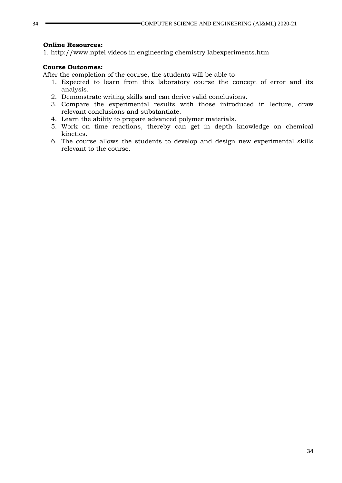#### **Online Resources:**

1. http://www.nptel videos.in engineering chemistry labexperiments.htm

#### **Course Outcomes:**

After the completion of the course, the students will be able to

- 1. Expected to learn from this laboratory course the concept of error and its analysis.
- 2. Demonstrate writing skills and can derive valid conclusions.
- 3. Compare the experimental results with those introduced in lecture, draw relevant conclusions and substantiate.
- 4. Learn the ability to prepare advanced polymer materials.
- 5. Work on time reactions, thereby can get in depth knowledge on chemical kinetics.
- 6. The course allows the students to develop and design new experimental skills relevant to the course.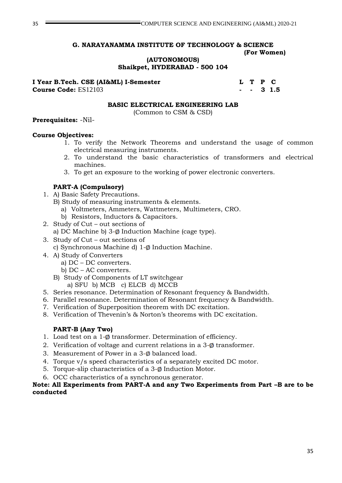### **G. NARAYANAMMA INSTITUTE OF TECHNOLOGY & SCIENCE (For Women)**

**(AUTONOMOUS)**

**Shaikpet, HYDERABAD - 500 104**

# **I Year B.Tech. CSE (AI&ML) I-Semester L T P C**

**Course Code:** ES12103 **- - 3 1.5**

#### **BASIC ELECTRICAL ENGINEERING LAB**

(Common to CSM & CSD)

#### **Prerequisites:** -Nil-

#### **Course Objectives:**

- 1. To verify the Network Theorems and understand the usage of common electrical measuring instruments.
- 2. To understand the basic characteristics of transformers and electrical machines.
- 3. To get an exposure to the working of power electronic converters.

### **PART-A (Compulsory)**

- 1. A) Basic Safety Precautions.
	- B) Study of measuring instruments & elements.
		- a) Voltmeters, Ammeters, Wattmeters, Multimeters, CRO.
		- b) Resistors, Inductors & Capacitors.
- 2. Study of Cut out sections of
	- a) DC Machine b)  $3-\phi$  Induction Machine (cage type).
- 3. Study of Cut out sections of
	- c) Synchronous Machine d)  $1-\phi$  Induction Machine.
- 4. A) Study of Converters
	- a) DC DC converters.
	- b) DC AC converters.
	- B) Study of Components of LT switchgear a) SFU b) MCB c) ELCB d) MCCB
- 5. Series resonance. Determination of Resonant frequency & Bandwidth.
- 6. Parallel resonance. Determination of Resonant frequency & Bandwidth.
- 7. Verification of Superposition theorem with DC excitation.
- 8. Verification of Thevenin's & Norton's theorems with DC excitation.

### **PART-B (Any Two)**

- 1. Load test on a  $1-\phi$  transformer. Determination of efficiency.
- 2. Verification of voltage and current relations in a  $3-\phi$  transformer.
- 3. Measurement of Power in a  $3-\phi$  balanced load.
- 4. Torque v/s speed characteristics of a separately excited DC motor.
- 5. Torque-slip characteristics of a  $3-\phi$  Induction Motor.
- 6. OCC characteristics of a synchronous generator.

#### **Note: All Experiments from PART-A and any Two Experiments from Part –B are to be conducted**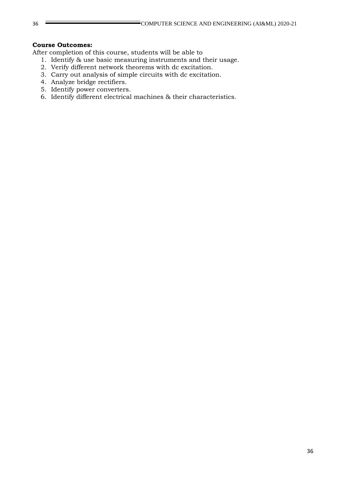#### **Course Outcomes:**

After completion of this course, students will be able to

- 1. Identify & use basic measuring instruments and their usage.
- 2. Verify different network theorems with dc excitation.
- 3. Carry out analysis of simple circuits with dc excitation.
- 4. Analyze bridge rectifiers.
- 5. Identify power converters.
- 6. Identify different electrical machines & their characteristics.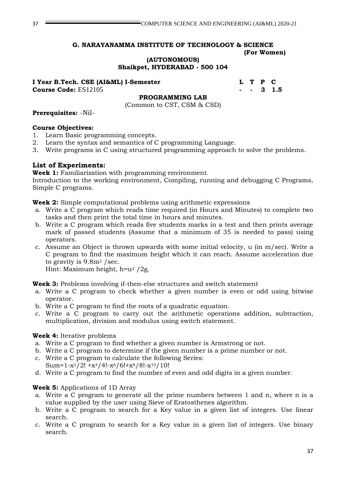# **G. NARAYANAMMA INSTITUTE OF TECHNOLOGY & SCIENCE**

## **(For Women)**

**(AUTONOMOUS) Shaikpet, HYDERABAD - 500 104**

**I Year B.Tech. CSE (AI&ML) I-Semester L T P C Course Code:** ES12105 **- - 3 1.5**

**PROGRAMMING LAB**

(Common to CST, CSM & CSD)

**Prerequisites:** -Nil-

### **Course Objectives:**

- 1. Learn Basic programming concepts.
- 2. Learn the syntax and semantics of C programming Language.
- 3. Write programs in C using structured programming approach to solve the problems.

### **List of Experiments:**

**Week 1:** Familiarization with programming environment.

Introduction to the working environment, Compiling, running and debugging C Programs, Simple C programs.

**Week 2:** Simple computational problems using arithmetic expressions

- a. Write a C program which reads time required (in Hours and Minutes) to complete two tasks and then print the total time in hours and minutes.
- b. Write a C program which reads five students marks in a test and then prints average mark of passed students (Assume that a minimum of 35 is needed to pass) using operators.
- c. Assume an Object is thrown upwards with some initial velocity, u (in m/sec). Write a C program to find the maximum height which it can reach. Assume acceleration due to gravity is 9.8m<sup>2</sup> /sec.

Hint: Maximum height, h=u<sup>2</sup> /2g.

**Week 3:** Problems involving if-then-else structures and switch statement

- a. Write a C program to check whether a given number is even or odd using bitwise operator.
- b. Write a C program to find the roots of a quadratic equation.
- c. Write a C program to carry out the arithmetic operations addition, subtraction, multiplication, division and modulus using switch statement.

### **Week 4:** Iterative problems

- a. Write a C program to find whether a given number is Armstrong or not.
- b. Write a C program to determine if the given number is a prime number or not.
- c. Write a C program to calculate the following Series: Sum= $1-x^2/2!$  +x<sup>4</sup>/4!-x<sup>6</sup>/6!+x<sup>8</sup>/8!-x<sup>10</sup>/10!
- d. Write a C program to find the number of even and odd digits in a given number.

### **Week 5:** Applications of 1D Array

- a. Write a C program to generate all the prime numbers between 1 and n, where n is a value supplied by the user using Sieve of Eratosthenes algorithm.
- b. Write a C program to search for a Key value in a given list of integers. Use linear search.
- c. Write a C program to search for a Key value in a given list of integers. Use binary search.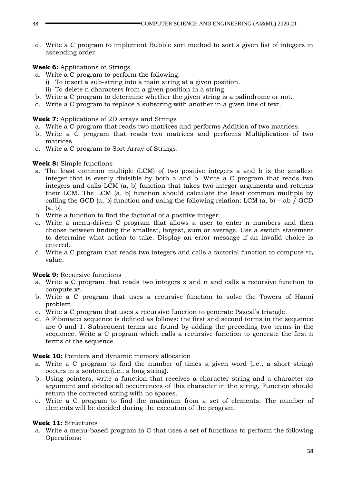d. Write a C program to implement Bubble sort method to sort a given list of integers in ascending order.

### **Week 6:** Applications of Strings

- a. Write a C program to perform the following:
	- i) To insert a sub-string into a main string at a given position.
	- ii) To delete n characters from a given position in a string.
- b. Write a C program to determine whether the given string is a palindrome or not.
- c. Write a C program to replace a substring with another in a given line of text.

### **Week 7:** Applications of 2D arrays and Strings

- a. Write a C program that reads two matrices and performs Addition of two matrices.
- b. Write a C program that reads two matrices and performs Multiplication of two matrices.
- c. Write a C program to Sort Array of Strings.

### **Week 8:** Simple functions

- a. The least common multiple (LCM) of two positive integers a and b is the smallest integer that is evenly divisible by both a and b. Write a C program that reads two integers and calls LCM (a, b) function that takes two integer arguments and returns their LCM. The LCM (a, b) function should calculate the least common multiple by calling the GCD (a, b) function and using the following relation: LCM (a, b) = ab / GCD (a, b).
- b. Write a function to find the factorial of a positive integer.
- c. Write a menu-driven C program that allows a user to enter n numbers and then choose between finding the smallest, largest, sum or average. Use a switch statement to determine what action to take. Display an error message if an invalid choice is entered.
- d. Write a C program that reads two integers and calls a factorial function to compute  ${}^{n}C_{r}$ value.

# **Week 9:** Recursive functions

- a. Write a C program that reads two integers x and n and calls a recursive function to compute xn.
- b. Write a C program that uses a recursive function to solve the Towers of Hanoi problem.
- c. Write a C program that uses a recursive function to generate Pascal's triangle.
- d. A Fibonacci sequence is defined as follows: the first and second terms in the sequence are 0 and 1. Subsequent terms are found by adding the preceding two terms in the sequence. Write a C program which calls a recursive function to generate the first n terms of the sequence.

### **Week 10:** Pointers and dynamic memory allocation

- a. Write a C program to find the number of times a given word (i.e., a short string) occurs in a sentence.(i.e., a long string).
- b. Using pointers, write a function that receives a character string and a character as argument and deletes all occurrences of this character in the string. Function should return the corrected string with no spaces.
- c. Write a C program to find the maximum from a set of elements. The number of elements will be decided during the execution of the program.

# **Week 11:** Structures

a. Write a menu-based program in C that uses a set of functions to perform the following Operations: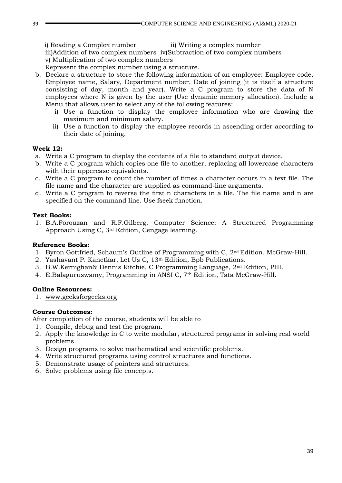i) Reading a Complex number ii) Writing a complex number iii)Addition of two complex numbers iv)Subtraction of two complex numbers v) Multiplication of two complex numbers

Represent the complex number using a structure.

- b. Declare a structure to store the following information of an employee: Employee code, Employee name, Salary, Department number, Date of joining (it is itself a structure consisting of day, month and year). Write a C program to store the data of N employees where N is given by the user (Use dynamic memory allocation). Include a Menu that allows user to select any of the following features:
	- i) Use a function to display the employee information who are drawing the maximum and minimum salary.
	- ii) Use a function to display the employee records in ascending order according to their date of joining.

### **Week 12:**

- a. Write a C program to display the contents of a file to standard output device.
- b. Write a C program which copies one file to another, replacing all lowercase characters with their uppercase equivalents.
- c. Write a C program to count the number of times a character occurs in a text file. The file name and the character are supplied as command-line arguments.
- d. Write a C program to reverse the first n characters in a file. The file name and n are specified on the command line. Use fseek function.

### **Text Books:**

1. B.A.Forouzan and R.F.Gilberg, Computer Science: A Structured Programming Approach Using C, 3rd Edition, Cengage learning.

### **Reference Books:**

- 1. Byron Gottfried, Schaum's Outline of Programming with C,  $2<sup>nd</sup>$  Edition, McGraw-Hill.
- 2. Yashavant P. Kanetkar, Let Us C, 13th Edition, Bpb Publications.
- 3. B.W.Kernighan& Dennis Ritchie, C Programming Language, 2nd Edition, PHI.
- 4. E.Balaguruswamy, Programming in ANSI C, 7<sup>th</sup> Edition, Tata McGraw-Hill.

### **Online Resources:**

1. [www.geeksforgeeks.org](http://www.geeksforgeeks.org/)

### **Course Outcomes:**

After completion of the course, students will be able to

- 1. Compile, debug and test the program.
- 2. Apply the knowledge in C to write modular, structured programs in solving real world problems.
- 3. Design programs to solve mathematical and scientific problems.
- 4. Write structured programs using control structures and functions.
- 5. Demonstrate usage of pointers and structures.
- 6. Solve problems using file concepts.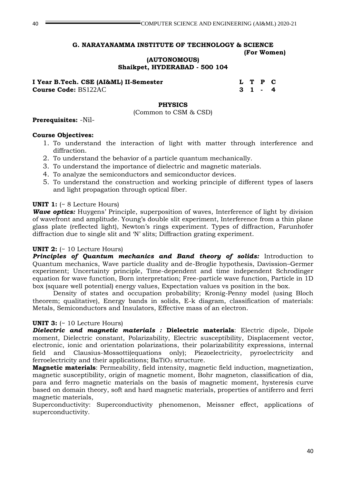#### **(AUTONOMOUS) Shaikpet, HYDERABAD - 500 104**

**I Year B.Tech. CSE (AI&ML) II-Semester L T P C Course Code:** BS122AC **3 1 - 4**

### **PHYSICS**

(Common to CSM & CSD)

### **Prerequisites:** -Nil-

### **Course Objectives:**

- 1. To understand the interaction of light with matter through interference and diffraction.
- 2. To understand the behavior of a particle quantum mechanically.
- 3. To understand the importance of dielectric and magnetic materials.
- 4. To analyze the semiconductors and semiconductor devices.
- 5. To understand the construction and working principle of different types of lasers and light propagation through optical fiber.

### **UNIT 1:** (~ 8 Lecture Hours)

*Wave optics:* Huygens' Principle, superposition of waves, Interference of light by division of wavefront and amplitude. Young's double slit experiment, Interference from a thin plane glass plate (reflected light), Newton's rings experiment. Types of diffraction, Farunhofer diffraction due to single slit and 'N' slits; Diffraction grating experiment.

### **UNIT 2:** (~ 10 Lecture Hours)

**Principles of Quantum mechanics and Band theory of solids:** Introduction to Quantum mechanics, Wave particle duality and de-Broglie hypothesis, Davission–Germer experiment; Uncertainty principle, Time-dependent and time independent Schrodinger equation for wave function, Born interpretation; Free-particle wave function, Particle in 1D box (square well potential) energy values, Expectation values vs position in the box.

Density of states and occupation probability; Kronig-Penny model (using Bloch theorem; qualitative), Energy bands in solids, E-k diagram, classification of materials: Metals, Semiconductors and Insulators, Effective mass of an electron.

### **UNIT 3:**  $(-10$  Lecture Hours)

*Dielectric and magnetic materials :* **Dielectric materials**: Electric dipole, Dipole moment, Dielectric constant, Polarizability, Electric susceptibility, Displacement vector, electronic, ionic and orientation polarizations, their polarizabilitity expressions, internal field and Clausius-Mossotti(equations only); Piezoelectricity, pyroelectricity and ferroelectricity and their applications;  $BaTiO<sub>3</sub>$  structure.

**Magnetic materials**: Permeability, field intensity, magnetic field induction, magnetization, magnetic susceptibility, origin of magnetic moment, Bohr magneton, classification of dia, para and ferro magnetic materials on the basis of magnetic moment, hysteresis curve based on domain theory, soft and hard magnetic materials, properties of antiferro and ferri magnetic materials,

Superconductivity: Superconductivity phenomenon, Meissner effect, applications of superconductivity.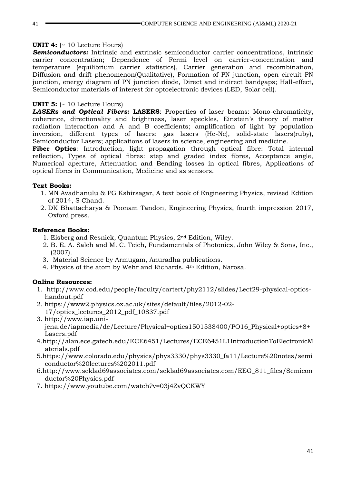### **UNIT 4:** (~ 10 Lecture Hours)

**Semiconductors:** Intrinsic and extrinsic semiconductor carrier concentrations, intrinsic carrier concentration; Dependence of Fermi level on carrier-concentration and temperature (equilibrium carrier statistics), Carrier generation and recombination, Diffusion and drift phenomenon(Qualitative), Formation of PN junction, open circuit PN junction, energy diagram of PN junction diode, Direct and indirect bandgaps; Hall-effect, Semiconductor materials of interest for optoelectronic devices (LED, Solar cell).

### **UNIT 5:** (~ 10 Lecture Hours)

*LASERs and Optical Fibers:* **LASERS**: Properties of laser beams: Mono-chromaticity, coherence, directionality and brightness, laser speckles, Einstein's theory of matter radiation interaction and A and B coefficients; amplification of light by population inversion, different types of lasers: gas lasers (He-Ne), solid-state lasers(ruby), Semiconductor Lasers; applications of lasers in science, engineering and medicine.

**Fiber Optics**: Introduction, light propagation through optical fibre: Total internal reflection, Types of optical fibres: step and graded index fibres, Acceptance angle, Numerical aperture, Attenuation and Bending losses in optical fibres, Applications of optical fibres in Communication, Medicine and as sensors.

### **Text Books:**

- 1. MN Avadhanulu & PG Kshirsagar, A text book of Engineering Physics, revised Edition of 2014, S Chand.
- 2. DK Bhattacharya & Poonam Tandon, Engineering Physics, fourth impression 2017, Oxford press.

### **Reference Books:**

- 1. Eisberg and Resnick, Quantum Physics, 2nd Edition, Wiley.
- 2. B. E. A. Saleh and M. C. Teich, Fundamentals of Photonics, John Wiley & Sons, Inc., (2007).
- 3. Material Science by Armugam, Anuradha publications.
- 4. Physics of the atom by Wehr and Richards. 4th Edition, Narosa.

### **Online Resources:**

- 1. [http://www.cod.edu/people/faculty/cartert/phy2112/slides/Lect29-physical-optics](http://www.cod.edu/people/faculty/cartert/phy2112/slides/Lect29-physical-optics-handout.pdf)[handout.pdf](http://www.cod.edu/people/faculty/cartert/phy2112/slides/Lect29-physical-optics-handout.pdf)
- 2. [https://www2.physics.ox.ac.uk/sites/default/files/2012-02-](https://www2.physics.ox.ac.uk/sites/default/files/2012-02-17/optics_lectures_2012_pdf_10837.pdf) [17/optics\\_lectures\\_2012\\_pdf\\_10837.pdf](https://www2.physics.ox.ac.uk/sites/default/files/2012-02-17/optics_lectures_2012_pdf_10837.pdf)
- 3. [http://www.iap.uni](http://www.iap.uni-jena.de/iapmedia/de/Lecture/Physical+optics1501538400/PO16_Physical+optics+8+Lasers.pdf)[jena.de/iapmedia/de/Lecture/Physical+optics1501538400/PO16\\_Physical+optics+8+](http://www.iap.uni-jena.de/iapmedia/de/Lecture/Physical+optics1501538400/PO16_Physical+optics+8+Lasers.pdf) [Lasers.pdf](http://www.iap.uni-jena.de/iapmedia/de/Lecture/Physical+optics1501538400/PO16_Physical+optics+8+Lasers.pdf)
- 4[.http://alan.ece.gatech.edu/ECE6451/Lectures/ECE6451L1IntroductionToElectronicM](http://alan.ece.gatech.edu/ECE6451/Lectures/ECE6451L1IntroductionToElectronicMaterials.pdf) [aterials.pdf](http://alan.ece.gatech.edu/ECE6451/Lectures/ECE6451L1IntroductionToElectronicMaterials.pdf)
- 5[.https://www.colorado.edu/physics/phys3330/phys3330\\_fa11/Lecture%20notes/semi](https://www.colorado.edu/physics/phys3330/phys3330_fa11/Lecture%20notes/semiconductor%20lectures%202011.pdf) [conductor%20lectures%202011.pdf](https://www.colorado.edu/physics/phys3330/phys3330_fa11/Lecture%20notes/semiconductor%20lectures%202011.pdf)
- 6[.http://www.seklad69associates.com/seklad69associates.com/EEG\\_811\\_files/Semicon](http://www.seklad69associates.com/seklad69associates.com/EEG_811_files/Semiconductor%20Physics.pdf) [ductor%20Physics.pdf](http://www.seklad69associates.com/seklad69associates.com/EEG_811_files/Semiconductor%20Physics.pdf)
- 7.<https://www.youtube.com/watch?v=03j4ZvQCKWY>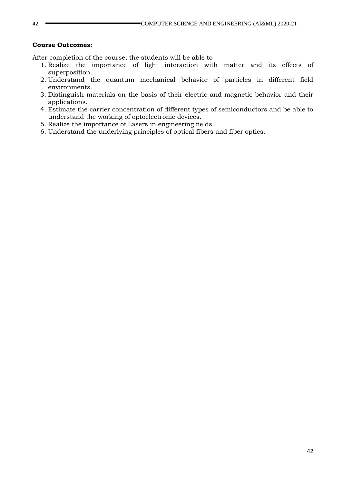#### **Course Outcomes:**

After completion of the course, the students will be able to

- 1. Realize the importance of light interaction with matter and its effects of superposition.
- 2. Understand the quantum mechanical behavior of particles in different field environments.
- 3. Distinguish materials on the basis of their electric and magnetic behavior and their applications.
- 4. Estimate the carrier concentration of different types of semiconductors and be able to understand the working of optoelectronic devices.
- 5. Realize the importance of Lasers in engineering fields.
- 6. Understand the underlying principles of optical fibers and fiber optics.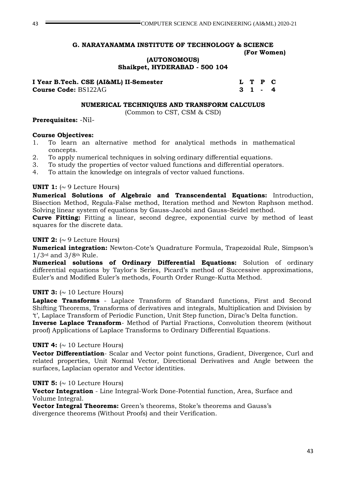### **(AUTONOMOUS) Shaikpet, HYDERABAD - 500 104**

**I Year B.Tech. CSE (AI&ML) II-Semester L T P C Course Code:** BS122AG **3 1 - 4**

## **NUMERICAL TECHNIQUES AND TRANSFORM CALCULUS**

(Common to CST, CSM & CSD)

# **Prerequisites:** -Nil-

# **Course Objectives:**

- 1. To learn an alternative method for analytical methods in mathematical concepts.
- 2. To apply numerical techniques in solving ordinary differential equations.
- 3. To study the properties of vector valued functions and differential operators.
- 4. To attain the knowledge on integrals of vector valued functions.

# **UNIT 1:**  $( \sim 9$  Lecture Hours)

**Numerical Solutions of Algebraic and Transcendental Equations:** Introduction, Bisection Method, Regula-False method, Iteration method and Newton Raphson method. Solving linear system of equations by Gauss-Jacobi and Gauss-Seidel method.

**Curve Fitting:** Fitting a linear, second degree, exponential curve by method of least squares for the discrete data.

# **UNIT 2:**  $({\sim} 9$  Lecture Hours)

**Numerical integration:** Newton-Cote's Quadrature Formula, Trapezoidal Rule, Simpson's 1/3rd and 3/8th Rule.

**Numerical solutions of Ordinary Differential Equations:** Solution of ordinary differential equations by Taylor's Series, Picard's method of Successive approximations, Euler's and Modified Euler's methods, Fourth Order Runge-Kutta Method.

# **UNIT 3:**  $\sim$  10 Lecture Hours)

**Laplace Transforms** - Laplace Transform of Standard functions, First and Second Shifting Theorems, Transforms of derivatives and integrals, Multiplication and Division by 't', Laplace Transform of Periodic Function, Unit Step function, Dirac's Delta function.

**Inverse Laplace Transform**- Method of Partial Fractions, Convolution theorem (without proof) Applications of Laplace Transforms to Ordinary Differential Equations.

# **UNIT 4:**  $\sim$  10 Lecture Hours)

**Vector Differentiation**- Scalar and Vector point functions, Gradient, Divergence, Curl and related properties, Unit Normal Vector, Directional Derivatives and Angle between the surfaces, Laplacian operator and Vector identities.

# **UNIT 5:**  $\sim$  10 Lecture Hours)

**Vector Integration** - Line Integral-Work Done-Potential function, Area, Surface and Volume Integral.

**Vector Integral Theorems:** Green's theorems, Stoke's theorems and Gauss's divergence theorems (Without Proofs) and their Verification.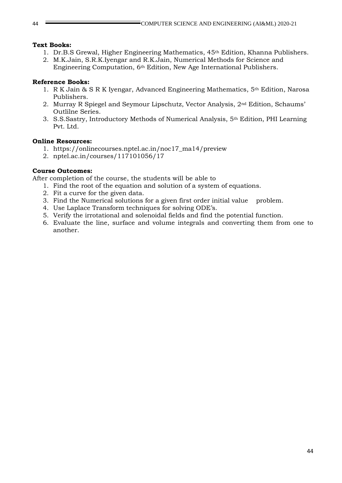### **Text Books:**

- 1. Dr.B.S Grewal, Higher Engineering Mathematics, 45th Edition, Khanna Publishers.
- 2. M.K.Jain, S.R.K.Iyengar and R.K.Jain, Numerical Methods for Science and Engineering Computation, 6th Edition, New Age International Publishers.

### **Reference Books:**

- 1. R K Jain & S R K Iyengar, Advanced Engineering Mathematics, 5th Edition, Narosa Publishers.
- 2. Murray R Spiegel and Seymour Lipschutz, Vector Analysis, 2nd Edition, Schaums' Outlilne Series.
- 3. S.S.Sastry, Introductory Methods of Numerical Analysis, 5th Edition, PHI Learning Pvt. Ltd.

### **Online Resources:**

- 1. [https://onlinecourses.nptel.ac.in/noc17\\_ma14/preview](https://onlinecourses.nptel.ac.in/noc17_ma14/preview)
- 2. nptel.ac.in/courses/117101056/17

### **Course Outcomes:**

After completion of the course, the students will be able to

- 1. Find the root of the equation and solution of a system of equations.
- 2. Fit a curve for the given data.
- 3. Find the Numerical solutions for a given first order initial value problem.
- 4. Use Laplace Transform techniques for solving ODE's.
- 5. Verify the irrotational and solenoidal fields and find the potential function.
- 6. Evaluate the line, surface and volume integrals and converting them from one to another.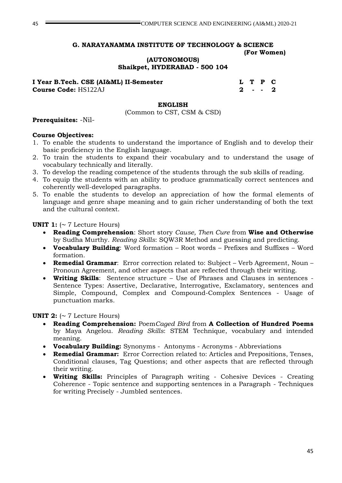### **(AUTONOMOUS) Shaikpet, HYDERABAD - 500 104**

| I Year B.Tech. CSE (AI&ML) II-Semester |  | L T P C |  |
|----------------------------------------|--|---------|--|
| <b>Course Code: HS122AJ</b>            |  | 2 - - 2 |  |

#### **ENGLISH**

(Common to CST, CSM & CSD)

#### **Prerequisites:** -Nil-

#### **Course Objectives:**

- 1. To enable the students to understand the importance of English and to develop their basic proficiency in the English language.
- 2. To train the students to expand their vocabulary and to understand the usage of vocabulary technically and literally.
- 3. To develop the reading competence of the students through the sub skills of reading.
- 4. To equip the students with an ability to produce grammatically correct sentences and coherently well-developed paragraphs.
- 5. To enable the students to develop an appreciation of how the formal elements of language and genre shape meaning and to gain richer understanding of both the text and the cultural context.

**UNIT 1:**  $( \sim 7$  Lecture Hours)

- **Reading Comprehension**: Short story *Cause, Then Cure* from **Wise and Otherwise** by Sudha Murthy. *Reading Skills*: SQW3R Method and guessing and predicting.
- **Vocabulary Building**: Word formation Root words Prefixes and Suffixes Word formation.
- **Remedial Grammar**: Error correction related to: Subject Verb Agreement, Noun Pronoun Agreement, and other aspects that are reflected through their writing.
- **Writing Skills**: Sentence structure Use of Phrases and Clauses in sentences Sentence Types: Assertive, Declarative, Interrogative, Exclamatory, sentences and Simple, Compound, Complex and Compound-Complex Sentences - Usage of punctuation marks.

#### **UNIT 2:**  $( \sim 7$  Lecture Hours)

- **Reading Comprehension:** Poem*Caged Bird* from **A Collection of Hundred Poems**  by Maya Angelou. *Reading Skills*: STEM Technique, vocabulary and intended meaning.
- **Vocabulary Building:** Synonyms Antonyms Acronyms Abbreviations
- **Remedial Grammar:** Error Correction related to: Articles and Prepositions, Tenses, Conditional clauses, Tag Questions; and other aspects that are reflected through their writing.
- **Writing Skills:** Principles of Paragraph writing Cohesive Devices Creating Coherence - Topic sentence and supporting sentences in a Paragraph - Techniques for writing Precisely - Jumbled sentences.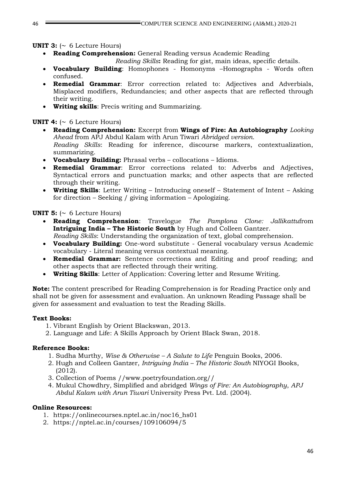### **UNIT 3:**  $\sim$  6 Lecture Hours)

**Reading Comprehension:** General Reading versus Academic Reading

*Reading Skills***:** Reading for gist, main ideas, specific details.

- **Vocabulary Building**: Homophones Homonyms –Homographs Words often confused.
- **Remedial Grammar**: Error correction related to: Adjectives and Adverbials, Misplaced modifiers, Redundancies; and other aspects that are reflected through their writing.
- **Writing skills**: Precis writing and Summarizing.

### **UNIT 4:**  $( \sim 6$  Lecture Hours)

- **Reading Comprehension:** Excerpt from **Wings of Fire: An Autobiography** *Looking Ahead* from APJ Abdul Kalam with Arun Tiwari *Abridged version. Reading Skills*: Reading for inference, discourse markers, contextualization, summarizing.
- **Vocabulary Building:** Phrasal verbs collocations Idioms.
- **Remedial Grammar**: Error corrections related to: Adverbs and Adjectives, Syntactical errors and punctuation marks; and other aspects that are reflected through their writing.
- **Writing Skills**: Letter Writing Introducing oneself Statement of Intent Asking for direction – Seeking / giving information – Apologizing.

### **UNIT 5:**  $\sim$  6 Lecture Hours)

- **Reading Comprehension**: Travelogue *The Pamplona Clone: Jallikattu*from **Intriguing India – The Historic South** by Hugh and Colleen Gantzer.
	- *Reading Skills*: Understanding the organization of text, global comprehension.
- **Vocabulary Building:** One-word substitute General vocabulary versus Academic vocabulary - Literal meaning versus contextual meaning.
- **Remedial Grammar:** Sentence corrections and Editing and proof reading; and other aspects that are reflected through their writing.
- **Writing Skills**: Letter of Application: Covering letter and Resume Writing.

**Note:** The content prescribed for Reading Comprehension is for Reading Practice only and shall not be given for assessment and evaluation. An unknown Reading Passage shall be given for assessment and evaluation to test the Reading Skills.

### **Text Books:**

- 1. Vibrant English by Orient Blackswan, 2013.
- 2. Language and Life: A Skills Approach by Orient Black Swan, 2018.

### **Reference Books:**

- 1. Sudha Murthy, *Wise & Otherwise – A Salute to Life* Penguin Books, 2006.
- 2. Hugh and Colleen Gantzer, *Intriguing India – The Historic South* NIYOGI Books, (2012).
- 3. Collection of Poems //www.poetryfoundation.org//
- 4. Mukul Chowdhry*,* Simplified and abridged *Wings of Fire: An Autobiography*, *APJ Abdul Kalam with Arun Tiwari* University Press Pvt. Ltd. (2004).

### **Online Resources:**

- 1. [https://onlinecourses.nptel.ac.in/noc16\\_hs01](https://onlinecourses.nptel.ac.in/noc16_hs01)
- 2. https://nptel.ac.in/courses/109106094/5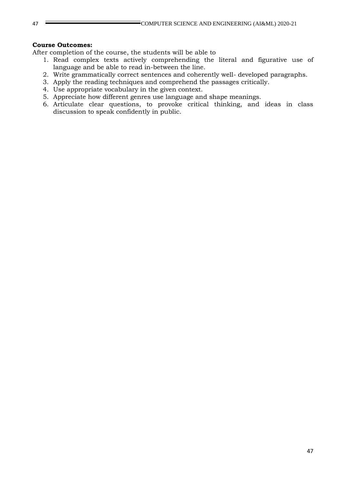#### **Course Outcomes:**

After completion of the course, the students will be able to

- 1. Read complex texts actively comprehending the literal and figurative use of language and be able to read in-between the line.
- 2. Write grammatically correct sentences and coherently well- developed paragraphs.
- 3. Apply the reading techniques and comprehend the passages critically.
- 4. Use appropriate vocabulary in the given context.
- 5. Appreciate how different genres use language and shape meanings.
- 6. Articulate clear questions, to provoke critical thinking, and ideas in class discussion to speak confidently in public.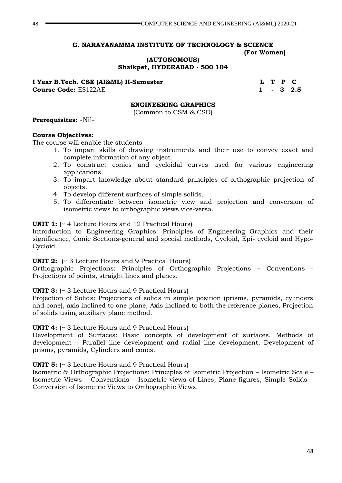**(AUTONOMOUS)**

**Shaikpet, HYDERABAD - 500 104**

**I Year B.Tech. CSE (AI&ML) II-Semester L T P C** 

**Course Code:** ES122AE 1 - 3 2.5

### **ENGINEERING GRAPHICS**

(Common to CSM & CSD)

### **Prerequisites:** -Nil-

### **Course Objectives:**

The course will enable the students

- 1. To impart skills of drawing instruments and their use to convey exact and complete information of any object.
- 2. To construct conics and cycloidal curves used for various engineering applications.
- 3. To impart knowledge about standard principles of orthographic projection of objects.
- 4. To develop different surfaces of simple solids.
- 5. To differentiate between isometric view and projection and conversion of isometric views to orthographic views vice-versa.

### **UNIT 1:**  $\left(\sim 4 \text{ Lecture Hours and } 12 \text{ Practical Hours}\right)$

Introduction to Engineering Graphics: Principles of Engineering Graphics and their significance, Conic Sections-general and special methods, Cycloid, Epi- cycloid and Hypo-Cycloid.

### **UNIT 2:** (~ 3 Lecture Hours and 9 Practical Hours)

Orthographic Projections: Principles of Orthographic Projections – Conventions - Projections of points, straight lines and planes.

### **UNIT 3:**  $\left(\sim 3 \text{ Lecture Hours}$  and 9 Practical Hours)

Projection of Solids: Projections of solids in simple position (prisms, pyramids, cylinders and cone), axis inclined to one plane, Axis inclined to both the reference planes, Projection of solids using auxiliary plane method.

### **UNIT 4:**  $\left(\sim 3 \text{ Lecture Hours and } 9 \text{ Practical Hours}\right)$

Development of Surfaces: Basic concepts of development of surfaces, Methods of development – Parallel line development and radial line development, Development of prisms, pyramids, Cylinders and cones.

### **UNIT 5:**  $\left(\sim 3 \text{ Lecture Hours}$  and 9 Practical Hours)

Isometric & Orthographic Projections: Principles of Isometric Projection – Isometric Scale – Isometric Views – Conventions – Isometric views of Lines, Plane figures, Simple Solids – Conversion of Isometric Views to Orthographic Views.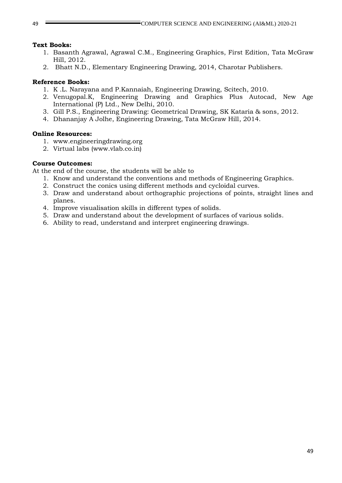### **Text Books:**

- 1. Basanth Agrawal, Agrawal C.M., Engineering Graphics, First Edition, Tata McGraw Hill, 2012.
- 2. Bhatt N.D., Elementary Engineering Drawing, 2014, Charotar Publishers.

### **Reference Books:**

- 1. K .L. Narayana and P.Kannaiah, Engineering Drawing, Scitech, 2010.
- 2. Venugopal.K, Engineering Drawing and Graphics Plus Autocad, New Age International (P) Ltd., New Delhi, 2010.
- 3. Gill P.S., Engineering Drawing: Geometrical Drawing, SK Kataria & sons, 2012.
- 4. Dhananjay A Jolhe, Engineering Drawing, Tata McGraw Hill, 2014.

### **Online Resources:**

- 1. www.engineeringdrawing.org
- 2. Virtual labs (www.vlab.co.in)

### **Course Outcomes:**

At the end of the course, the students will be able to

- 1. Know and understand the conventions and methods of Engineering Graphics.
- 2. Construct the conics using different methods and cycloidal curves.
- 3. Draw and understand about orthographic projections of points, straight lines and planes.
- 4. Improve visualisation skills in different types of solids.
- 5. Draw and understand about the development of surfaces of various solids.
- 6. Ability to read, understand and interpret engineering drawings.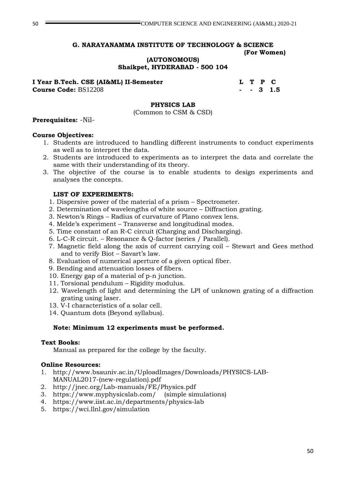# **(AUTONOMOUS)**

**Shaikpet, HYDERABAD - 500 104**

| I Year B.Tech. CSE (AI&ML) II-Semester |  | L T P C   |
|----------------------------------------|--|-----------|
| <b>Course Code: BS12208</b>            |  | - - 3 1.5 |

### **PHYSICS LAB**

(Common to CSM & CSD)

### **Prerequisites:** -Nil-

### **Course Objectives:**

- 1. Students are introduced to handling different instruments to conduct experiments as well as to interpret the data.
- 2. Students are introduced to experiments as to interpret the data and correlate the same with their understanding of its theory.
- 3. The objective of the course is to enable students to design experiments and analyses the concepts.

### **LIST OF EXPERIMENTS:**

- 1. Dispersive power of the material of a prism Spectrometer.
- 2. Determination of wavelengths of white source Diffraction grating.
- 3. Newton's Rings Radius of curvature of Plano convex lens.
- 4. Melde's experiment Transverse and longitudinal modes.
- 5. Time constant of an R-C circuit (Charging and Discharging).
- 6. L-C-R circuit. Resonance & Q-factor (series / Parallel).
- 7. Magnetic field along the axis of current carrying coil Stewart and Gees method and to verify Biot – Savart's law.
- 8. Evaluation of numerical aperture of a given optical fiber.
- 9. Bending and attenuation losses of fibers.
- 10. Energy gap of a material of p-n junction.
- 11. Torsional pendulum Rigidity modulus.
- 12. Wavelength of light and determining the LPI of unknown grating of a diffraction grating using laser.
- 13. V-I characteristics of a solar cell.
- 14. Quantum dots (Beyond syllabus).

### **Note: Minimum 12 experiments must be performed.**

#### **Text Books:**

Manual as prepared for the college by the faculty.

### **Online Resources:**

- 1. http://www.bsauniv.ac.in/UploadImages/Downloads/PHYSICS-LAB-MANUAL2017-(new-regulation).pdf
- 2. <http://jnec.org/Lab-manuals/FE/Physics.pdf>
- 3. <https://www.myphysicslab.com/>(simple simulations)
- 4. <https://www.iist.ac.in/departments/physics-lab>
- 5. <https://wci.llnl.gov/simulation>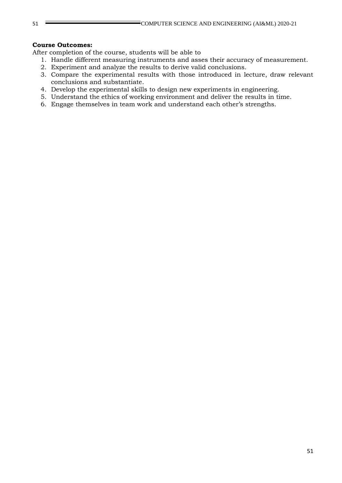### **Course Outcomes:**

After completion of the course, students will be able to

- 1. Handle different measuring instruments and asses their accuracy of measurement.
- 2. Experiment and analyze the results to derive valid conclusions.
- 3. Compare the experimental results with those introduced in lecture, draw relevant conclusions and substantiate.
- 4. Develop the experimental skills to design new experiments in engineering.
- 5. Understand the ethics of working environment and deliver the results in time.
- 6. Engage themselves in team work and understand each other's strengths.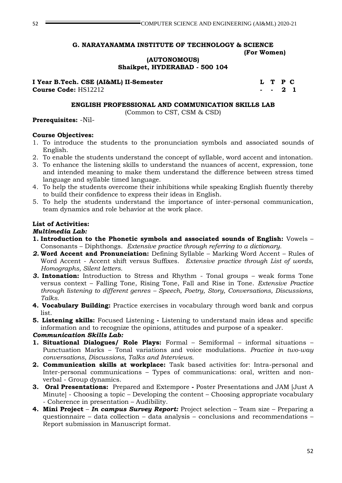**(AUTONOMOUS)**

**Shaikpet, HYDERABAD - 500 104**

**I Year B.Tech. CSE (AI&ML) II-Semester L T P C Course Code:** HS12212 **- - 2 1**

#### **ENGLISH PROFESSIONAL AND COMMUNICATION SKILLS LAB**

(Common to CST, CSM & CSD)

### **Prerequisites:** -Nil-

### **Course Objectives:**

- 1. To introduce the students to the pronunciation symbols and associated sounds of English.
- 2. To enable the students understand the concept of syllable, word accent and intonation.
- 3. To enhance the listening skills to understand the nuances of accent, expression, tone and intended meaning to make them understand the difference between stress timed language and syllable timed language.
- 4. To help the students overcome their inhibitions while speaking English fluently thereby to build their confidence to express their ideas in English.
- 5. To help the students understand the importance of inter-personal communication, team dynamics and role behavior at the work place.

### **List of Activities:**

### *Multimedia Lab:*

- **1. Introduction to the Phonetic symbols and associated sounds of English:** Vowels Consonants – Diphthongs. *Extensive practice through referring to a dictionary.*
- *2.* **Word Accent and Pronunciation:** Defining Syllable Marking Word Accent Rules of Word Accent - Accent shift versus Suffixes. *Extensive practice through List of words, Homographs, Silent letters.*
- *3.* **Intonation:** Introduction to Stress and Rhythm Tonal groups weak forms Tone versus context – Falling Tone, Rising Tone, Fall and Rise in Tone. *Extensive Practice through listening to different genres – Speech, Poetry, Story, Conversations, Discussions, Talks.*
- **4. Vocabulary Building:** Practice exercises in vocabulary through word bank and corpus list.
- **5. Listening skills:** Focused Listening **-** Listening to understand main ideas and specific information and to recognize the opinions, attitudes and purpose of a speaker.

### *Communication Skills Lab:*

- **1. Situational Dialogues/ Role Plays:** Formal Semiformal informal situations Punctuation Marks – Tonal variations and voice modulations. *Practice in two-way conversations, Discussions, Talks and Interviews.*
- **2. Communication skills at workplace:** Task based activities for: Intra-personal and Inter-personal communications – Types of communications: oral, written and nonverbal - Group dynamics.
- **3. Oral Presentations:** Prepared and Extempore **-** Poster Presentations and JAM [Just A Minute] - Choosing a topic – Developing the content – Choosing appropriate vocabulary - Coherence in presentation – Audibility.
- **4. Mini Project** *In campus Survey Report:* Project selection Team size Preparing a questionnaire – data collection – data analysis – conclusions and recommendations – Report submission in Manuscript format.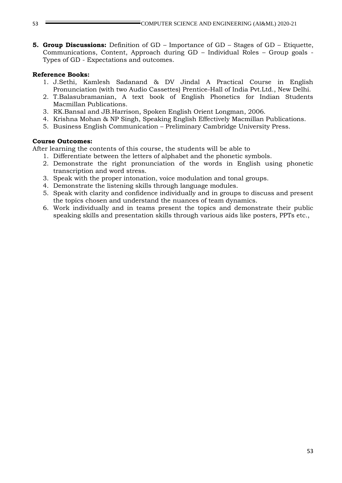**5. Group Discussions:** Definition of GD – Importance of GD – Stages of GD – Etiquette, Communications, Content, Approach during GD – Individual Roles – Group goals - Types of GD - Expectations and outcomes.

### **Reference Books:**

- 1. J.Sethi, Kamlesh Sadanand & DV Jindal A Practical Course in English Pronunciation (with two Audio Cassettes) Prentice-Hall of India Pvt.Ltd., New Delhi.
- 2. T.Balasubramanian, A text book of English Phonetics for Indian Students Macmillan Publications.
- 3. RK.Bansal and JB.Harrison, Spoken English Orient Longman, 2006.
- 4. Krishna Mohan & NP Singh, Speaking English Effectively Macmillan Publications.
- 5. Business English Communication Preliminary Cambridge University Press.

### **Course Outcomes:**

After learning the contents of this course, the students will be able to

- 1. Differentiate between the letters of alphabet and the phonetic symbols.
- 2. Demonstrate the right pronunciation of the words in English using phonetic transcription and word stress.
- 3. Speak with the proper intonation, voice modulation and tonal groups.
- 4. Demonstrate the listening skills through language modules.
- 5. Speak with clarity and confidence individually and in groups to discuss and present the topics chosen and understand the nuances of team dynamics.
- 6. Work individually and in teams present the topics and demonstrate their public speaking skills and presentation skills through various aids like posters, PPTs etc.,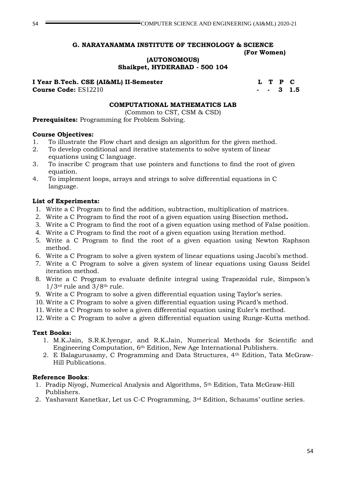**(AUTONOMOUS) Shaikpet, HYDERABAD - 500 104**

### I Year B.Tech. CSE (AI&ML) II-Semester **L** T P C

**Course Code:** ES12210 **1.5 1.5** 

#### **COMPUTATIONAL MATHEMATICS LAB**

(Common to CST, CSM & CSD)

**Prerequisites:** Programming for Problem Solving.

#### **Course Objectives:**

- 1. To illustrate the Flow chart and design an algorithm for the given method.
- 2. To develop conditional and iterative statements to solve system of linear equations using C language.
- 3. To inscribe C program that use pointers and functions to find the root of given equation.
- 4. To implement loops, arrays and strings to solve differential equations in C language.

### **List of Experiments:**

- 1. Write a C Program to find the addition, subtraction, multiplication of matrices.
- 2. Write a C Program to find the root of a given equation using Bisection method**.**
- 3. Write a C Program to find the root of a given equation using method of False position.
- 4. Write a C Program to find the root of a given equation using Iteration method.
- 5. Write a C Program to find the root of a given equation using Newton Raphson method.
- 6. Write a C Program to solve a given system of linear equations using Jacobi's method.
- 7. Write a C Program to solve a given system of linear equations using Gauss Seidel iteration method.
- 8. Write a C Program to evaluate definite integral using Trapezoidal rule, Simpson's  $1/3$ <sup>rd</sup> rule and  $3/8$ <sup>th</sup> rule.
- 9. Write a C Program to solve a given differential equation using Taylor's series.
- 10. Write a C Program to solve a given differential equation using Picard's method.
- 11. Write a C Program to solve a given differential equation using Euler's method.
- 12. Write a C Program to solve a given differential equation using Runge-Kutta method.

### **Text Books:**

- 1. M.K.Jain, S.R.K.Iyengar, and R.K.Jain, Numerical Methods for Scientific and Engineering Computation, 6th Edition, New Age International Publishers.
- 2. E Balagurusamy, C Programming and Data Structures, 4th Edition, Tata McGraw-Hill Publications.

### **Reference Books**:

- 1. Pradip Niyogi, Numerical Analysis and Algorithms, 5th Edition, Tata McGraw-Hill Publishers.
- 2. Yashavant Kanetkar, Let us C-C Programming, 3rd Edition, Schaums' outline series.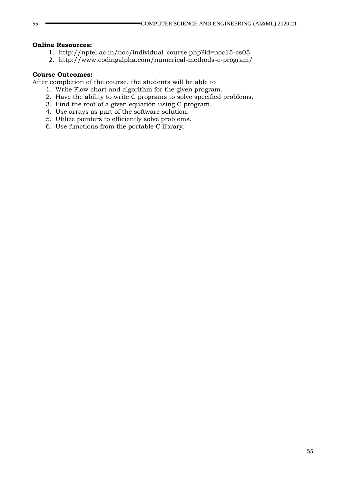#### **Online Resources:**

- 1. [http://nptel.ac.in/noc/individual\\_course.php?id=noc15-cs05](http://nptel.ac.in/noc/individual_course.php?id=noc15-cs05)
- 2. <http://www.codingalpha.com/numerical-methods-c-program/>

### **Course Outcomes:**

After completion of the course, the students will be able to

- 1. Write Flow chart and algorithm for the given program.
- 2. Have the ability to write C programs to solve specified problems.
- 3. Find the root of a given equation using C program.
- 4. Use arrays as part of the software solution.
- 5. Utilize pointers to efficiently solve problems.
- 6. Use functions from the portable C library.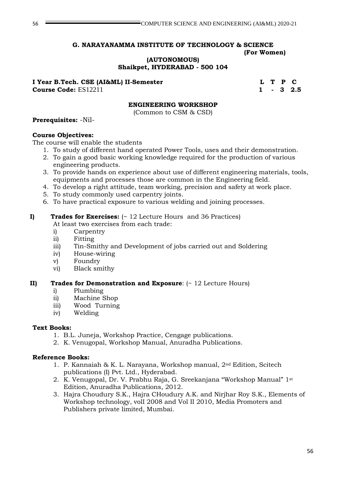# **G. NARAYANAMMA INSTITUTE OF TECHNOLOGY & SCIENCE**

 **(For Women)**

**(AUTONOMOUS) Shaikpet, HYDERABAD - 500 104**

**I Year B.Tech. CSE (AI&ML) II-Semester L T P C** 

**Course Code:** ES12211 1 - 3 2.5

### **ENGINEERING WORKSHOP**

(Common to CSM & CSD)

### **Prerequisites:** -Nil-

### **Course Objectives:**

The course will enable the students

- 1. To study of different hand operated Power Tools, uses and their demonstration.
- 2. To gain a good basic working knowledge required for the production of various engineering products.
- 3. To provide hands on experience about use of different engineering materials, tools, equipments and processes those are common in the Engineering field.
- 4. To develop a right attitude, team working, precision and safety at work place.
- 5. To study commonly used carpentry joints.
- 6. To have practical exposure to various welding and joining processes.

### **I) Trades for Exercises:** (~ 12 Lecture Hours and 36 Practices)

At least two exercises from each trade:

- i) Carpentry
- ii) Fitting
- iii) Tin-Smithy and Development of jobs carried out and Soldering
- iv) House-wiring
- v) Foundry
- vi) Black smithy

### **II) Trades for Demonstration and Exposure**: (~ 12 Lecture Hours)

- i) Plumbing
- ii) Machine Shop
- iii) Wood Turning
- iv) Welding

### **Text Books:**

- 1. B.L. Juneja, Workshop Practice, Cengage publications.
- 2. K. Venugopal, Workshop Manual, Anuradha Publications.

### **Reference Books:**

- 1. P. Kannaiah & K. L. Narayana, Workshop manual, 2nd Edition, Scitech publications (I) Pvt. Ltd., Hyderabad.
- 2. K. Venugopal, Dr. V. Prabhu Raja, G. Sreekanjana "Workshop Manual" 1st Edition, Anuradha Publications, 2012.
- 3. Hajra Choudury S.K., Hajra CHoudury A.K. and Nirjhar Roy S.K., Elements of Workshop technology, volI 2008 and Vol II 2010, Media Promoters and Publishers private limited, Mumbai.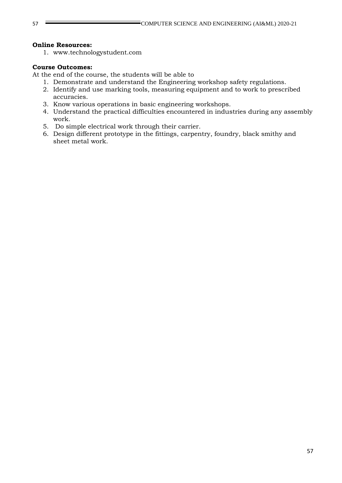### **Online Resources:**

1. www.technologystudent.com

### **Course Outcomes:**

At the end of the course, the students will be able to

- 1. Demonstrate and understand the Engineering workshop safety regulations.
- 2. Identify and use marking tools, measuring equipment and to work to prescribed accuracies.
- 3. Know various operations in basic engineering workshops.
- 4. Understand the practical difficulties encountered in industries during any assembly work.
- 5. Do simple electrical work through their carrier.
- 6. Design different prototype in the fittings, carpentry, foundry, black smithy and sheet metal work.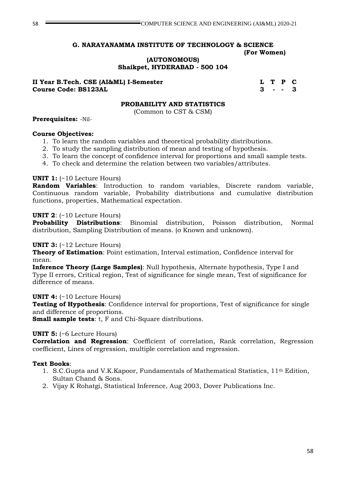**(AUTONOMOUS)**

**Shaikpet, HYDERABAD - 500 104**

### **II Year B.Tech. CSE (AI&ML) I-Semester L T P C Course Code: BS123AL 3 - - 3**

#### **PROBABILITY AND STATISTICS**

(Common to CST & CSM)

#### **Prerequisites:** -Nil-

### **Course Objectives:**

- 1. To learn the random variables and theoretical probability distributions.
- 2. To study the sampling distribution of mean and testing of hypothesis.
- 3. To learn the concept of confidence interval for proportions and small sample tests.
- 4. To check and determine the relation between two variables/attributes.

### **UNIT 1:** (~10 Lecture Hours)

**Random Variables**: Introduction to random variables, Discrete random variable, Continuous random variable, Probability distributions and cumulative distribution functions, properties, Mathematical expectation.

### **UNIT 2**: (~10 Lecture Hours)

**Probability Distributions**: Binomial distribution, Poisson distribution, Normal distribution, Sampling Distribution of means. (σ Known and unknown).

### **UNIT 3:** (~12 Lecture Hours)

**Theory of Estimation**: Point estimation, Interval estimation, Confidence interval for mean.

**Inference Theory (Large Samples)**: Null hypothesis, Alternate hypothesis, Type I and Type II errors, Critical region, Test of significance for single mean, Test of significance for difference of means.

### **UNIT 4:** (~10 Lecture Hours)

**Testing of Hypothesis**: Confidence interval for proportions, Test of significance for single and difference of proportions.

**Small sample tests**: t, F and Chi-Square distributions.

#### **UNIT 5:** (~6 Lecture Hours)

**Correlation and Regression**: Coefficient of correlation, Rank correlation, Regression coefficient, Lines of regression, multiple correlation and regression.

### **Text Books**:

- 1. S.C.Gupta and V.K.Kapoor, Fundamentals of Mathematical Statistics,  $11<sup>th</sup>$  Edition, Sultan Chand & Sons.
- 2. Vijay K Rohatgi, Statistical Inference, Aug 2003, Dover Publications Inc.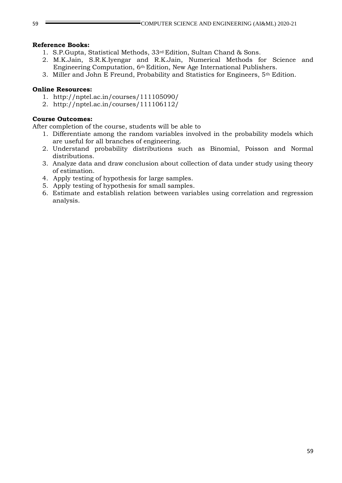### **Reference Books:**

- 1. S.P.Gupta, Statistical Methods, 33rd Edition, Sultan Chand & Sons.
- 2. M.K.Jain, S.R.K.Iyengar and R.K.Jain, Numerical Methods for Science and Engineering Computation, 6th Edition, New Age International Publishers.
- 3. Miller and John E Freund, Probability and Statistics for Engineers, 5th Edition.

### **Online Resources:**

- 1. http://nptel.ac.in/courses/111105090/
- 2. http://nptel.ac.in/courses/111106112/

### **Course Outcomes:**

After completion of the course, students will be able to

- 1. Differentiate among the random variables involved in the probability models which are useful for all branches of engineering.
- 2. Understand probability distributions such as Binomial, Poisson and Normal distributions.
- 3. Analyze data and draw conclusion about collection of data under study using theory of estimation.
- 4. Apply testing of hypothesis for large samples.
- 5. Apply testing of hypothesis for small samples.
- 6. Estimate and establish relation between variables using correlation and regression analysis.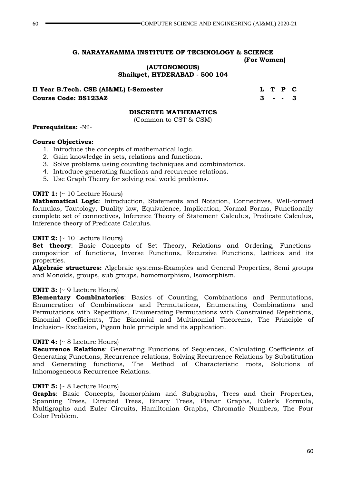**(AUTONOMOUS) Shaikpet, HYDERABAD - 500 104**

**II Year B.Tech. CSE (AI&ML) I-Semester L T P C Course Code: BS123AZ 3 - - 3**

### **DISCRETE MATHEMATICS**

(Common to CST & CSM)

**Prerequisites:** -Nil-

### **Course Objectives:**

- 1. Introduce the concepts of mathematical logic.
- 2. Gain knowledge in sets, relations and functions.
- 3. Solve problems using counting techniques and combinatorics.
- 4. Introduce generating functions and recurrence relations.
- 5. Use Graph Theory for solving real world problems.

### **UNIT 1:** (~ 10 Lecture Hours)

**Mathematical Logic**: Introduction, Statements and Notation, Connectives, Well-formed formulas, Tautology, Duality law, Equivalence, Implication, Normal Forms, Functionally complete set of connectives, Inference Theory of Statement Calculus, Predicate Calculus, Inference theory of Predicate Calculus.

### **UNIT 2:** (~ 10 Lecture Hours)

**Set theory**: Basic Concepts of Set Theory, Relations and Ordering, Functionscomposition of functions, Inverse Functions, Recursive Functions, Lattices and its properties.

**Algebraic structures:** Algebraic systems-Examples and General Properties, Semi groups and Monoids, groups, sub groups, homomorphism, Isomorphism.

### **UNIT 3:** (~ 9 Lecture Hours)

**Elementary Combinatorics**: Basics of Counting, Combinations and Permutations, Enumeration of Combinations and Permutations, Enumerating Combinations and Permutations with Repetitions, Enumerating Permutations with Constrained Repetitions, Binomial Coefficients, The Binomial and Multinomial Theorems, The Principle of Inclusion- Exclusion, Pigeon hole principle and its application.

### **UNIT 4:** (~ 8 Lecture Hours)

**Recurrence Relations**: Generating Functions of Sequences, Calculating Coefficients of Generating Functions, Recurrence relations, Solving Recurrence Relations by Substitution and Generating functions, The Method of Characteristic roots, Solutions of Inhomogeneous Recurrence Relations.

### **UNIT 5:** (~ 8 Lecture Hours)

**Graphs**: Basic Concepts, Isomorphism and Subgraphs, Trees and their Properties, Spanning Trees, Directed Trees, Binary Trees, Planar Graphs, Euler's Formula, Multigraphs and Euler Circuits, Hamiltonian Graphs, Chromatic Numbers, The Four Color Problem.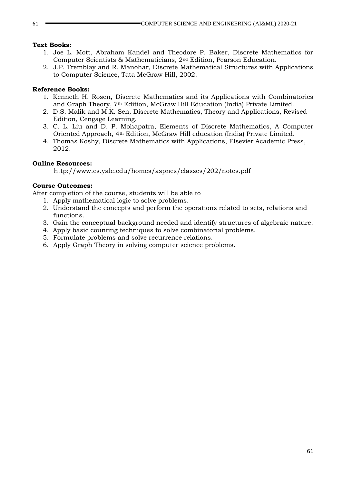### **Text Books:**

- 1. Joe L. Mott, Abraham Kandel and Theodore P. Baker, Discrete Mathematics for Computer Scientists & Mathematicians, 2nd Edition, Pearson Education.
- 2. J.P. Tremblay and R. Manohar, Discrete Mathematical Structures with Applications to Computer Science, Tata McGraw Hill, 2002.

### **Reference Books:**

- 1. Kenneth H. Rosen, Discrete Mathematics and its Applications with Combinatorics and Graph Theory, 7th Edition, McGraw Hill Education (India) Private Limited.
- 2. D.S. Malik and M.K. Sen, Discrete Mathematics, Theory and Applications, Revised Edition, Cengage Learning.
- 3. C. L. Liu and D. P. Mohapatra, Elements of Discrete Mathematics, A Computer Oriented Approach, 4th Edition, McGraw Hill education (India) Private Limited.
- 4. Thomas Koshy, Discrete Mathematics with Applications, Elsevier Academic Press, 2012.

### **Online Resources:**

http://www.cs.yale.edu/homes/aspnes/classes/202/notes.pdf

### **Course Outcomes:**

After completion of the course, students will be able to

- 1. Apply mathematical logic to solve problems.
- 2. Understand the concepts and perform the operations related to sets, relations and functions.
- 3. Gain the conceptual background needed and identify structures of algebraic nature.
- 4. Apply basic counting techniques to solve combinatorial problems.
- 5. Formulate problems and solve recurrence relations.
- 6. Apply Graph Theory in solving computer science problems.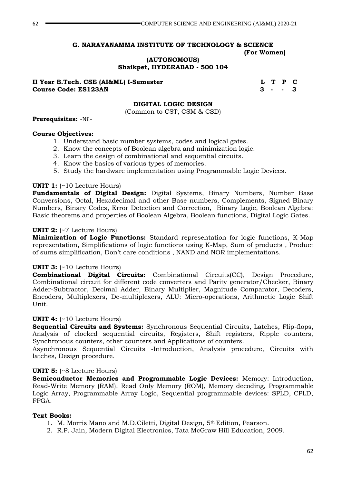**(AUTONOMOUS)**

**Shaikpet, HYDERABAD - 500 104**

**II Year B.Tech. CSE (AI&ML) I-Semester L T P C Course Code: ES123AN 3 - - 3**

#### **DIGITAL LOGIC DESIGN**

(Common to CST, CSM & CSD)

#### **Prerequisites:** -Nil-

#### **Course Objectives:**

- 1. Understand basic number systems, codes and logical gates.
- 2. Know the concepts of Boolean algebra and minimization logic.
- 3. Learn the design of combinational and sequential circuits.
- 4. Know the basics of various types of memories.
- 5. Study the hardware implementation using Programmable Logic Devices.

#### **UNIT 1:** (~10 Lecture Hours)

**Fundamentals of Digital Design:** Digital Systems, Binary Numbers, Number Base Conversions, Octal, Hexadecimal and other Base numbers, Complements, Signed Binary Numbers, Binary Codes, Error Detection and Correction, Binary Logic, Boolean Algebra: Basic theorems and properties of Boolean Algebra, Boolean functions, Digital Logic Gates.

#### **UNIT 2:** (~7 Lecture Hours)

**Minimization of Logic Functions:** Standard representation for logic functions, K-Map representation, Simplifications of logic functions using K-Map, Sum of products , Product of sums simplification, Don't care conditions , NAND and NOR implementations.

#### **UNIT 3:** (~10 Lecture Hours)

**Combinational Digital Circuits:** Combinational Circuits(CC), Design Procedure, Combinational circuit for different code converters and Parity generator/Checker, Binary Adder-Subtractor, Decimal Adder, Binary Multiplier, Magnitude Comparator, Decoders, Encoders, Multiplexers, De-multiplexers, ALU: Micro-operations, Arithmetic Logic Shift Unit.

#### **UNIT 4:** (~10 Lecture Hours)

**Sequential Circuits and Systems:** Synchronous Sequential Circuits, Latches, Flip-flops, Analysis of clocked sequential circuits, Registers, Shift registers, Ripple counters, Synchronous counters, other counters and Applications of counters.

Asynchronous Sequential Circuits -Introduction, Analysis procedure, Circuits with latches, Design procedure.

#### **UNIT 5:** (~8 Lecture Hours)

**Semiconductor Memories and Programmable Logic Devices:** Memory: Introduction, Read-Write Memory (RAM), Read Only Memory (ROM), Memory decoding, Programmable Logic Array, Programmable Array Logic, Sequential programmable devices: SPLD, CPLD, FPGA.

#### **Text Books:**

- 1. M. Morris Mano and M.D.Ciletti, Digital Design, 5th Edition, Pearson.
- 2. R.P. Jain, Modern Digital Electronics, Tata McGraw Hill Education, 2009.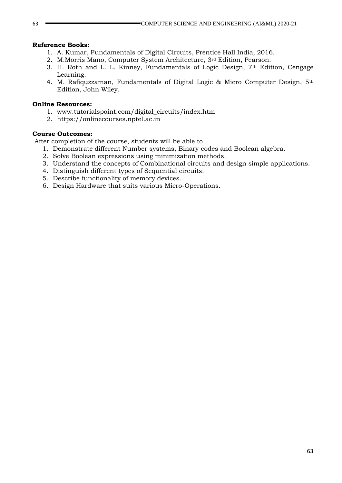#### **Reference Books:**

- 1. A. Kumar, Fundamentals of Digital Circuits, Prentice Hall India, 2016.
- 2. M.Morris Mano, Computer System Architecture, 3rd Edition, Pearson.
- 3. H. Roth and L. L. Kinney, Fundamentals of Logic Design, 7th Edition, Cengage Learning.
- 4. M. Rafiquzzaman, Fundamentals of Digital Logic & Micro Computer Design, 5th Edition, John Wiley.

#### **Online Resources:**

- 1. [www.tutorialspoint.com/digital\\_circuits/index.htm](http://www.tutorialspoint.com/digital_circuits/index.htm)
- 2. https://onlinecourses.nptel.ac.in

#### **Course Outcomes:**

After completion of the course, students will be able to

- 1. Demonstrate different Number systems, Binary codes and Boolean algebra.
- 2. Solve Boolean expressions using minimization methods.
- 3. Understand the concepts of Combinational circuits and design simple applications.
- 4. Distinguish different types of Sequential circuits.
- 5. Describe functionality of memory devices.
- 6. Design Hardware that suits various Micro-Operations.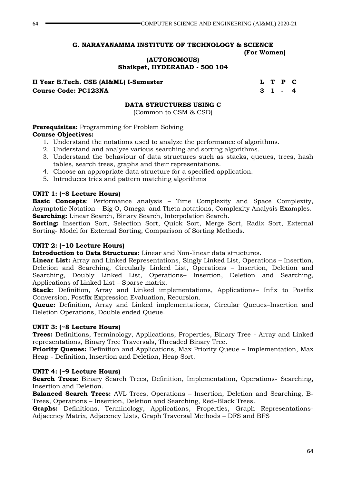**(AUTONOMOUS) Shaikpet, HYDERABAD - 500 104**

**II Year B.Tech. CSE (AI&ML) I-Semester L T P C Course Code: PC123NA 3 1 - 4**

### **DATA STRUCTURES USING C**

(Common to CSM & CSD)

**Prerequisites:** Programming for Problem Solving **Course Objectives:**

- 1. Understand the notations used to analyze the performance of algorithms.
- 2. Understand and analyze various searching and sorting algorithms.
- 3. Understand the behaviour of data structures such as stacks, queues, trees, hash tables, search trees, graphs and their representations.
- 4. Choose an appropriate data structure for a specified application.
- 5. Introduces tries and pattern matching algorithms

### **UNIT 1: (~8 Lecture Hours)**

**Basic Concepts**: Performance analysis – Time Complexity and Space Complexity, Asymptotic Notation – Big O, Omega and Theta notations, Complexity Analysis Examples. **Searching:** Linear Search, Binary Search, Interpolation Search.

**Sorting:** Insertion Sort, Selection Sort, Quick Sort, Merge Sort, Radix Sort, External Sorting- Model for External Sorting, Comparison of Sorting Methods.

### **UNIT 2: (~10 Lecture Hours)**

**Introduction to Data Structures:** Linear and Non-linear data structures.

**Linear List:** Array and Linked Representations, Singly Linked List, Operations – Insertion, Deletion and Searching, Circularly Linked List, Operations – Insertion, Deletion and Searching, Doubly Linked List, Operations– Insertion, Deletion and Searching, Applications of Linked List – Sparse matrix.

**Stack:** Definition, Array and Linked implementations, Applications– Infix to Postfix Conversion, Postfix Expression Evaluation, Recursion.

**Queue:** Definition, Array and Linked implementations, Circular Oueues–Insertion and Deletion Operations, Double ended Queue.

### **UNIT 3: (~8 Lecture Hours)**

**Trees:** Definitions, Terminology, Applications, Properties, Binary Tree - Array and Linked representations, Binary Tree Traversals, Threaded Binary Tree.

**Priority Queues:** Definition and Applications, Max Priority Queue – Implementation, Max Heap - Definition, Insertion and Deletion, Heap Sort.

#### **UNIT 4: (~9 Lecture Hours)**

**Search Trees:** Binary Search Trees, Definition, Implementation, Operations- Searching, Insertion and Deletion.

**Balanced Search Trees:** AVL Trees, Operations – Insertion, Deletion and Searching, B-Trees, Operations – Insertion, Deletion and Searching, Red–Black Trees.

**Graphs:** Definitions, Terminology, Applications, Properties, Graph Representations-Adjacency Matrix, Adjacency Lists, Graph Traversal Methods – DFS and BFS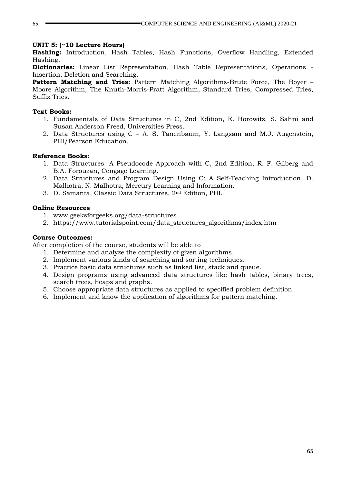#### **UNIT 5: (~10 Lecture Hours)**

**Hashing:** Introduction, Hash Tables, Hash Functions, Overflow Handling, Extended Hashing.

**Dictionaries:** Linear List Representation, Hash Table Representations, Operations - Insertion, Deletion and Searching.

**Pattern Matching and Tries:** Pattern Matching Algorithms-Brute Force, The Boyer – Moore Algorithm, The Knuth-Morris-Pratt Algorithm, Standard Tries, Compressed Tries, Suffix Tries.

### **Text Books:**

- 1. Fundamentals of Data Structures in C, 2nd Edition, E. Horowitz, S. Sahni and Susan Anderson Freed, Universities Press.
- 2. Data Structures using C A. S. Tanenbaum, Y. Langsam and M.J. Augenstein, PHI/Pearson Education.

### **Reference Books:**

- 1. Data Structures: A Pseudocode Approach with C, 2nd Edition, R. F. Gilberg and B.A. Forouzan, Cengage Learning.
- 2. Data Structures and Program Design Using C: A Self-Teaching Introduction, D. Malhotra, N. Malhotra, Mercury Learning and Information.
- 3. D. Samanta, Classic Data Structures, 2nd Edition, PHI.

### **Online Resources**

- 1. www.geeksforgeeks.org/data-structures
- 2. https://www.tutorialspoint.com/data\_structures\_algorithms/index.htm

### **Course Outcomes:**

After completion of the course, students will be able to

- 1. Determine and analyze the complexity of given algorithms.
- 2. Implement various kinds of searching and sorting techniques.
- 3. Practice basic data structures such as linked list, stack and queue.
- 4. Design programs using advanced data structures like hash tables, binary trees, search trees, heaps and graphs.
- 5. Choose appropriate data structures as applied to specified problem definition.
- 6. Implement and know the application of algorithms for pattern matching.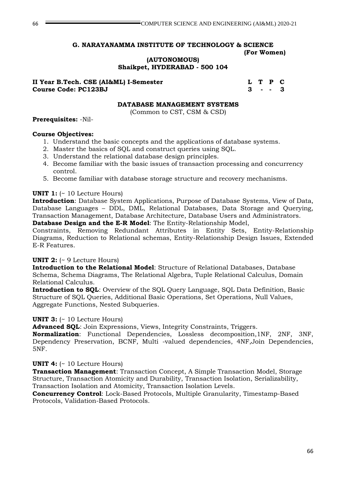**(AUTONOMOUS) Shaikpet, HYDERABAD - 500 104**

### **II Year B.Tech. CSE (AI&ML) I-Semester L T P C Course Code: PC123BJ 3 - - 3**

#### **DATABASE MANAGEMENT SYSTEMS**

(Common to CST, CSM & CSD)

### **Prerequisites:** -Nil-

### **Course Objectives:**

- 1. Understand the basic concepts and the applications of database systems.
- 2. Master the basics of SQL and construct queries using SQL.
- 3. Understand the relational database design principles.
- 4. Become familiar with the basic issues of transaction processing and concurrency control.
- 5. Become familiar with database storage structure and recovery mechanisms.

### **UNIT 1:** (~ 10 Lecture Hours)

**Introduction**: Database System Applications, Purpose of Database Systems, View of Data, Database Languages – DDL, DML, Relational Databases, Data Storage and Querying, Transaction Management, Database Architecture, Database Users and Administrators. **Database Design and the E-R Model**: The Entity-Relationship Model,

Constraints, Removing Redundant Attributes in Entity Sets, Entity-Relationship

Diagrams, Reduction to Relational schemas, Entity-Relationship Design Issues, Extended E-R Features.

### **UNIT 2:** (~ 9 Lecture Hours)

**Introduction to the Relational Model**: Structure of Relational Databases, Database Schema, Schema Diagrams, The Relational Algebra, Tuple Relational Calculus, Domain Relational Calculus.

**Introduction to SQL**: Overview of the SQL Query Language, SQL Data Definition, Basic Structure of SQL Queries, Additional Basic Operations, Set Operations, Null Values, Aggregate Functions, Nested Subqueries.

#### **UNIT 3:** (~ 10 Lecture Hours)

**Advanced SQL**: Join Expressions, Views, Integrity Constraints, Triggers.

**Normalization**: Functional Dependencies, Lossless decomposition,1NF, 2NF, 3NF, Dependency Preservation, BCNF, Multi -valued dependencies, 4NF,Join Dependencies, 5NF.

### **UNIT 4:** (~ 10 Lecture Hours)

**Transaction Management**: Transaction Concept, A Simple Transaction Model, Storage Structure, Transaction Atomicity and Durability, Transaction Isolation, Serializability, Transaction Isolation and Atomicity, Transaction Isolation Levels.

**Concurrency Control**: Lock-Based Protocols, Multiple Granularity, Timestamp-Based Protocols, Validation-Based Protocols.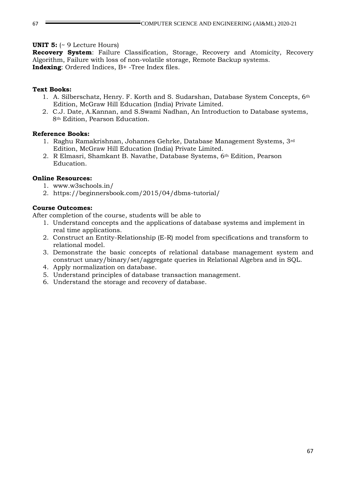### **UNIT 5:** (~ 9 Lecture Hours)

**Recovery System**: Failure Classification, Storage, Recovery and Atomicity, Recovery Algorithm, Failure with loss of non-volatile storage, Remote Backup systems. **Indexing**: Ordered Indices, B+ -Tree Index files.

### **Text Books:**

- 1. A. Silberschatz, Henry. F. Korth and S. Sudarshan, Database System Concepts, 6th Edition, McGraw Hill Education (India) Private Limited.
- 2. C.J. Date, A.Kannan, and S.Swami Nadhan, An Introduction to Database systems, 8th Edition, Pearson Education.

#### **Reference Books:**

- 1. Raghu Ramakrishnan, Johannes Gehrke, Database Management Systems, 3rd Edition, McGraw Hill Education (India) Private Limited.
- 2. R Elmasri, Shamkant B. Navathe, Database Systems, 6th Edition, Pearson Education.

#### **Online Resources:**

- 1. www.w3schools.in/
- 2. https://beginnersbook.com/2015/04/dbms-tutorial/

#### **Course Outcomes:**

After completion of the course, students will be able to

- 1. Understand concepts and the applications of database systems and implement in real time applications.
- 2. Construct an Entity-Relationship (E-R) model from specifications and transform to relational model.
- 3. Demonstrate the basic concepts of relational database management system and construct unary/binary/set/aggregate queries in Relational Algebra and in SQL.
- 4. Apply normalization on database.
- 5. Understand principles of database transaction management.
- 6. Understand the storage and recovery of database.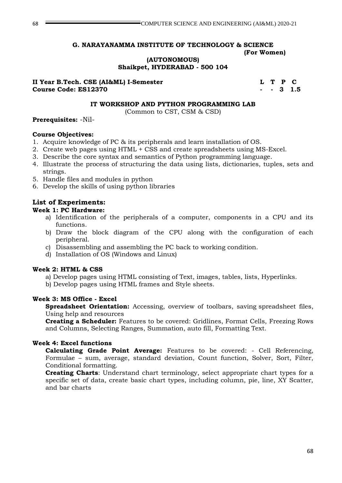**(AUTONOMOUS)**

**Shaikpet, HYDERABAD - 500 104**

**II Year B.Tech. CSE (AI&ML) I-Semester L T P C Course Code: ES12370 - - 3 1.5**

### **IT WORKSHOP AND PYTHON PROGRAMMING LAB**

(Common to CST, CSM & CSD)

### **Prerequisites:** -Nil-

### **Course Objectives:**

- 1. Acquire knowledge of PC & its peripherals and learn installation of OS.
- 2. Create web pages using HTML + CSS and create spreadsheets using MS-Excel.
- 3. Describe the core syntax and semantics of Python programming language.
- 4. Illustrate the process of structuring the data using lists, dictionaries, tuples, sets and strings.
- 5. Handle files and modules in python
- 6. Develop the skills of using python libraries

# **List of Experiments:**

- **Week 1: PC Hardware:**
	- a) Identification of the peripherals of a computer, components in a CPU and its functions.
	- b) Draw the block diagram of the CPU along with the configuration of each peripheral.
	- c) Disassembling and assembling the PC back to working condition.
	- d) Installation of OS (Windows and Linux)

### **Week 2: HTML & CSS**

- a) Develop pages using HTML consisting of Text, images, tables, lists, Hyperlinks.
- b) Develop pages using HTML frames and Style sheets.

### **Week 3: MS Office - Excel**

**Spreadsheet Orientation:** Accessing, overview of toolbars, saving spreadsheet files, Using help and resources

**Creating a Scheduler:** Features to be covered: Gridlines, Format Cells, Freezing Rows and Columns, Selecting Ranges, Summation, auto fill, Formatting Text.

### **Week 4: Excel functions**

**Calculating Grade Point Average:** Features to be covered: - Cell Referencing, Formulae – sum, average, standard deviation, Count function, Solver, Sort, Filter, Conditional formatting.

**Creating Charts**: Understand chart terminology, select appropriate chart types for a specific set of data, create basic chart types, including column, pie, line, XY Scatter, and bar charts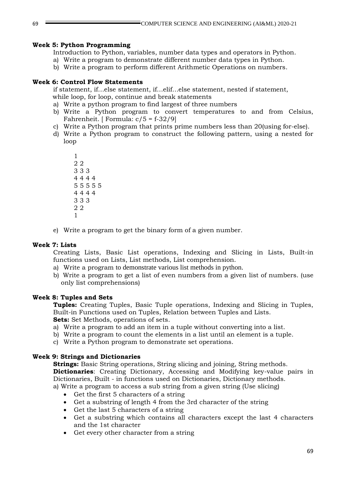### **Week 5: Python Programming**

Introduction to Python, variables, number data types and operators in Python.

- a) Write a program to demonstrate different number data types in Python.
- b) Write a program to perform different Arithmetic Operations on numbers.

### **Week 6: Control Flow Statements**

if statement, if…else statement, if…elif…else statement, nested if statement, while loop, for loop, continue and break statements

- a) Write a python program to find largest of three numbers
- b) Write a Python program to convert temperatures to and from Celsius, Fahrenheit. [ Formula: c/5 = f-32/9]
- c) Write a Python program that prints prime numbers less than 20(using for-else).
- d) Write a Python program to construct the following pattern, using a nested for loop
	- 1 2 2 3 3 3 4 4 4 4 5 5 5 5 5 4 4 4 4 3 3 3 2 2 1
- e) Write a program to get the binary form of a given number.

### **Week 7: Lists**

Creating Lists, Basic List operations, Indexing and Slicing in Lists, Built-in functions used on Lists, List methods, List comprehension.

- a) Write a program to demonstrate various list methods in python.
- b) Write a program to get a list of even numbers from a given list of numbers. (use only list comprehensions)

#### **Week 8: Tuples and Sets**

**Tuples:** Creating Tuples, Basic Tuple operations, Indexing and Slicing in Tuples, Built-in Functions used on Tuples, Relation between Tuples and Lists. **Sets:** Set Methods, operations of sets.

- a) Write a program to add an item in a tuple without converting into a list.
- b) Write a program to count the elements in a list until an element is a tuple.
- c) Write a Python program to demonstrate set operations.

### **Week 9: Strings and Dictionaries**

**Strings:** Basic String operations, String slicing and joining, String methods. **Dictionaries**: Creating Dictionary, Accessing and Modifying key-value pairs in Dictionaries, Built - in functions used on Dictionaries, Dictionary methods. a) Write a program to access a sub string from a given string (Use slicing)

- Get the first 5 characters of a string
- Get a substring of length 4 from the 3rd character of the string
- Get the last 5 characters of a string
- Get a substring which contains all characters except the last 4 characters and the 1st character
- Get every other character from a string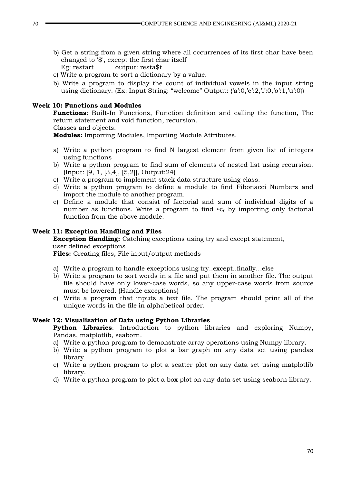- b) Get a string from a given string where all occurrences of its first char have been changed to '\$', except the first char itself Eg: restart output: resta\$t
- c) Write a program to sort a dictionary by a value.
- b) Write a program to display the count of individual vowels in the input string using dictionary. (Ex: Input String: "welcome" Output: {'a':0,'e':2,'i':0,'o':1,'u':0})

### **Week 10: Functions and Modules**

**Functions**: Built-In Functions, Function definition and calling the function, The return statement and void function, recursion.

Classes and objects.

**Modules:** Importing Modules, Importing Module Attributes.

- a) Write a python program to find N largest element from given list of integers using functions
- b) Write a python program to find sum of elements of nested list using recursion. (Input: [9, 1, [3,4], [5,2]], Output:24)
- c) Write a program to implement stack data structure using class.
- d) Write a python program to define a module to find Fibonacci Numbers and import the module to another program.
- e) Define a module that consist of factorial and sum of individual digits of a number as functions. Write a program to find  ${}^{n}C_{r}$  by importing only factorial function from the above module.

#### **Week 11: Exception Handling and Files**

**Exception Handling:** Catching exceptions using try and except statement, user defined exceptions

**Files:** Creating files, File input/output methods

- a) Write a program to handle exceptions using try..except..finally…else
- b) Write a program to sort words in a file and put them in another file. The output file should have only lower-case words, so any upper-case words from source must be lowered. (Handle exceptions)
- c) Write a program that inputs a text file. The program should print all of the unique words in the file in alphabetical order.

#### **Week 12: Visualization of Data using Python Libraries**

**Python Libraries**: Introduction to python libraries and exploring Numpy, Pandas, matplotlib, seaborn.

- a) Write a python program to demonstrate array operations using Numpy library.
- b) Write a python program to plot a bar graph on any data set using pandas library.
- c) Write a python program to plot a scatter plot on any data set using matplotlib library.
- d) Write a python program to plot a box plot on any data set using seaborn library.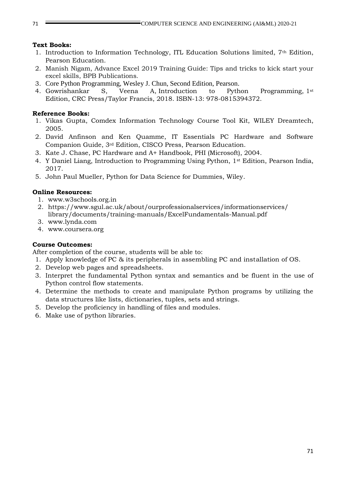### **Text Books:**

- 1. Introduction to Information Technology, ITL Education Solutions limited, 7th Edition, Pearson Education.
- 2. Manish Nigam, Advance Excel 2019 Training Guide: Tips and tricks to kick start your excel skills, BPB Publications.
- 3. Core Python Programming, Wesley J. Chun, Second Edition, Pearson.
- 4. Gowrishankar S, Veena A, Introduction to Python Programming, 1st Edition, CRC Press/Taylor Francis, 2018. ISBN-13: 978-0815394372.

### **Reference Books:**

- 1. Vikas Gupta, Comdex Information Technology Course Tool Kit, WILEY Dreamtech, 2005.
- 2. David Anfinson and Ken Quamme, IT Essentials PC Hardware and Software Companion Guide, 3rd Edition, CISCO Press, Pearson Education.
- 3. Kate J. Chase, PC Hardware and A+ Handbook, PHI (Microsoft), 2004.
- 4. Y Daniel Liang, Introduction to Programming Using Python, 1st Edition, Pearson India, 2017.
- 5. John Paul Mueller, Python for Data Science for Dummies, Wiley.

### **Online Resources:**

- 1. www.w3schools.org.in
- 2. https://www.sgul.ac.uk/about/ourprofessionalservices/informationservices/ library/documents/training-manuals/ExcelFundamentals-Manual.pdf
- 3. www.lynda.com
- 4. www.coursera.org

### **Course Outcomes:**

After completion of the course, students will be able to:

- 1. Apply knowledge of PC & its peripherals in assembling PC and installation of OS.
- 2. Develop web pages and spreadsheets.
- 3. Interpret the fundamental Python syntax and semantics and be fluent in the use of Python control flow statements.
- 4. Determine the methods to create and manipulate Python programs by utilizing the data structures like lists, dictionaries, tuples, sets and strings.
- 5. Develop the proficiency in handling of files and modules.
- 6. Make use of python libraries.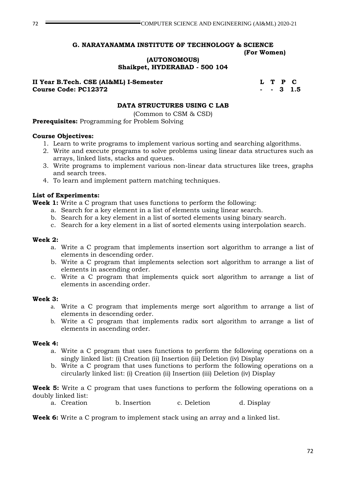**(AUTONOMOUS) Shaikpet, HYDERABAD - 500 104**

**II Year B.Tech. CSE (AI&ML) I-Semester L T P C Course Code: PC12372 - - 3 1.5**

### **DATA STRUCTURES USING C LAB**

(Common to CSM & CSD)

**Prerequisites:** Programming for Problem Solving

#### **Course Objectives:**

- 1. Learn to write programs to implement various sorting and searching algorithms.
- 2. Write and execute programs to solve problems using linear data structures such as arrays, linked lists, stacks and queues.
- 3. Write programs to implement various non-linear data structures like trees, graphs and search trees.
- 4. To learn and implement pattern matching techniques.

#### **List of Experiments:**

**Week 1:** Write a C program that uses functions to perform the following:

- a. Search for a key element in a list of elements using linear search.
- b. Search for a key element in a list of sorted elements using binary search.
- c. Search for a key element in a list of sorted elements using interpolation search.

#### **Week 2:**

- a. Write a C program that implements insertion sort algorithm to arrange a list of elements in descending order.
- b. Write a C program that implements selection sort algorithm to arrange a list of elements in ascending order.
- c. Write a C program that implements quick sort algorithm to arrange a list of elements in ascending order.

#### **Week 3:**

- a. Write a C program that implements merge sort algorithm to arrange a list of elements in descending order.
- b. Write a C program that implements radix sort algorithm to arrange a list of elements in ascending order.

#### **Week 4:**

- a. Write a C program that uses functions to perform the following operations on a singly linked list: (i) Creation (ii) Insertion (iii) Deletion (iv) Display
- b. Write a C program that uses functions to perform the following operations on a circularly linked list: (i) Creation (ii) Insertion (iii) Deletion (iv) Display

**Week 5:** Write a C program that uses functions to perform the following operations on a doubly linked list:

a. Creation b. Insertion c. Deletion d. Display

**Week 6:** Write a C program to implement stack using an array and a linked list.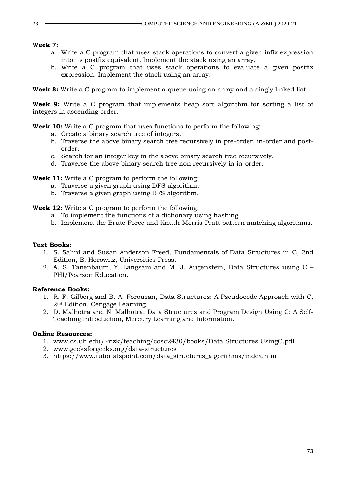#### **Week 7:**

- a. Write a C program that uses stack operations to convert a given infix expression into its postfix equivalent. Implement the stack using an array.
- b. Write a C program that uses stack operations to evaluate a given postfix expression. Implement the stack using an array.

**Week 8:** Write a C program to implement a queue using an array and a singly linked list.

**Week 9:** Write a C program that implements heap sort algorithm for sorting a list of integers in ascending order.

**Week 10:** Write a C program that uses functions to perform the following:

- a. Create a binary search tree of integers.
- b. Traverse the above binary search tree recursively in pre-order, in-order and postorder.
- c. Search for an integer key in the above binary search tree recursively.
- d. Traverse the above binary search tree non recursively in in-order.

**Week 11:** Write a C program to perform the following:

- a. Traverse a given graph using DFS algorithm.
- b. Traverse a given graph using BFS algorithm.

**Week 12:** Write a C program to perform the following:

- a. To implement the functions of a dictionary using hashing
- b. Implement the Brute Force and Knuth-Morris-Pratt pattern matching algorithms.

#### **Text Books:**

- 1. S. Sahni and Susan Anderson Freed, Fundamentals of Data Structures in C, 2nd Edition, E. Horowitz, Universities Press.
- 2. A. S. Tanenbaum, Y. Langsam and M. J. Augenstein, Data Structures using C PHI/Pearson Education.

## **Reference Books:**

- 1. R. F. Gilberg and B. A. Forouzan, Data Structures: A Pseudocode Approach with C, 2nd Edition, Cengage Learning.
- 2. D. Malhotra and N. Malhotra, Data Structures and Program Design Using C: A Self-Teaching Introduction, Mercury Learning and Information.

#### **Online Resources:**

- 1. www.cs.uh.edu/~rizk/teaching/cosc2430/books/Data Structures UsingC.pdf
- 2. www.geeksforgeeks.org/data-structures
- 3. https://www.tutorialspoint.com/data\_structures\_algorithms/index.htm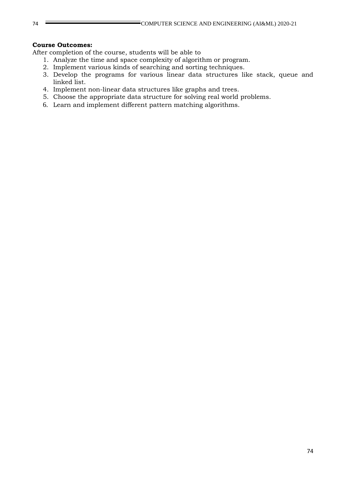#### **Course Outcomes:**

- 1. Analyze the time and space complexity of algorithm or program.
- 2. Implement various kinds of searching and sorting techniques.
- 3. Develop the programs for various linear data structures like stack, queue and linked list.
- 4. Implement non-linear data structures like graphs and trees.
- 5. Choose the appropriate data structure for solving real world problems.
- 6. Learn and implement different pattern matching algorithms.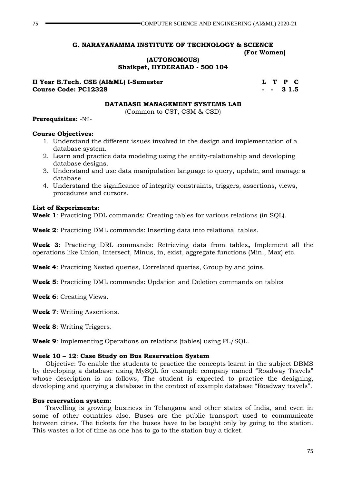#### **(AUTONOMOUS) Shaikpet, HYDERABAD - 500 104**

## **II Year B.Tech. CSE (AI&ML) I-Semester L T P C Course Code: PC12328 - - 3 1.5**

#### **DATABASE MANAGEMENT SYSTEMS LAB**

(Common to CST, CSM & CSD)

### **Prerequisites:** -Nil-

### **Course Objectives:**

- 1. Understand the different issues involved in the design and implementation of a database system.
- 2. Learn and practice data modeling using the entity-relationship and developing database designs.
- 3. Understand and use data manipulation language to query, update, and manage a database.
- 4. Understand the significance of integrity constraints, triggers, assertions, views, procedures and cursors.

## **List of Experiments:**

**Week 1**: Practicing DDL commands: Creating tables for various relations (in SQL).

**Week 2**: Practicing DML commands: Inserting data into relational tables.

**Week 3**: Practicing DRL commands: Retrieving data from tables**,** Implement all the operations like Union, Intersect, Minus, in, exist, aggregate functions (Min., Max) etc.

**Week 4**: Practicing Nested queries, Correlated queries, Group by and joins.

**Week 5**: Practicing DML commands: Updation and Deletion commands on tables

**Week 6**: Creating Views.

**Week 7**: Writing Assertions.

**Week 8**: Writing Triggers.

**Week 9**: Implementing Operations on relations (tables) using PL/SQL.

## **Week 10 – 12**: **Case Study on Bus Reservation System**

Objective: To enable the students to practice the concepts learnt in the subject DBMS by developing a database using MySQL for example company named "Roadway Travels" whose description is as follows, The student is expected to practice the designing, developing and querying a database in the context of example database "Roadway travels".

#### **Bus reservation system**:

Travelling is growing business in Telangana and other states of India, and even in some of other countries also. Buses are the public transport used to communicate between cities. The tickets for the buses have to be bought only by going to the station. This wastes a lot of time as one has to go to the station buy a ticket.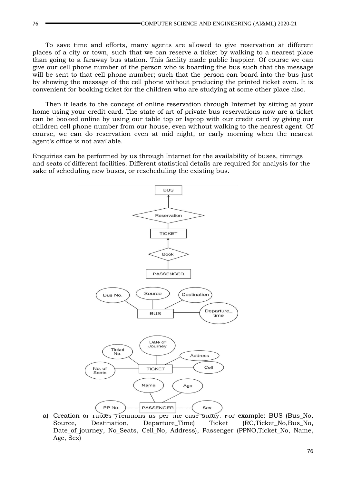To save time and efforts, many agents are allowed to give reservation at different places of a city or town, such that we can reserve a ticket by walking to a nearest place than going to a faraway bus station. This facility made public happier. Of course we can give our cell phone number of the person who is boarding the bus such that the message will be sent to that cell phone number; such that the person can board into the bus just by showing the message of the cell phone without producing the printed ticket even. It is convenient for booking ticket for the children who are studying at some other place also.

Then it leads to the concept of online reservation through Internet by sitting at your home using your credit card. The state of art of private bus reservations now are a ticket can be booked online by using our table top or laptop with our credit card by giving our children cell phone number from our house, even without walking to the nearest agent. Of course, we can do reservation even at mid night, or early morning when the nearest agent's office is not available.

Enquiries can be performed by us through Internet for the availability of buses, timings and seats of different facilities. Different statistical details are required for analysis for the sake of scheduling new buses, or rescheduling the existing bus.



a) Creation of Tables /relations as per the case study. For example: BUS (Bus\_No, Source, Destination, Departure Time) Ticket (RC,Ticket No,Bus No, Date of journey, No Seats, Cell No, Address), Passenger (PPNO,Ticket No, Name, Age, Sex)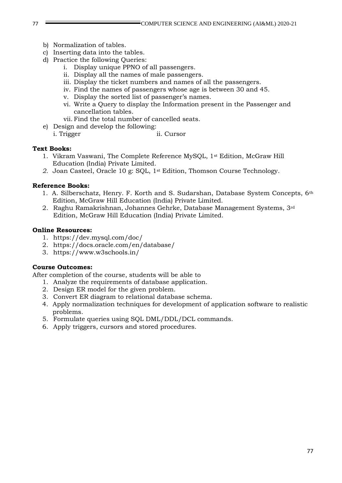- b) Normalization of tables.
- c) Inserting data into the tables.
- d) Practice the following Queries:
	- i. Display unique PPNO of all passengers.
	- ii. Display all the names of male passengers.
	- iii. Display the ticket numbers and names of all the passengers.
	- iv. Find the names of passengers whose age is between 30 and 45.
	- v. Display the sorted list of passenger's names.
	- vi. Write a Query to display the Information present in the Passenger and cancellation tables.
	- vii. Find the total number of cancelled seats.
- e) Design and develop the following:
	- i. Trigger ii. Cursor

#### **Text Books:**

- 1. Vikram Vaswani, The Complete Reference MySQL, 1st Edition, McGraw Hill Education (India) Private Limited.
- *2.* Joan Casteel, Oracle 10 g: SQL, 1st Edition, Thomson Course Technology.

## **Reference Books:**

- 1. A. Silberschatz, Henry. F. Korth and S. Sudarshan, Database System Concepts, 6th Edition, McGraw Hill Education (India) Private Limited.
- 2. Raghu Ramakrishnan, Johannes Gehrke, Database Management Systems, 3rd Edition, McGraw Hill Education (India) Private Limited.

#### **Online Resources:**

- 1. https://dev.mysql.com/doc/
- 2. https://docs.oracle.com/en/database/
- 3. https://www.w3schools.in/

#### **Course Outcomes:**

- 1. Analyze the requirements of database application.
- 2. Design ER model for the given problem.
- 3. Convert ER diagram to relational database schema.
- 4. Apply normalization techniques for development of application software to realistic problems.
- 5. Formulate queries using SQL DML/DDL/DCL commands.
- 6. Apply triggers, cursors and stored procedures.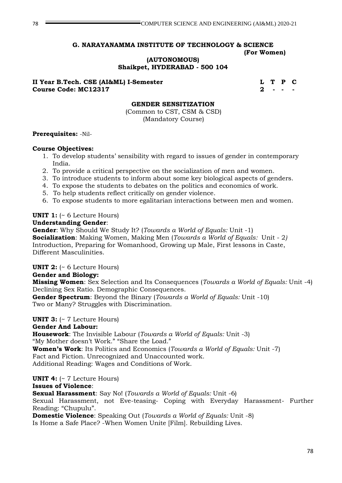**(AUTONOMOUS)**

**Shaikpet, HYDERABAD - 500 104**

**II Year B.Tech. CSE (AI&ML) I-Semester L T P C Course Code: MC12317 2 2** 

## **GENDER SENSITIZATION**

(Common to CST, CSM & CSD) (Mandatory Course)

## **Prerequisites:** -Nil-

## **Course Objectives:**

- 1. To develop students' sensibility with regard to issues of gender in contemporary India.
- 2. To provide a critical perspective on the socialization of men and women.
- 3. To introduce students to inform about some key biological aspects of genders.
- 4. To expose the students to debates on the politics and economics of work.
- 5. To help students reflect critically on gender violence.
- 6. To expose students to more egalitarian interactions between men and women.

## **UNIT 1:** (~ 6 Lecture Hours)

## **Understanding Gender**:

**Gender**: Why Should We Study It? (*Towards a World of Equals:* Unit -1)

**Socialization**: Making Women, Making Men (*Towards a World of Equals:* Unit - 2*)* Introduction, Preparing for Womanhood, Growing up Male, First lessons in Caste, Different Masculinities.

**UNIT 2:** (~ 6 Lecture Hours)

## **Gender and Biology:**

**Missing Women**: Sex Selection and Its Consequences (*Towards a World of Equals:* Unit -4) Declining Sex Ratio. Demographic Consequences.

**Gender Spectrum**: Beyond the Binary (*Towards a World of Equals:* Unit -10) Two or Many? Struggles with Discrimination.

## **UNIT 3:** (~ 7 Lecture Hours)

## **Gender And Labour:**

**Housework**: The Invisible Labour (*Towards a World of Equals:* Unit -3) "My Mother doesn't Work." "Share the Load." **Women's Work**: Its Politics and Economics (*Towards a World of Equals:* Unit -7) Fact and Fiction. Unrecognized and Unaccounted work.

Additional Reading: Wages and Conditions of Work.

## **UNIT 4:** (~ 7 Lecture Hours)

## **Issues of Violence**:

**Sexual Harassment**: Say No! (*Towards a World of Equals:* Unit -6)

Sexual Harassment, not Eve-teasing- Coping with Everyday Harassment- Further Reading: "Chupulu".

**Domestic Violence**: Speaking Out (*Towards a World of Equals:* Unit -8) Is Home a Safe Place? -When Women Unite [Film]. Rebuilding Lives.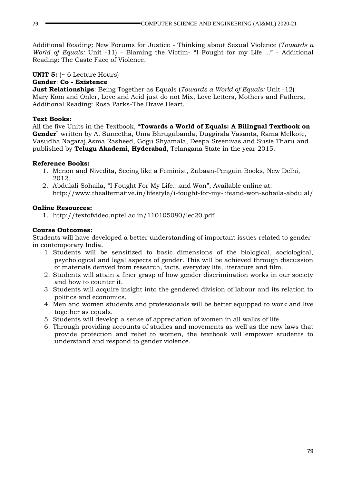Additional Reading: New Forums for Justice - Thinking about Sexual Violence (*Towards a World of Equals:* Unit -11) - Blaming the Victim- "I Fought for my Life…." - Additional Reading: The Caste Face of Violence.

## **UNIT 5:** (~ 6 Lecture Hours)

## **Gender**: **Co - Existence**

**Just Relationships**: Being Together as Equals (*Towards a World of Equals:* Unit -12) Mary Kom and Onler, Love and Acid just do not Mix, Love Letters, Mothers and Fathers, Additional Reading: Rosa Parks-The Brave Heart.

## **Text Books:**

All the five Units in the Textbook, "**Towards a World of Equals: A Bilingual Textbook on Gender**" written by A. Suneetha, Uma Bhrugubanda, Duggirala Vasanta, Rama Melkote, Vasudha Nagaraj,Asma Rasheed, Gogu Shyamala, Deepa Sreenivas and Susie Tharu and published by **Telugu Akademi**, **Hyderabad**, Telangana State in the year 2015.

## **Reference Books:**

- 1. Menon and Nivedita, Seeing like a Feminist, Zubaan-Penguin Books, New Delhi, 2012.
- 2. Abdulali Sohaila, "I Fought For My Life…and Won", Available online at: http://www.thealternative.in/lifestyle/i-fought-for-my-lifeand-won-sohaila-abdulal/

## **Online Resources:**

1. http://textofvideo.nptel.ac.in/110105080/lec20.pdf

## **Course Outcomes:**

Students will have developed a better understanding of important issues related to gender in contemporary India.

- 1. Students will be sensitized to basic dimensions of the biological, sociological, psychological and legal aspects of gender. This will be achieved through discussion of materials derived from research, facts, everyday life, literature and film.
- 2. Students will attain a finer grasp of how gender discrimination works in our society and how to counter it.
- 3. Students will acquire insight into the gendered division of labour and its relation to politics and economics.
- 4. Men and women students and professionals will be better equipped to work and live together as equals.
- 5. Students will develop a sense of appreciation of women in all walks of life.
- 6. Through providing accounts of studies and movements as well as the new laws that provide protection and relief to women, the textbook will empower students to understand and respond to gender violence.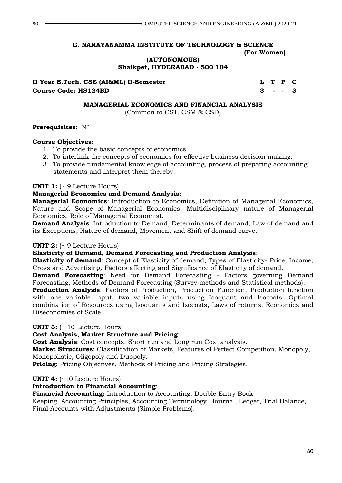**(AUTONOMOUS)**

**Shaikpet, HYDERABAD - 500 104**

**II Year B.Tech. CSE (AI&ML) II-Semester L T P C Course Code: HS124BD 3 - - 3**

### **MANAGERIAL ECONOMICS AND FINANCIAL ANALYSIS**

(Common to CST, CSM & CSD)

## **Prerequisites:** -Nil-

## **Course Objectives:**

- 1. To provide the basic concepts of economics.
- 2. To interlink the concepts of economics for effective business decision making.
- 3. To provide fundamental knowledge of accounting, process of preparing accounting statements and interpret them thereby.

## **UNIT 1:** (~ 9 Lecture Hours)

## **Managerial Economics and Demand Analysis**:

**Managerial Economics**: Introduction to Economics, Definition of Managerial Economics, Nature and Scope of Managerial Economics, Multidisciplinary nature of Managerial Economics, Role of Managerial Economist.

**Demand Analysis**: Introduction to Demand, Determinants of demand, Law of demand and its Exceptions, Nature of demand, Movement and Shift of demand curve.

## **UNIT 2:** (~ 9 Lecture Hours)

## **Elasticity of Demand, Demand Forecasting and Production Analysis**:

**Elasticity of demand**: Concept of Elasticity of demand, Types of Elasticity- Price, Income, Cross and Advertising. Factors affecting and Significance of Elasticity of demand.

**Demand Forecasting**: Need for Demand Forecasting - Factors governing Demand Forecasting, Methods of Demand Forecasting (Survey methods and Statistical methods).

**Production Analysis**: Factors of Production, Production Function, Production function with one variable input, two variable inputs using Isoquant and Isocosts. Optimal combination of Resources using Isoquants and Isocosts, Laws of returns, Economies and Diseconomies of Scale.

## **UNIT 3:** (~ 10 Lecture Hours)

## **Cost Analysis, Market Structure and Pricing**:

**Cost Analysis**: Cost concepts, Short run and Long run Cost analysis.

**Market Structures**: Classification of Markets, Features of Perfect Competition, Monopoly, Monopolistic, Oligopoly and Duopoly.

**Pricing**: Pricing Objectives, Methods of Pricing and Pricing Strategies.

## **UNIT 4:** (~10 Lecture Hours)

## **Introduction to Financial Accounting**:

**Financial Accounting:** Introduction to Accounting, Double Entry Book-

Keeping, Accounting Principles, Accounting Terminology, Journal, Ledger, Trial Balance, Final Accounts with Adjustments (Simple Problems).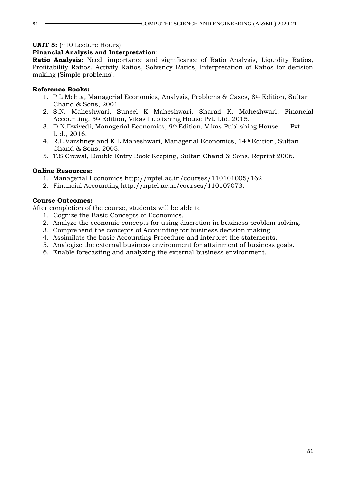#### **UNIT 5:** (~10 Lecture Hours)

## **Financial Analysis and Interpretation**:

**Ratio Analysis**: Need, importance and significance of Ratio Analysis, Liquidity Ratios, Profitability Ratios, Activity Ratios, Solvency Ratios, Interpretation of Ratios for decision making (Simple problems).

### **Reference Books:**

- 1. P L Mehta, Managerial Economics, Analysis, Problems & Cases, 8th Edition, Sultan Chand & Sons, 2001.
- 2. S.N. Maheshwari, Suneel K Maheshwari, Sharad K. Maheshwari, Financial Accounting, 5th Edition, Vikas Publishing House Pvt. Ltd, 2015.
- 3. D.N.Dwivedi, Managerial Economics, 9th Edition, Vikas Publishing House Pvt. Ltd., 2016.
- 4. R.L.Varshney and K.L Maheshwari, Managerial Economics, 14th Edition, Sultan Chand & Sons, 2005.
- 5. T.S.Grewal, Double Entry Book Keeping, Sultan Chand & Sons, Reprint 2006.

#### **Online Resources:**

- 1. Managerial Economics http://nptel.ac.in/courses/110101005/162.
- 2. Financial Accounting http://nptel.ac.in/courses/110107073.

### **Course Outcomes:**

- 1. Cognize the Basic Concepts of Economics.
- 2. Analyze the economic concepts for using discretion in business problem solving.
- 3. Comprehend the concepts of Accounting for business decision making.
- 4. Assimilate the basic Accounting Procedure and interpret the statements.
- 5. Analogize the external business environment for attainment of business goals.
- 6. Enable forecasting and analyzing the external business environment.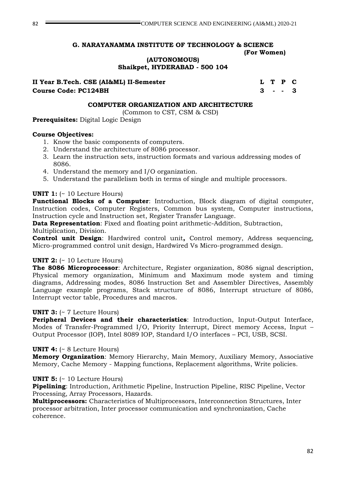**(AUTONOMOUS)**

**Shaikpet, HYDERABAD - 500 104**

**II Year B.Tech. CSE (AI&ML) II-Semester L T P C Course Code: PC124BH 3 - - 3**

## **COMPUTER ORGANIZATION AND ARCHITECTURE**

(Common to CST, CSM & CSD)

**Prerequisites:** Digital Logic Design

## **Course Objectives:**

- 1. Know the basic components of computers.
- 2. Understand the architecture of 8086 processor.
- 3. Learn the instruction sets, instruction formats and various addressing modes of 8086.
- 4. Understand the memory and I/O organization.
- 5. Understand the parallelism both in terms of single and multiple processors.

## **UNIT 1:** (~ 10 Lecture Hours)

**Functional Blocks of a Computer**: Introduction, Block diagram of digital computer, Instruction codes, Computer Registers, Common bus system, Computer instructions, Instruction cycle and Instruction set, Register Transfer Language.

**Data Representation**: Fixed and floating point arithmetic-Addition, Subtraction, Multiplication, Division.

**Control unit Design**: Hardwired control unit**,** Control memory, Address sequencing, Micro-programmed control unit design, Hardwired Vs Micro-programmed design.

## **UNIT 2:** (~ 10 Lecture Hours)

**The 8086 Microprocessor**: Architecture, Register organization, 8086 signal description, Physical memory organization, Minimum and Maximum mode system and timing diagrams, Addressing modes, 8086 Instruction Set and Assembler Directives, Assembly Language example programs, Stack structure of 8086, Interrupt structure of 8086, Interrupt vector table, Procedures and macros.

## **UNIT 3:** (~ 7 Lecture Hours)

**Peripheral Devices and their characteristics**: Introduction, Input-Output Interface, Modes of Transfer-Programmed I/O, Priority Interrupt, Direct memory Access, Input – Output Processor (IOP), Intel 8089 IOP, Standard I/O interfaces – PCI, USB, SCSI.

## **UNIT 4:** (~ 8 Lecture Hours)

**Memory Organization**: Memory Hierarchy, Main Memory, Auxiliary Memory, Associative Memory, Cache Memory - Mapping functions, Replacement algorithms, Write policies.

## **UNIT 5:** (~ 10 Lecture Hours)

**Pipelining**: Introduction, Arithmetic Pipeline, Instruction Pipeline, RISC Pipeline, Vector Processing, Array Processors, Hazards.

**Multiprocessors:** Characteristics of Multiprocessors, Interconnection Structures, Inter processor arbitration, Inter processor communication and synchronization, Cache coherence.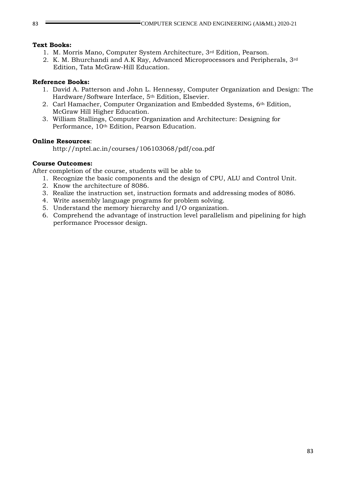## **Text Books:**

- 1. M. Morris Mano, Computer System Architecture, 3rd Edition, Pearson.
- 2. K. M. Bhurchandi and A.K Ray, Advanced Microprocessors and Peripherals, 3rd Edition, Tata McGraw-Hill Education.

## **Reference Books:**

- 1. David A. Patterson and John L. Hennessy, Computer Organization and Design: The Hardware/Software Interface, 5th Edition, Elsevier.
- 2. Carl Hamacher, Computer Organization and Embedded Systems, 6th Edition, McGraw Hill Higher Education.
- 3. William Stallings, Computer Organization and Architecture: Designing for Performance, 10<sup>th</sup> Edition, Pearson Education.

## **Online Resources**:

http://nptel.ac.in/courses/106103068/pdf/coa.pdf

## **Course Outcomes:**

- 1. Recognize the basic components and the design of CPU, ALU and Control Unit.
- 2. Know the architecture of 8086.
- 3. Realize the instruction set, instruction formats and addressing modes of 8086.
- 4. Write assembly language programs for problem solving.
- 5. Understand the memory hierarchy and I/O organization.
- 6. Comprehend the advantage of instruction level parallelism and pipelining for high performance Processor design.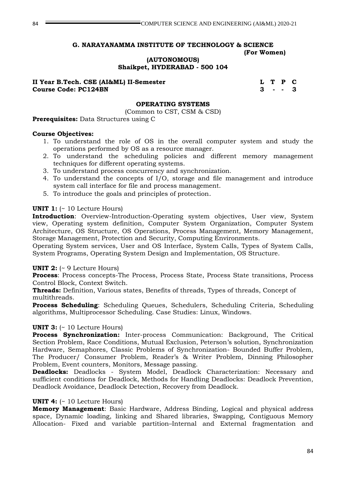**(AUTONOMOUS)**

**Shaikpet, HYDERABAD - 500 104**

**II Year B.Tech. CSE (AI&ML) II-Semester L T P C Course Code: PC124BN 3 - - 3**

#### **OPERATING SYSTEMS**

(Common to CST, CSM & CSD)

#### **Prerequisites:** Data Structures using C

#### **Course Objectives:**

- 1. To understand the role of OS in the overall computer system and study the operations performed by OS as a resource manager.
- 2. To understand the scheduling policies and different memory management techniques for different operating systems.
- 3. To understand process concurrency and synchronization.
- 4. To understand the concepts of I/O, storage and file management and introduce system call interface for file and process management.
- 5. To introduce the goals and principles of protection.

#### **UNIT 1:** (~ 10 Lecture Hours)

**Introduction**: Overview-Introduction-Operating system objectives, User view, System view, Operating system definition, Computer System Organization, Computer System Architecture, OS Structure, OS Operations, Process Management, Memory Management, Storage Management, Protection and Security, Computing Environments.

Operating System services, User and OS Interface, System Calls, Types of System Calls, System Programs, Operating System Design and Implementation, OS Structure.

#### **UNIT 2:** (~ 9 Lecture Hours)

**Process**: Process concepts-The Process, Process State, Process State transitions, Process Control Block, Context Switch.

**Threads:** Definition, Various states, Benefits of threads, Types of threads, Concept of multithreads.

**Process Scheduling**: Scheduling Queues, Schedulers, Scheduling Criteria, Scheduling algorithms, Multiprocessor Scheduling. Case Studies: Linux, Windows.

#### **UNIT 3:** (~ 10 Lecture Hours)

**Process Synchronization:** Inter-process Communication: Background, The Critical Section Problem, Race Conditions, Mutual Exclusion, Peterson's solution, Synchronization Hardware, Semaphores, Classic Problems of Synchronization- Bounded Buffer Problem, The Producer/ Consumer Problem, Reader's & Writer Problem, Dinning Philosopher Problem, Event counters, Monitors, Message passing.

**Deadlocks:** Deadlocks - System Model, Deadlock Characterization: Necessary and sufficient conditions for Deadlock, Methods for Handling Deadlocks: Deadlock Prevention, Deadlock Avoidance, Deadlock Detection, Recovery from Deadlock.

#### **UNIT 4:** (~ 10 Lecture Hours)

**Memory Management**: Basic Hardware, Address Binding, Logical and physical address space, Dynamic loading, linking and Shared libraries, Swapping, Contiguous Memory Allocation- Fixed and variable partition–Internal and External fragmentation and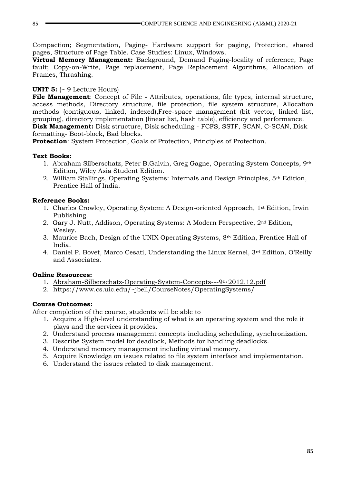Compaction; Segmentation, Paging- Hardware support for paging, Protection, shared pages, Structure of Page Table. Case Studies: Linux, Windows.

**Virtual Memory Management:** Background, Demand Paging-locality of reference, Page fault; Copy-on-Write, Page replacement, Page Replacement Algorithms, Allocation of Frames, Thrashing.

## **UNIT 5:** (~ 9 Lecture Hours)

**File Management**: Concept of File **-** Attributes, operations, file types, internal structure, access methods, Directory structure, file protection, file system structure, Allocation methods (contiguous, linked, indexed),Free-space management (bit vector, linked list, grouping), directory implementation (linear list, hash table), efficiency and performance. **Disk Management:** Disk structure, Disk scheduling - FCFS, SSTF, SCAN, C-SCAN, Disk formatting- Boot-block, Bad blocks.

**Protection**: System Protection, Goals of Protection, Principles of Protection.

## **Text Books:**

- 1. Abraham Silberschatz, Peter B.Galvin, Greg Gagne, Operating System Concepts, 9th Edition, Wiley Asia Student Edition.
- 2. William Stallings, Operating Systems: Internals and Design Principles, 5th Edition, Prentice Hall of India.

## **Reference Books:**

- 1. Charles Crowley, Operating System: A Design-oriented Approach, 1st Edition, Irwin Publishing.
- 2. Gary J. Nutt, Addison, Operating Systems: A Modern Perspective, 2nd Edition, Wesley.
- 3. Maurice Bach, Design of the UNIX Operating Systems, 8th Edition, Prentice Hall of India.
- 4. Daniel P. Bovet, Marco Cesati, Understanding the Linux Kernel,  $3^{rd}$  Edition, O'Reilly and Associates.

## **Online Resources:**

- 1. Abraham-Silberschatz-Operating-System-Concepts---9th 2012.12.pdf
- 2. https://www.cs.uic.edu/~jbell/CourseNotes/OperatingSystems/

## **Course Outcomes:**

- 1. Acquire a High-level understanding of what is an operating system and the role it plays and the services it provides.
- 2. Understand process management concepts including scheduling, synchronization.
- 3. Describe System model for deadlock, Methods for handling deadlocks.
- 4. Understand memory management including virtual memory.
- 5. Acquire Knowledge on issues related to file system interface and implementation.
- 6. Understand the issues related to disk management.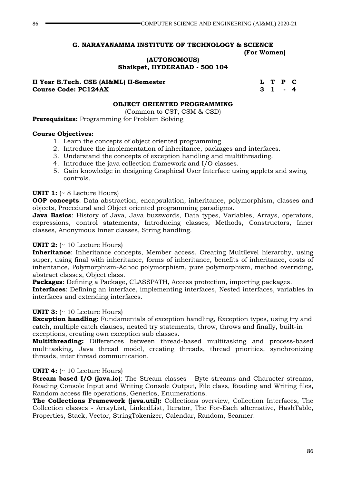**(AUTONOMOUS) Shaikpet, HYDERABAD - 500 104**

### **II Year B.Tech. CSE (AI&ML) II-Semester L T P C Course Code: PC124AX 3 1**

### **OBJECT ORIENTED PROGRAMMING**

(Common to CST, CSM & CSD)

**Prerequisites:** Programming for Problem Solving

### **Course Objectives:**

- 1. Learn the concepts of object oriented programming.
- 2. Introduce the implementation of inheritance, packages and interfaces.
- 3. Understand the concepts of exception handling and multithreading.
- 4. Introduce the java collection framework and I/O classes.
- 5. Gain knowledge in designing Graphical User Interface using applets and swing controls.

## **UNIT 1:** (~ 8 Lecture Hours)

**OOP concepts**: Data abstraction, encapsulation, inheritance, polymorphism, classes and objects, Procedural and Object oriented programming paradigms.

**Java Basics**: History of Java, Java buzzwords, Data types, Variables, Arrays, operators, expressions, control statements, Introducing classes, Methods, Constructors, Inner classes, Anonymous Inner classes, String handling.

## **UNIT 2:** (~ 10 Lecture Hours)

**Inheritance**: Inheritance concepts, Member access, Creating Multilevel hierarchy, using super, using final with inheritance, forms of inheritance, benefits of inheritance, costs of inheritance, Polymorphism-Adhoc polymorphism, pure polymorphism, method overriding, abstract classes, Object class.

**Packages**: Defining a Package, CLASSPATH, Access protection, importing packages.

**Interfaces**: Defining an interface, implementing interfaces, Nested interfaces, variables in interfaces and extending interfaces.

## **UNIT 3:** (~ 10 Lecture Hours)

**Exception handling:** Fundamentals of exception handling, Exception types, using try and catch, multiple catch clauses, nested try statements, throw, throws and finally, built-in exceptions, creating own exception sub classes.

**Multithreading:** Differences between thread-based multitasking and process-based multitasking, Java thread model, creating threads, thread priorities, synchronizing threads, inter thread communication.

## **UNIT 4:** (~ 10 Lecture Hours)

**Stream based I/O (java.io)**: The Stream classes - Byte streams and Character streams, Reading Console Input and Writing Console Output, File class, Reading and Writing files, Random access file operations, Generics, Enumerations.

**The Collections Framework (java.util):** Collections overview, Collection Interfaces, The Collection classes - ArrayList, LinkedList, Iterator, The For-Each alternative, HashTable, Properties, Stack, Vector, StringTokenizer, Calendar, Random, Scanner.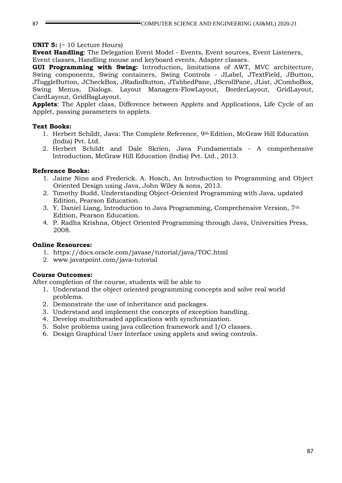#### **UNIT 5:** (~ 10 Lecture Hours)

**Event Handling**: The Delegation Event Model - Events, Event sources, Event Listeners, Event classes, Handling mouse and keyboard events, Adapter classes.

**GUI Programming with Swing:** Introduction, limitations of AWT, MVC architecture, Swing components, Swing containers, Swing Controls - JLabel, JTextField, JButton, JToggleButton, JCheckBox, JRadioButton, JTabbedPane, JScrollPane, JList, JComboBox, Swing Menus, Dialogs. Layout Managers-FlowLayout, BorderLayout, GridLayout, CardLayout, GridBagLayout.

**Applets**: The Applet class, Difference between Applets and Applications, Life Cycle of an Applet, passing parameters to applets.

### **Text Books:**

- 1. Herbert Schildt, Java: The Complete Reference, 9th Edition, McGraw Hill Education (India) Pvt. Ltd.
- 2. Herbert Schildt and Dale Skrien, Java Fundamentals A comprehensive Introduction, McGraw Hill Education (India) Pvt. Ltd., 2013.

### **Reference Books:**

- 1. Jaime Nino and Frederick. A. Hosch, An Introduction to Programming and Object Oriented Design using Java, John Wiley & sons, 2013.
- 2. Timothy Budd, Understanding Object-Oriented Programming with Java, updated Edition, Pearson Education.
- 3. Y. Daniel Liang, Introduction to Java Programming, Comprehensive Version, 7th Edition, Pearson Education.
- 4. P. Radha Krishna, Object Oriented Programming through Java, Universities Press, 2008.

#### **Online Resources:**

- 1. https://docs.oracle.com/javase/tutorial/java/TOC.html
- 2. www.javatpoint.com/java-tutorial

#### **Course Outcomes:**

- 1. Understand the object oriented programming concepts and solve real world problems.
- 2. Demonstrate the use of inheritance and packages.
- 3. Understand and implement the concepts of exception handling.
- 4. Develop multithreaded applications with synchronization.
- 5. Solve problems using java collection framework and I/O classes.
- 6. Design Graphical User Interface using applets and swing controls.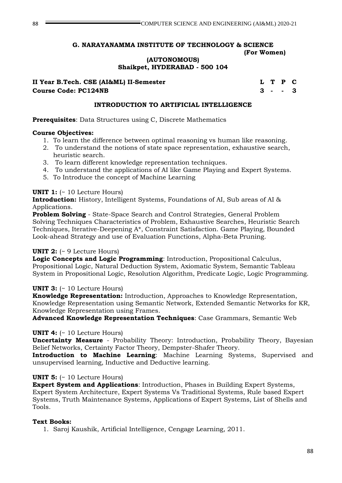**(AUTONOMOUS)**

**Shaikpet, HYDERABAD - 500 104**

**II Year B.Tech. CSE (AI&ML) II-Semester L T P C Course Code: PC124NB 3 - - 3**

### **INTRODUCTION TO ARTIFICIAL INTELLIGENCE**

**Prerequisites**: Data Structures using C, Discrete Mathematics

### **Course Objectives:**

- 1. To learn the difference between optimal reasoning vs human like reasoning.
- 2. To understand the notions of state space representation, exhaustive search, heuristic search.
- 3. To learn different knowledge representation techniques.
- 4. To understand the applications of AI like Game Playing and Expert Systems.
- 5. To Introduce the concept of Machine Learning

## **UNIT 1:** (~ 10 Lecture Hours)

**Introduction:** History, Intelligent Systems, Foundations of AI, Sub areas of AI & Applications.

**Problem Solving** - State-Space Search and Control Strategies, General Problem Solving Techniques Characteristics of Problem, Exhaustive Searches, Heuristic Search Techniques, Iterative-Deepening A\*, Constraint Satisfaction. Game Playing, Bounded Look-ahead Strategy and use of Evaluation Functions, Alpha-Beta Pruning.

## **UNIT 2:** (~ 9 Lecture Hours)

**Logic Concepts and Logic Programming**: Introduction, Propositional Calculus, Propositional Logic, Natural Deduction System, Axiomatic System, Semantic Tableau System in Propositional Logic, Resolution Algorithm, Predicate Logic, Logic Programming.

## **UNIT 3:** (~ 10 Lecture Hours)

**Knowledge Representation:** Introduction, Approaches to Knowledge Representation, Knowledge Representation using Semantic Network, Extended Semantic Networks for KR, Knowledge Representation using Frames.

**Advanced Knowledge Representation Techniques**: Case Grammars, Semantic Web

## **UNIT 4:** (~ 10 Lecture Hours)

**Uncertainty Measure** - Probability Theory: Introduction, Probability Theory, Bayesian Belief Networks, Certainty Factor Theory, Dempster-Shafer Theory.

**Introduction to Machine Learning**: Machine Learning Systems, Supervised and unsupervised learning, Inductive and Deductive learning.

#### **UNIT 5:** (~ 10 Lecture Hours)

**Expert System and Applications**: Introduction, Phases in Building Expert Systems, Expert System Architecture, Expert Systems Vs Traditional Systems, Rule based Expert Systems, Truth Maintenance Systems, Applications of Expert Systems, List of Shells and Tools.

## **Text Books:**

1. Saroj Kaushik, Artificial Intelligence, Cengage Learning, 2011.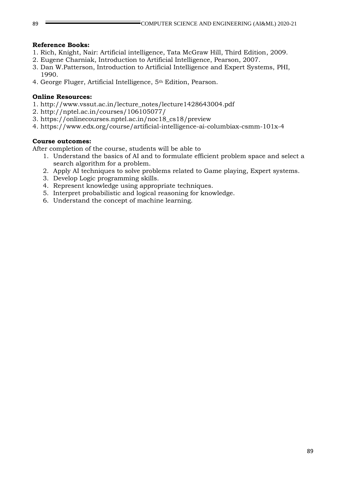## **Reference Books:**

- 1. Rich, Knight, Nair: Artificial intelligence, Tata McGraw Hill, Third Edition, 2009.
- 2. Eugene Charniak, Introduction to Artificial Intelligence, Pearson, 2007.
- 3. Dan W.Patterson, Introduction to Artificial Intelligence and Expert Systems, PHI, 1990.
- 4. George Fluger, Artificial Intelligence, 5th Edition, Pearson.

### **Online Resources:**

- 1. http://www.vssut.ac.in/lecture\_notes/lecture1428643004.pdf
- 2. http://nptel.ac.in/courses/106105077/
- 3. https://onlinecourses.nptel.ac.in/noc18\_cs18/preview
- 4. https://www.edx.org/course/artificial-intelligence-ai-columbiax-csmm-101x-4

## **Course outcomes:**

- 1. Understand the basics of AI and to formulate efficient problem space and select a search algorithm for a problem.
- 2. Apply AI techniques to solve problems related to Game playing, Expert systems.
- 3. Develop Logic programming skills.
- 4. Represent knowledge using appropriate techniques.
- 5. Interpret probabilistic and logical reasoning for knowledge.
- 6. Understand the concept of machine learning.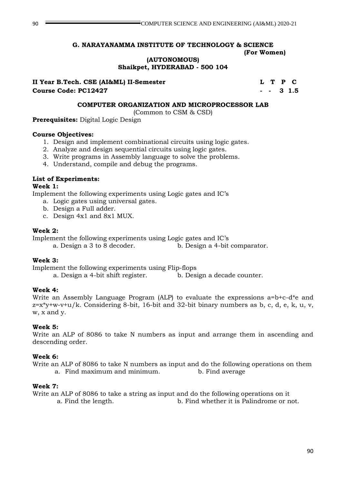**(AUTONOMOUS)**

**Shaikpet, HYDERABAD - 500 104**

**II Year B.Tech. CSE (AI&ML) II-Semester L T P C Course Code: PC12427 - - 3 1.5**

## **COMPUTER ORGANIZATION AND MICROPROCESSOR LAB**

(Common to CSM & CSD)

**Prerequisites:** Digital Logic Design

## **Course Objectives:**

- 1. Design and implement combinational circuits using logic gates.
- 2. Analyze and design sequential circuits using logic gates.
- 3. Write programs in Assembly language to solve the problems.
- 4. Understand, compile and debug the programs.

## **List of Experiments:**

## **Week 1:**

Implement the following experiments using Logic gates and IC's

- a. Logic gates using universal gates.
- b. Design a Full adder.
- c. Design 4x1 and 8x1 MUX.

## **Week 2:**

Implement the following experiments using Logic gates and IC's

a. Design a 3 to 8 decoder. b. Design a 4-bit comparator.

## **Week 3:**

Implement the following experiments using Flip-flops

a. Design a 4-bit shift register. b. Design a decade counter.

## **Week 4:**

Write an Assembly Language Program (ALP) to evaluate the expressions a=b+c-d\*e and  $z=x+y+w-v+u/k$ . Considering 8-bit, 16-bit and 32-bit binary numbers as b, c, d, e, k, u, v, w, x and y.

## **Week 5:**

Write an ALP of 8086 to take N numbers as input and arrange them in ascending and descending order.

## **Week 6:**

Write an ALP of 8086 to take N numbers as input and do the following operations on them a. Find maximum and minimum. b. Find average

## **Week 7:**

Write an ALP of 8086 to take a string as input and do the following operations on it a. Find the length. b. Find whether it is Palindrome or not.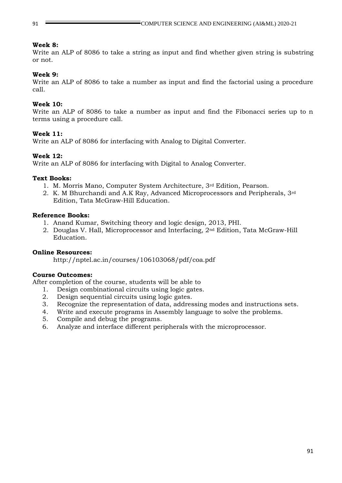#### **Week 8:**

Write an ALP of 8086 to take a string as input and find whether given string is substring or not.

### **Week 9:**

Write an ALP of 8086 to take a number as input and find the factorial using a procedure call.

### **Week 10:**

Write an ALP of 8086 to take a number as input and find the Fibonacci series up to n terms using a procedure call.

### **Week 11:**

Write an ALP of 8086 for interfacing with Analog to Digital Converter.

### **Week 12:**

Write an ALP of 8086 for interfacing with Digital to Analog Converter.

#### **Text Books:**

- 1. M. Morris Mano, Computer System Architecture, 3rd Edition, Pearson.
- 2. K. M Bhurchandi and A.K Ray, Advanced Microprocessors and Peripherals, 3rd Edition, Tata McGraw-Hill Education.

#### **Reference Books:**

- 1. Anand Kumar, Switching theory and logic design, 2013, PHI.
- 2. Douglas V. Hall, Microprocessor and Interfacing, 2nd Edition, Tata McGraw-Hill Education.

### **Online Resources:**

http://nptel.ac.in/courses/106103068/pdf/coa.pdf

## **Course Outcomes:**

- 1. Design combinational circuits using logic gates.
- 2. Design sequential circuits using logic gates.
- 3. Recognize the representation of data, addressing modes and instructions sets.
- 4. Write and execute programs in Assembly language to solve the problems.
- 5. Compile and debug the programs.
- 6. Analyze and interface different peripherals with the microprocessor.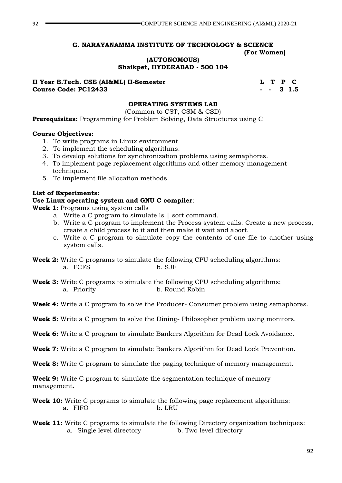**(AUTONOMOUS)**

**Shaikpet, HYDERABAD - 500 104**

**II Year B.Tech. CSE (AI&ML) II-Semester L T P C Course Code: PC12433** 4 5 3 1.5

## **OPERATING SYSTEMS LAB**

(Common to CST, CSM & CSD)

**Prerequisites:** Programming for Problem Solving, Data Structures using C

### **Course Objectives:**

- 1. To write programs in Linux environment.
- 2. To implement the scheduling algorithms.
- 3. To develop solutions for synchronization problems using semaphores.
- 4. To implement page replacement algorithms and other memory management techniques.
- 5. To implement file allocation methods.

### **List of Experiments:**

## **Use Linux operating system and GNU C compiler**:

**Week 1:** Programs using system calls

- a. Write a C program to simulate ls | sort command.
- b. Write a C program to implement the Process system calls. Create a new process, create a child process to it and then make it wait and abort.
- c. Write a C program to simulate copy the contents of one file to another using system calls.
- **Week 2:** Write C programs to simulate the following CPU scheduling algorithms: a. FCFS b. SJF
- **Week 3:** Write C programs to simulate the following CPU scheduling algorithms: a. Priority b. Round Robin
- **Week 4:** Write a C program to solve the Producer- Consumer problem using semaphores.
- **Week 5:** Write a C program to solve the Dining- Philosopher problem using monitors.
- **Week 6:** Write a C program to simulate Bankers Algorithm for Dead Lock Avoidance.
- **Week 7:** Write a C program to simulate Bankers Algorithm for Dead Lock Prevention.
- **Week 8:** Write C program to simulate the paging technique of memory management.

**Week 9:** Write C program to simulate the segmentation technique of memory management.

- **Week 10:** Write C programs to simulate the following page replacement algorithms: a. FIFO b. LRU
- **Week 11:** Write C programs to simulate the following Directory organization techniques: a. Single level directory b. Two level directory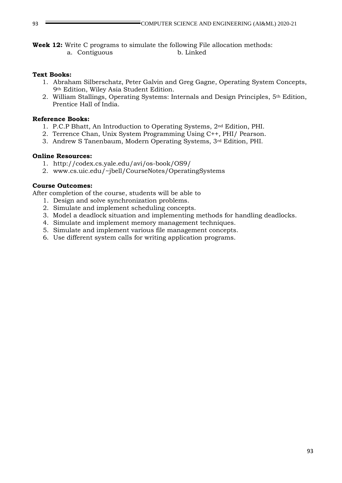**Week 12:** Write C programs to simulate the following File allocation methods: a. Contiguous b. Linked

### **Text Books:**

- 1. Abraham Silberschatz, Peter Galvin and Greg Gagne, Operating System Concepts, 9th Edition, Wiley Asia Student Edition.
- 2. William Stallings, Operating Systems: Internals and Design Principles, 5th Edition, Prentice Hall of India.

### **Reference Books:**

- 1. P.C.P Bhatt, An Introduction to Operating Systems, 2nd Edition, PHI.
- 2. Terrence Chan, Unix System Programming Using C++, PHI/ Pearson.
- 3. Andrew S Tanenbaum, Modern Operating Systems, 3rd Edition, PHI.

### **Online Resources:**

- 1. http://codex.cs.yale.edu/avi/os-book/OS9/
- 2. www.cs.uic.edu/~jbell/CourseNotes/OperatingSystems

## **Course Outcomes:**

- 1. Design and solve synchronization problems.
- 2. Simulate and implement scheduling concepts.
- 3. Model a deadlock situation and implementing methods for handling deadlocks.
- 4. Simulate and implement memory management techniques.
- 5. Simulate and implement various file management concepts.
- 6. Use different system calls for writing application programs.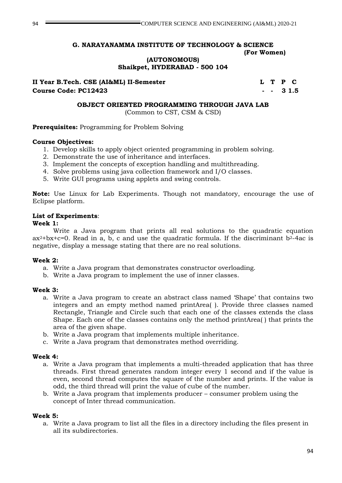# **(AUTONOMOUS)**

**Shaikpet, HYDERABAD - 500 104**

**II Year B.Tech. CSE (AI&ML) II-Semester L T P C Course Code: PC12423 - - 3 1.5**

### **OBJECT ORIENTED PROGRAMMING THROUGH JAVA LAB**

(Common to CST, CSM & CSD)

## **Prerequisites:** Programming for Problem Solving

## **Course Objectives:**

- 1. Develop skills to apply object oriented programming in problem solving.
- 2. Demonstrate the use of inheritance and interfaces.
- 3. Implement the concepts of exception handling and multithreading.
- 4. Solve problems using java collection framework and I/O classes.
- 5. Write GUI programs using applets and swing controls.

**Note:** Use Linux for Lab Experiments. Though not mandatory, encourage the use of Eclipse platform.

## **List of Experiments**:

## **Week 1:**

Write a Java program that prints all real solutions to the quadratic equation  $ax^2+bx+c=0$ . Read in a, b, c and use the quadratic formula. If the discriminant  $b^2-4ac$  is negative, display a message stating that there are no real solutions.

## **Week 2:**

- a. Write a Java program that demonstrates constructor overloading.
- b. Write a Java program to implement the use of inner classes.

## **Week 3:**

- a. Write a Java program to create an abstract class named 'Shape' that contains two integers and an empty method named printArea( ). Provide three classes named Rectangle, Triangle and Circle such that each one of the classes extends the class Shape. Each one of the classes contains only the method printArea( ) that prints the area of the given shape.
- b. Write a Java program that implements multiple inheritance.
- c. Write a Java program that demonstrates method overriding.

#### **Week 4:**

- a. Write a Java program that implements a multi-threaded application that has three threads. First thread generates random integer every 1 second and if the value is even, second thread computes the square of the number and prints. If the value is odd, the third thread will print the value of cube of the number.
- b. Write a Java program that implements producer consumer problem using the concept of Inter thread communication.

#### **Week 5:**

a. Write a Java program to list all the files in a directory including the files present in all its subdirectories.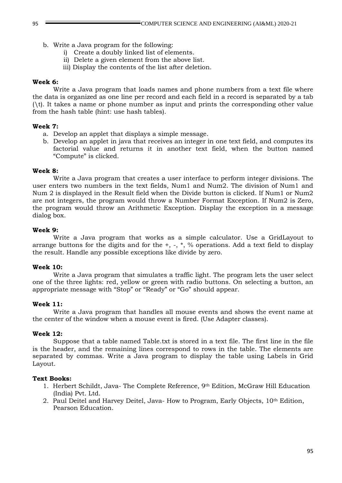- b. Write a Java program for the following:
	- i) Create a doubly linked list of elements.
	- ii) Delete a given element from the above list.
	- iii) Display the contents of the list after deletion.

#### **Week 6:**

Write a Java program that loads names and phone numbers from a text file where the data is organized as one line per record and each field in a record is separated by a tab (\t). It takes a name or phone number as input and prints the corresponding other value from the hash table (hint: use hash tables).

### **Week 7:**

- a. Develop an applet that displays a simple message.
- b. Develop an applet in java that receives an integer in one text field, and computes its factorial value and returns it in another text field, when the button named "Compute" is clicked.

### **Week 8:**

Write a Java program that creates a user interface to perform integer divisions. The user enters two numbers in the text fields, Num1 and Num2. The division of Num1 and Num 2 is displayed in the Result field when the Divide button is clicked. If Num1 or Num2 are not integers, the program would throw a Number Format Exception. If Num2 is Zero, the program would throw an Arithmetic Exception. Display the exception in a message dialog box.

### **Week 9:**

Write a Java program that works as a simple calculator. Use a GridLayout to arrange buttons for the digits and for the  $+$ ,  $-$ ,  $*$ ,  $\%$  operations. Add a text field to display the result. Handle any possible exceptions like divide by zero.

#### **Week 10:**

Write a Java program that simulates a traffic light. The program lets the user select one of the three lights: red, yellow or green with radio buttons. On selecting a button, an appropriate message with "Stop" or "Ready" or "Go" should appear.

#### **Week 11:**

Write a Java program that handles all mouse events and shows the event name at the center of the window when a mouse event is fired. (Use Adapter classes).

## **Week 12:**

Suppose that a table named Table.txt is stored in a text file. The first line in the file is the header, and the remaining lines correspond to rows in the table. The elements are separated by commas. Write a Java program to display the table using Labels in Grid Layout.

#### **Text Books:**

- 1. Herbert Schildt, Java- The Complete Reference, 9th Edition, McGraw Hill Education (India) Pvt. Ltd.
- 2. Paul Deitel and Harvey Deitel, Java- How to Program, Early Objects, 10th Edition, Pearson Education.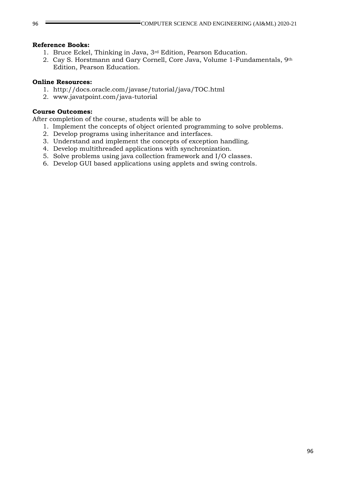#### **Reference Books:**

- 1. Bruce Eckel, Thinking in Java, 3rd Edition, Pearson Education.
- 2. Cay S. Horstmann and Gary Cornell, Core Java, Volume 1-Fundamentals, 9th Edition, Pearson Education.

### **Online Resources:**

- 1. http://docs.oracle.com/javase/tutorial/java/TOC.html
- 2. www.javatpoint.com/java-tutorial

## **Course Outcomes:**

- 1. Implement the concepts of object oriented programming to solve problems.
- 2. Develop programs using inheritance and interfaces.
- 3. Understand and implement the concepts of exception handling.
- 4. Develop multithreaded applications with synchronization.
- 5. Solve problems using java collection framework and I/O classes.
- 6. Develop GUI based applications using applets and swing controls.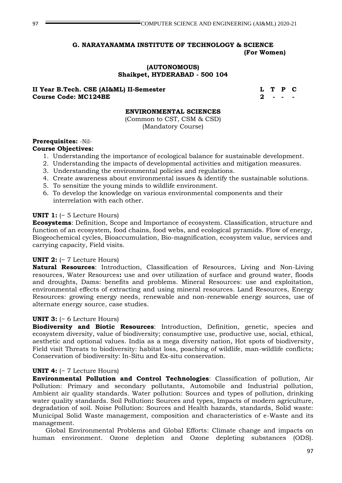#### **(AUTONOMOUS) Shaikpet, HYDERABAD - 500 104**

### **II Year B.Tech. CSE (AI&ML) II-Semester L T P C Course Code: MC124BE** 2 2

#### **ENVIRONMENTAL SCIENCES**

(Common to CST, CSM & CSD) (Mandatory Course)

### **Prerequisites:** -Nil-

## **Course Objectives:**

- 1. Understanding the importance of ecological balance for sustainable development.
- 2. Understanding the impacts of developmental activities and mitigation measures.
- 3. Understanding the environmental policies and regulations.
- 4. Create awareness about environmental issues & identify the sustainable solutions.
- 5. To sensitize the young minds to wildlife environment.
- 6. To develop the knowledge on various environmental components and their interrelation with each other.

#### **UNIT 1:** (~ 5 Lecture Hours)

**Ecosystems**: Definition, Scope and Importance of ecosystem. Classification, structure and function of an ecosystem, food chains, food webs, and ecological pyramids. Flow of energy, Biogeochemical cycles, Bioaccumulation, Bio-magnification, ecosystem value, services and carrying capacity, Field visits.

#### **UNIT 2:** (~ 7 Lecture Hours)

**Natural Resources**: Introduction, Classification of Resources, Living and Non-Living resources, Water Resources**:** use and over utilization of surface and ground water, floods and droughts, Dams: benefits and problems. Mineral Resources: use and exploitation, environmental effects of extracting and using mineral resources. Land Resources, Energy Resources: growing energy needs, renewable and non-renewable energy sources, use of alternate energy source, case studies.

#### **UNIT 3:** (~ 6 Lecture Hours)

**Biodiversity and Biotic Resources**: Introduction, Definition, genetic, species and ecosystem diversity, value of biodiversity; consumptive use, productive use, social, ethical, aesthetic and optional values. India as a mega diversity nation, Hot spots of biodiversity, Field visit Threats to biodiversity: habitat loss, poaching of wildlife, man-wildlife conflicts; Conservation of biodiversity: In-Situ and Ex-situ conservation.

#### **UNIT 4:** (~ 7 Lecture Hours)

**Environmental Pollution and Control Technologies**: Classification of pollution, Air Pollution: Primary and secondary pollutants, Automobile and Industrial pollution, Ambient air quality standards. Water pollution: Sources and types of pollution, drinking water quality standards. Soil Pollution**:** Sources and types, Impacts of modern agriculture, degradation of soil. Noise Pollution: Sources and Health hazards, standards, Solid waste: Municipal Solid Waste management, composition and characteristics of e-Waste and its management.

Global Environmental Problems and Global Efforts: Climate change and impacts on human environment. Ozone depletion and Ozone depleting substances (ODS).